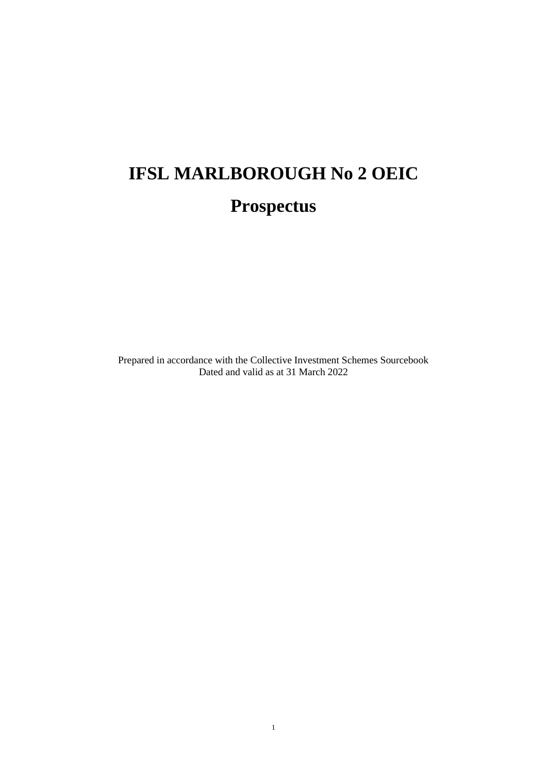# **IFSL MARLBOROUGH No 2 OEIC Prospectus**

Prepared in accordance with the Collective Investment Schemes Sourcebook Dated and valid as at 31 March 2022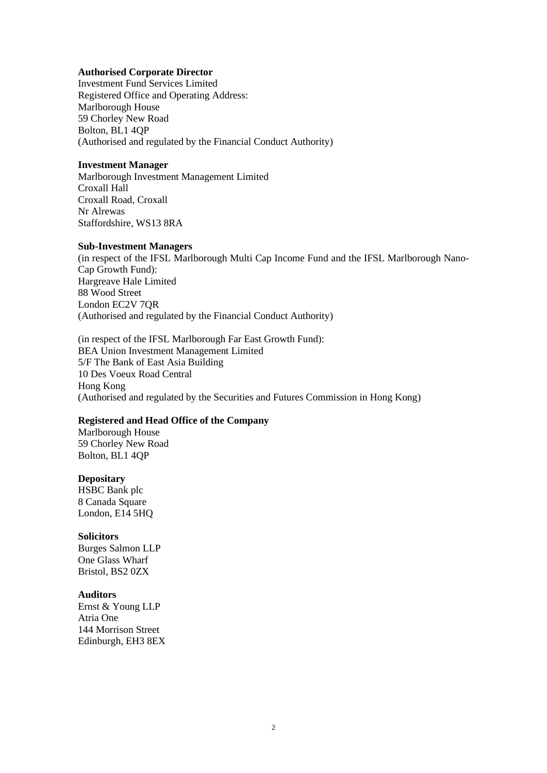#### **Authorised Corporate Director**

Investment Fund Services Limited Registered Office and Operating Address: Marlborough House 59 Chorley New Road Bolton, BL1 4QP (Authorised and regulated by the Financial Conduct Authority)

#### **Investment Manager**

Marlborough Investment Management Limited Croxall Hall Croxall Road, Croxall Nr Alrewas Staffordshire, WS13 8RA

#### **Sub-Investment Managers**

(in respect of the IFSL Marlborough Multi Cap Income Fund and the IFSL Marlborough Nano-Cap Growth Fund): Hargreave Hale Limited 88 Wood Street London EC2V 7QR (Authorised and regulated by the Financial Conduct Authority)

(in respect of the IFSL Marlborough Far East Growth Fund): BEA Union Investment Management Limited 5/F The Bank of East Asia Building 10 Des Voeux Road Central Hong Kong (Authorised and regulated by the Securities and Futures Commission in Hong Kong)

#### **Registered and Head Office of the Company**

Marlborough House 59 Chorley New Road Bolton, BL1 4QP

#### **Depositary**

HSBC Bank plc 8 Canada Square London, E14 5HQ

#### **Solicitors**

Burges Salmon LLP One Glass Wharf Bristol, BS2 0ZX

#### **Auditors**

Ernst & Young LLP Atria One 144 Morrison Street Edinburgh, EH3 8EX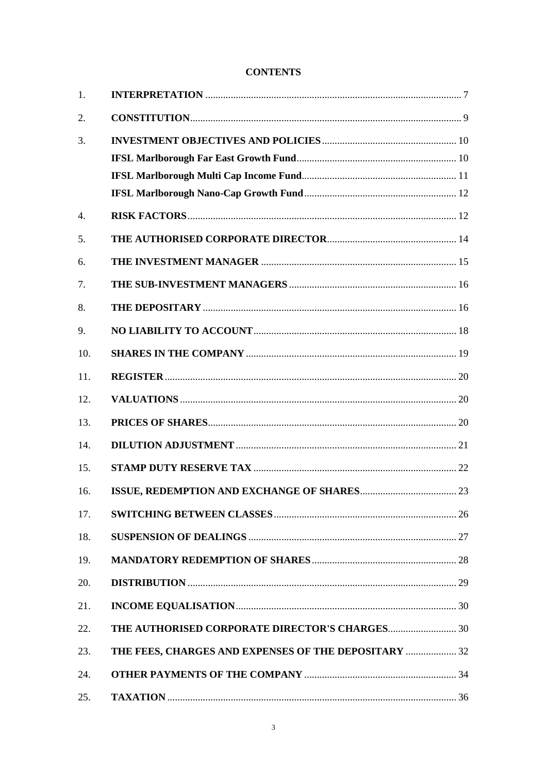# **CONTENTS**

| 1.  |                                                                                                                                                                                                                                                                                                                                                                                                                                     |  |
|-----|-------------------------------------------------------------------------------------------------------------------------------------------------------------------------------------------------------------------------------------------------------------------------------------------------------------------------------------------------------------------------------------------------------------------------------------|--|
| 2.  |                                                                                                                                                                                                                                                                                                                                                                                                                                     |  |
| 3.  |                                                                                                                                                                                                                                                                                                                                                                                                                                     |  |
|     |                                                                                                                                                                                                                                                                                                                                                                                                                                     |  |
|     |                                                                                                                                                                                                                                                                                                                                                                                                                                     |  |
|     |                                                                                                                                                                                                                                                                                                                                                                                                                                     |  |
| 4.  |                                                                                                                                                                                                                                                                                                                                                                                                                                     |  |
| 5.  |                                                                                                                                                                                                                                                                                                                                                                                                                                     |  |
| 6.  |                                                                                                                                                                                                                                                                                                                                                                                                                                     |  |
| 7.  |                                                                                                                                                                                                                                                                                                                                                                                                                                     |  |
| 8.  |                                                                                                                                                                                                                                                                                                                                                                                                                                     |  |
| 9.  |                                                                                                                                                                                                                                                                                                                                                                                                                                     |  |
| 10. |                                                                                                                                                                                                                                                                                                                                                                                                                                     |  |
| 11. |                                                                                                                                                                                                                                                                                                                                                                                                                                     |  |
| 12. |                                                                                                                                                                                                                                                                                                                                                                                                                                     |  |
| 13. |                                                                                                                                                                                                                                                                                                                                                                                                                                     |  |
| 14. |                                                                                                                                                                                                                                                                                                                                                                                                                                     |  |
| 15. |                                                                                                                                                                                                                                                                                                                                                                                                                                     |  |
| 16. |                                                                                                                                                                                                                                                                                                                                                                                                                                     |  |
| 17. |                                                                                                                                                                                                                                                                                                                                                                                                                                     |  |
| 18. |                                                                                                                                                                                                                                                                                                                                                                                                                                     |  |
| 19. |                                                                                                                                                                                                                                                                                                                                                                                                                                     |  |
| 20. |                                                                                                                                                                                                                                                                                                                                                                                                                                     |  |
| 21. | $\textbf{INCOME EQUALISATION} \textcolor{red}{\textbf{100}} \textbf{0} \textcolor{red}{\textbf{11}} \textbf{0} \textbf{1} \textbf{1} \textbf{1} \textbf{1} \textbf{1} \textbf{1} \textbf{1} \textbf{1} \textbf{1} \textbf{1} \textbf{1} \textbf{1} \textbf{1} \textbf{1} \textbf{1} \textbf{1} \textbf{1} \textbf{1} \textbf{1} \textbf{1} \textbf{1} \textbf{1} \textbf{1} \textbf{1} \textbf{1} \textbf{1} \textbf{1} \textbf{1}$ |  |
| 22. | THE AUTHORISED CORPORATE DIRECTOR'S CHARGES 30                                                                                                                                                                                                                                                                                                                                                                                      |  |
| 23. | THE FEES, CHARGES AND EXPENSES OF THE DEPOSITARY  32                                                                                                                                                                                                                                                                                                                                                                                |  |
| 24. |                                                                                                                                                                                                                                                                                                                                                                                                                                     |  |
| 25. |                                                                                                                                                                                                                                                                                                                                                                                                                                     |  |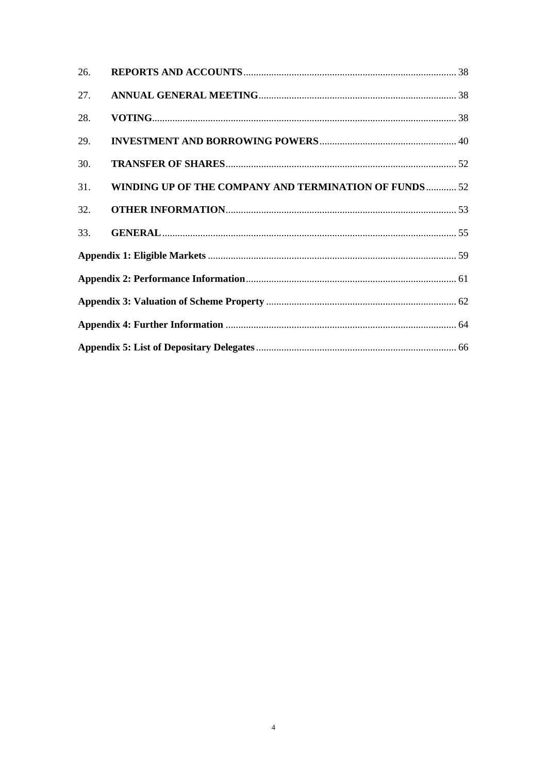| 26. |                                                       |  |  |  |
|-----|-------------------------------------------------------|--|--|--|
| 27. |                                                       |  |  |  |
| 28. |                                                       |  |  |  |
| 29. |                                                       |  |  |  |
| 30. |                                                       |  |  |  |
| 31. | WINDING UP OF THE COMPANY AND TERMINATION OF FUNDS 52 |  |  |  |
| 32. |                                                       |  |  |  |
| 33. |                                                       |  |  |  |
|     |                                                       |  |  |  |
|     |                                                       |  |  |  |
|     |                                                       |  |  |  |
|     |                                                       |  |  |  |
|     |                                                       |  |  |  |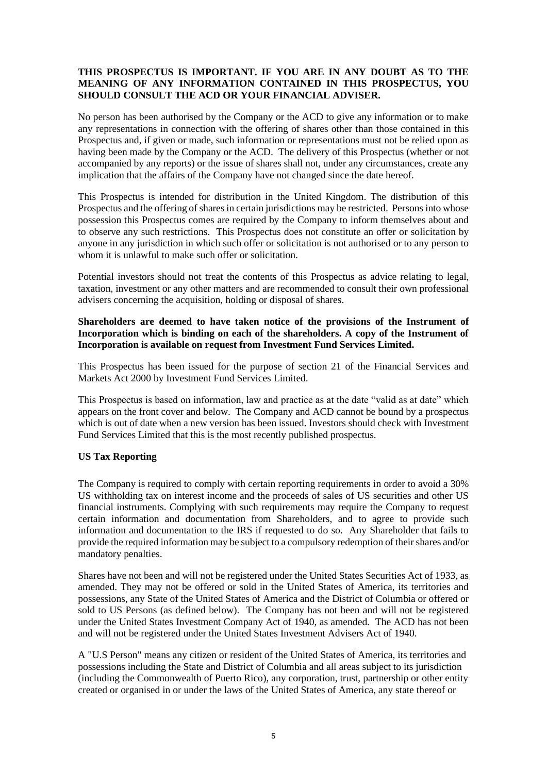# **THIS PROSPECTUS IS IMPORTANT. IF YOU ARE IN ANY DOUBT AS TO THE MEANING OF ANY INFORMATION CONTAINED IN THIS PROSPECTUS, YOU SHOULD CONSULT THE ACD OR YOUR FINANCIAL ADVISER.**

No person has been authorised by the Company or the ACD to give any information or to make any representations in connection with the offering of shares other than those contained in this Prospectus and, if given or made, such information or representations must not be relied upon as having been made by the Company or the ACD. The delivery of this Prospectus (whether or not accompanied by any reports) or the issue of shares shall not, under any circumstances, create any implication that the affairs of the Company have not changed since the date hereof.

This Prospectus is intended for distribution in the United Kingdom. The distribution of this Prospectus and the offering of shares in certain jurisdictions may be restricted. Persons into whose possession this Prospectus comes are required by the Company to inform themselves about and to observe any such restrictions. This Prospectus does not constitute an offer or solicitation by anyone in any jurisdiction in which such offer or solicitation is not authorised or to any person to whom it is unlawful to make such offer or solicitation.

Potential investors should not treat the contents of this Prospectus as advice relating to legal, taxation, investment or any other matters and are recommended to consult their own professional advisers concerning the acquisition, holding or disposal of shares.

# **Shareholders are deemed to have taken notice of the provisions of the Instrument of Incorporation which is binding on each of the shareholders. A copy of the Instrument of Incorporation is available on request from Investment Fund Services Limited.**

This Prospectus has been issued for the purpose of section 21 of the Financial Services and Markets Act 2000 by Investment Fund Services Limited.

This Prospectus is based on information, law and practice as at the date "valid as at date" which appears on the front cover and below. The Company and ACD cannot be bound by a prospectus which is out of date when a new version has been issued. Investors should check with Investment Fund Services Limited that this is the most recently published prospectus.

# **US Tax Reporting**

The Company is required to comply with certain reporting requirements in order to avoid a 30% US withholding tax on interest income and the proceeds of sales of US securities and other US financial instruments. Complying with such requirements may require the Company to request certain information and documentation from Shareholders, and to agree to provide such information and documentation to the IRS if requested to do so. Any Shareholder that fails to provide the required information may be subject to a compulsory redemption of their shares and/or mandatory penalties.

Shares have not been and will not be registered under the United States Securities Act of 1933, as amended. They may not be offered or sold in the United States of America, its territories and possessions, any State of the United States of America and the District of Columbia or offered or sold to US Persons (as defined below). The Company has not been and will not be registered under the United States Investment Company Act of 1940, as amended. The ACD has not been and will not be registered under the United States Investment Advisers Act of 1940.

A "U.S Person" means any citizen or resident of the United States of America, its territories and possessions including the State and District of Columbia and all areas subject to its jurisdiction (including the Commonwealth of Puerto Rico), any corporation, trust, partnership or other entity created or organised in or under the laws of the United States of America, any state thereof or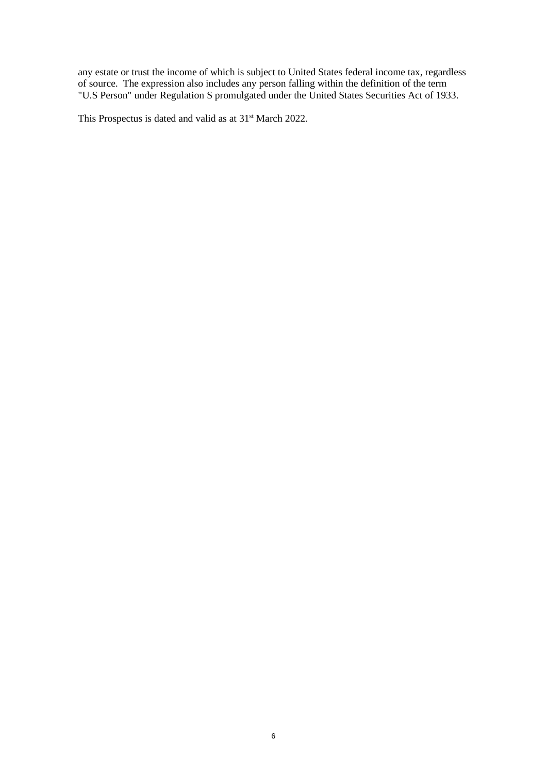any estate or trust the income of which is subject to United States federal income tax, regardless of source. The expression also includes any person falling within the definition of the term "U.S Person" under Regulation S promulgated under the United States Securities Act of 1933.

This Prospectus is dated and valid as at 31<sup>st</sup> March 2022.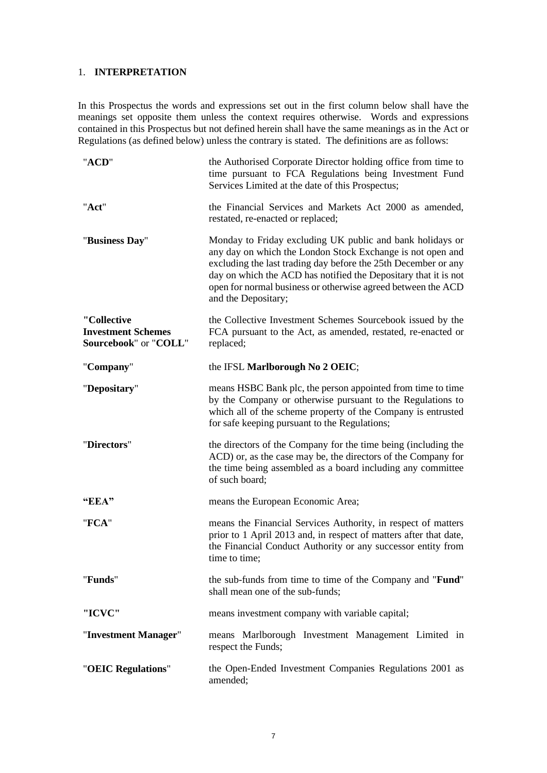# <span id="page-6-0"></span>1. **INTERPRETATION**

In this Prospectus the words and expressions set out in the first column below shall have the meanings set opposite them unless the context requires otherwise. Words and expressions contained in this Prospectus but not defined herein shall have the same meanings as in the Act or Regulations (as defined below) unless the contrary is stated. The definitions are as follows:

| "ACD"                                                             | the Authorised Corporate Director holding office from time to<br>time pursuant to FCA Regulations being Investment Fund<br>Services Limited at the date of this Prospectus;                                                                                                                                                                         |  |
|-------------------------------------------------------------------|-----------------------------------------------------------------------------------------------------------------------------------------------------------------------------------------------------------------------------------------------------------------------------------------------------------------------------------------------------|--|
| "Act"                                                             | the Financial Services and Markets Act 2000 as amended,<br>restated, re-enacted or replaced;                                                                                                                                                                                                                                                        |  |
| "Business Day"                                                    | Monday to Friday excluding UK public and bank holidays or<br>any day on which the London Stock Exchange is not open and<br>excluding the last trading day before the 25th December or any<br>day on which the ACD has notified the Depositary that it is not<br>open for normal business or otherwise agreed between the ACD<br>and the Depositary; |  |
| "Collective<br><b>Investment Schemes</b><br>Sourcebook" or "COLL" | the Collective Investment Schemes Sourcebook issued by the<br>FCA pursuant to the Act, as amended, restated, re-enacted or<br>replaced;                                                                                                                                                                                                             |  |
| "Company"                                                         | the IFSL Marlborough No 2 OEIC;                                                                                                                                                                                                                                                                                                                     |  |
| "Depositary"                                                      | means HSBC Bank plc, the person appointed from time to time<br>by the Company or otherwise pursuant to the Regulations to<br>which all of the scheme property of the Company is entrusted<br>for safe keeping pursuant to the Regulations;                                                                                                          |  |
| "Directors"                                                       | the directors of the Company for the time being (including the<br>ACD) or, as the case may be, the directors of the Company for<br>the time being assembled as a board including any committee<br>of such board;                                                                                                                                    |  |
| "EEA"                                                             | means the European Economic Area;                                                                                                                                                                                                                                                                                                                   |  |
| "FCA"                                                             | means the Financial Services Authority, in respect of matters<br>prior to 1 April 2013 and, in respect of matters after that date,<br>the Financial Conduct Authority or any successor entity from<br>time to time;                                                                                                                                 |  |
| "Funds"                                                           | the sub-funds from time to time of the Company and " <b>Fund</b> "<br>shall mean one of the sub-funds;                                                                                                                                                                                                                                              |  |
| "ICVC"                                                            | means investment company with variable capital;                                                                                                                                                                                                                                                                                                     |  |
| "Investment Manager"                                              | means Marlborough Investment Management Limited in<br>respect the Funds;                                                                                                                                                                                                                                                                            |  |
| "OEIC Regulations"                                                | the Open-Ended Investment Companies Regulations 2001 as<br>amended;                                                                                                                                                                                                                                                                                 |  |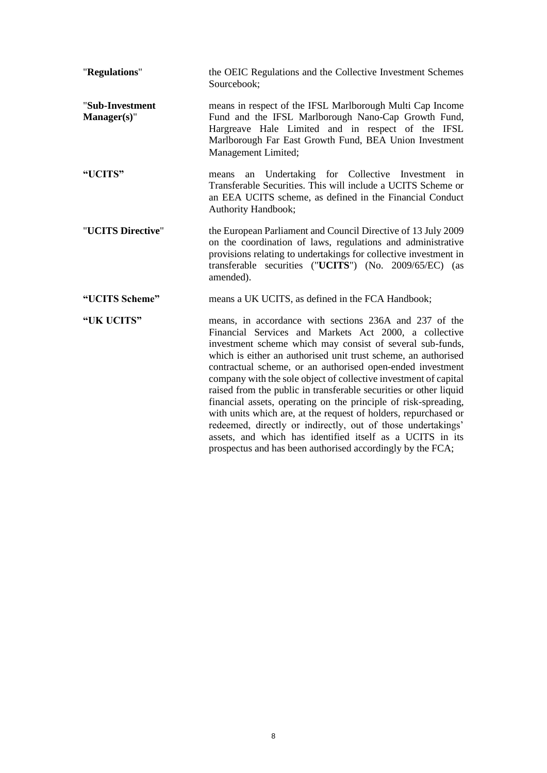<span id="page-7-0"></span>

| "Regulations"                  | the OEIC Regulations and the Collective Investment Schemes<br>Sourcebook;                                                                                                                                                                                                                                                                                                                                                                                                                                                                                                                                                                                                                                                                                                              |
|--------------------------------|----------------------------------------------------------------------------------------------------------------------------------------------------------------------------------------------------------------------------------------------------------------------------------------------------------------------------------------------------------------------------------------------------------------------------------------------------------------------------------------------------------------------------------------------------------------------------------------------------------------------------------------------------------------------------------------------------------------------------------------------------------------------------------------|
| "Sub-Investment<br>Manager(s)" | means in respect of the IFSL Marlborough Multi Cap Income<br>Fund and the IFSL Marlborough Nano-Cap Growth Fund,<br>Hargreave Hale Limited and in respect of the IFSL<br>Marlborough Far East Growth Fund, BEA Union Investment<br>Management Limited;                                                                                                                                                                                                                                                                                                                                                                                                                                                                                                                                 |
| "UCITS"                        | Undertaking for Collective Investment in<br>means<br>an<br>Transferable Securities. This will include a UCITS Scheme or<br>an EEA UCITS scheme, as defined in the Financial Conduct<br>Authority Handbook;                                                                                                                                                                                                                                                                                                                                                                                                                                                                                                                                                                             |
| "UCITS Directive"              | the European Parliament and Council Directive of 13 July 2009<br>on the coordination of laws, regulations and administrative<br>provisions relating to undertakings for collective investment in<br>transferable securities ("UCITS") (No. 2009/65/EC) (as<br>amended).                                                                                                                                                                                                                                                                                                                                                                                                                                                                                                                |
| "UCITS Scheme"                 | means a UK UCITS, as defined in the FCA Handbook;                                                                                                                                                                                                                                                                                                                                                                                                                                                                                                                                                                                                                                                                                                                                      |
| "UK UCITS"                     | means, in accordance with sections 236A and 237 of the<br>Financial Services and Markets Act 2000, a collective<br>investment scheme which may consist of several sub-funds,<br>which is either an authorised unit trust scheme, an authorised<br>contractual scheme, or an authorised open-ended investment<br>company with the sole object of collective investment of capital<br>raised from the public in transferable securities or other liquid<br>financial assets, operating on the principle of risk-spreading,<br>with units which are, at the request of holders, repurchased or<br>redeemed, directly or indirectly, out of those undertakings'<br>assets, and which has identified itself as a UCITS in its<br>prospectus and has been authorised accordingly by the FCA; |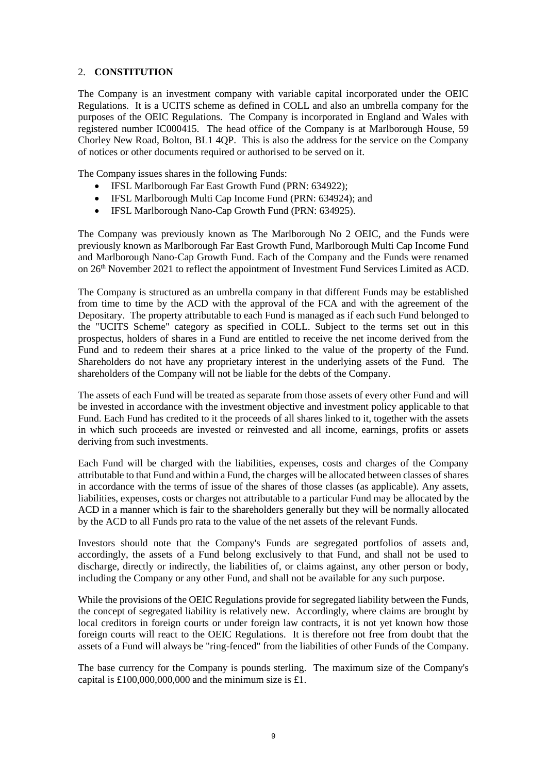# 2. **CONSTITUTION**

The Company is an investment company with variable capital incorporated under the OEIC Regulations. It is a UCITS scheme as defined in COLL and also an umbrella company for the purposes of the OEIC Regulations. The Company is incorporated in England and Wales with registered number IC000415. The head office of the Company is at Marlborough House, 59 Chorley New Road, Bolton, BL1 4QP. This is also the address for the service on the Company of notices or other documents required or authorised to be served on it.

The Company issues shares in the following Funds:

- IFSL Marlborough Far East Growth Fund (PRN: 634922);
- IFSL Marlborough Multi Cap Income Fund (PRN: 634924): and
- IFSL Marlborough Nano-Cap Growth Fund (PRN: 634925).

The Company was previously known as The Marlborough No 2 OEIC, and the Funds were previously known as Marlborough Far East Growth Fund, Marlborough Multi Cap Income Fund and Marlborough Nano-Cap Growth Fund. Each of the Company and the Funds were renamed on 26th November 2021 to reflect the appointment of Investment Fund Services Limited as ACD.

The Company is structured as an umbrella company in that different Funds may be established from time to time by the ACD with the approval of the FCA and with the agreement of the Depositary. The property attributable to each Fund is managed as if each such Fund belonged to the "UCITS Scheme" category as specified in COLL. Subject to the terms set out in this prospectus, holders of shares in a Fund are entitled to receive the net income derived from the Fund and to redeem their shares at a price linked to the value of the property of the Fund. Shareholders do not have any proprietary interest in the underlying assets of the Fund. The shareholders of the Company will not be liable for the debts of the Company.

The assets of each Fund will be treated as separate from those assets of every other Fund and will be invested in accordance with the investment objective and investment policy applicable to that Fund. Each Fund has credited to it the proceeds of all shares linked to it, together with the assets in which such proceeds are invested or reinvested and all income, earnings, profits or assets deriving from such investments.

Each Fund will be charged with the liabilities, expenses, costs and charges of the Company attributable to that Fund and within a Fund, the charges will be allocated between classes of shares in accordance with the terms of issue of the shares of those classes (as applicable). Any assets, liabilities, expenses, costs or charges not attributable to a particular Fund may be allocated by the ACD in a manner which is fair to the shareholders generally but they will be normally allocated by the ACD to all Funds pro rata to the value of the net assets of the relevant Funds.

Investors should note that the Company's Funds are segregated portfolios of assets and, accordingly, the assets of a Fund belong exclusively to that Fund, and shall not be used to discharge, directly or indirectly, the liabilities of, or claims against, any other person or body, including the Company or any other Fund, and shall not be available for any such purpose.

While the provisions of the OEIC Regulations provide for segregated liability between the Funds, the concept of segregated liability is relatively new. Accordingly, where claims are brought by local creditors in foreign courts or under foreign law contracts, it is not yet known how those foreign courts will react to the OEIC Regulations. It is therefore not free from doubt that the assets of a Fund will always be "ring-fenced" from the liabilities of other Funds of the Company.

The base currency for the Company is pounds sterling. The maximum size of the Company's capital is  $£100,000,000,000$  and the minimum size is £1.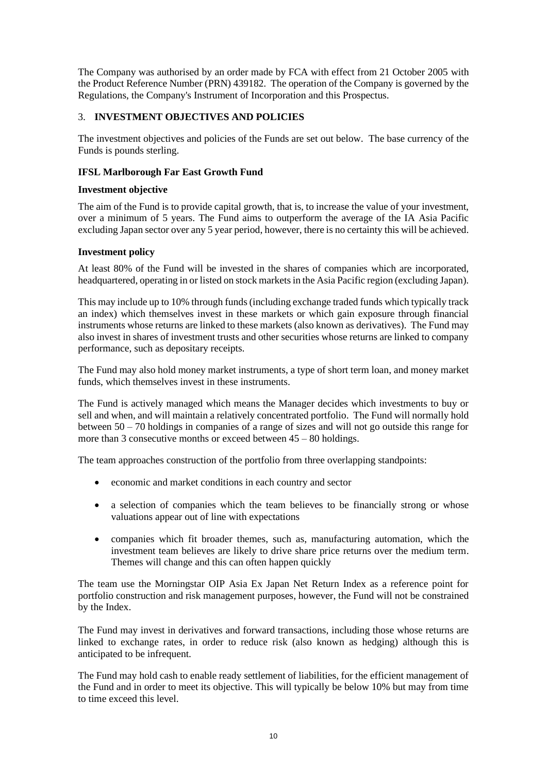The Company was authorised by an order made by FCA with effect from 21 October 2005 with the Product Reference Number (PRN) 439182. The operation of the Company is governed by the Regulations, the Company's Instrument of Incorporation and this Prospectus.

# <span id="page-9-0"></span>3. **INVESTMENT OBJECTIVES AND POLICIES**

The investment objectives and policies of the Funds are set out below. The base currency of the Funds is pounds sterling.

#### <span id="page-9-1"></span>**IFSL Marlborough Far East Growth Fund**

#### **Investment objective**

The aim of the Fund is to provide capital growth, that is, to increase the value of your investment, over a minimum of 5 years. The Fund aims to outperform the average of the IA Asia Pacific excluding Japan sector over any 5 year period, however, there is no certainty this will be achieved.

# **Investment policy**

At least 80% of the Fund will be invested in the shares of companies which are incorporated, headquartered, operating in or listed on stock markets in the Asia Pacific region (excluding Japan).

This may include up to 10% through funds (including exchange traded funds which typically track an index) which themselves invest in these markets or which gain exposure through financial instruments whose returns are linked to these markets (also known as derivatives). The Fund may also invest in shares of investment trusts and other securities whose returns are linked to company performance, such as depositary receipts.

The Fund may also hold money market instruments, a type of short term loan, and money market funds, which themselves invest in these instruments.

The Fund is actively managed which means the Manager decides which investments to buy or sell and when, and will maintain a relatively concentrated portfolio. The Fund will normally hold between 50 – 70 holdings in companies of a range of sizes and will not go outside this range for more than 3 consecutive months or exceed between 45 – 80 holdings.

The team approaches construction of the portfolio from three overlapping standpoints:

- economic and market conditions in each country and sector
- a selection of companies which the team believes to be financially strong or whose valuations appear out of line with expectations
- companies which fit broader themes, such as, manufacturing automation, which the investment team believes are likely to drive share price returns over the medium term. Themes will change and this can often happen quickly

The team use the Morningstar OIP Asia Ex Japan Net Return Index as a reference point for portfolio construction and risk management purposes, however, the Fund will not be constrained by the Index.

The Fund may invest in derivatives and forward transactions, including those whose returns are linked to exchange rates, in order to reduce risk (also known as hedging) although this is anticipated to be infrequent.

The Fund may hold cash to enable ready settlement of liabilities, for the efficient management of the Fund and in order to meet its objective. This will typically be below 10% but may from time to time exceed this level.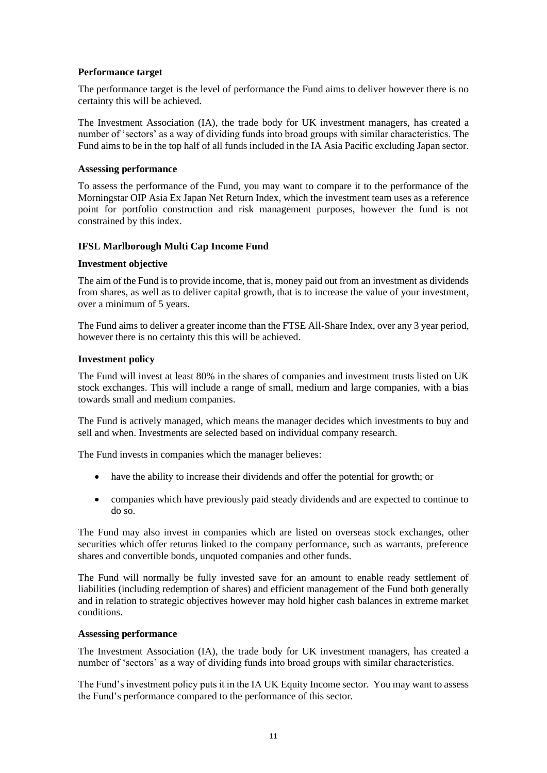#### **Performance target**

The performance target is the level of performance the Fund aims to deliver however there is no certainty this will be achieved.

The Investment Association (IA), the trade body for UK investment managers, has created a number of 'sectors' as a way of dividing funds into broad groups with similar characteristics. The Fund aims to be in the top half of all funds included in the IA Asia Pacific excluding Japan sector.

#### **Assessing performance**

To assess the performance of the Fund, you may want to compare it to the performance of the Morningstar OIP Asia Ex Japan Net Return Index, which the investment team uses as a reference point for portfolio construction and risk management purposes, however the fund is not constrained by this index.

#### <span id="page-10-0"></span>**IFSL Marlborough Multi Cap Income Fund**

#### **Investment objective**

The aim of the Fund is to provide income, that is, money paid out from an investment as dividends from shares, as well as to deliver capital growth, that is to increase the value of your investment, over a minimum of 5 years.

The Fund aims to deliver a greater income than the FTSE All-Share Index, over any 3 year period, however there is no certainty this this will be achieved.

#### **Investment policy**

The Fund will invest at least 80% in the shares of companies and investment trusts listed on UK stock exchanges. This will include a range of small, medium and large companies, with a bias towards small and medium companies.

The Fund is actively managed, which means the manager decides which investments to buy and sell and when. Investments are selected based on individual company research.

The Fund invests in companies which the manager believes:

- have the ability to increase their dividends and offer the potential for growth; or
- companies which have previously paid steady dividends and are expected to continue to do so.

The Fund may also invest in companies which are listed on overseas stock exchanges, other securities which offer returns linked to the company performance, such as warrants, preference shares and convertible bonds, unquoted companies and other funds.

The Fund will normally be fully invested save for an amount to enable ready settlement of liabilities (including redemption of shares) and efficient management of the Fund both generally and in relation to strategic objectives however may hold higher cash balances in extreme market conditions.

#### **Assessing performance**

The Investment Association (IA), the trade body for UK investment managers, has created a number of 'sectors' as a way of dividing funds into broad groups with similar characteristics.

The Fund's investment policy puts it in the IA UK Equity Income sector. You may want to assess the Fund's performance compared to the performance of this sector.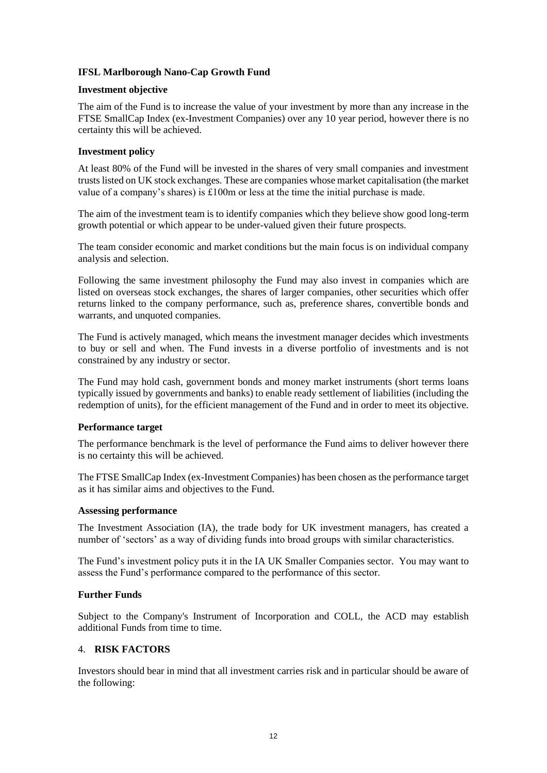# <span id="page-11-0"></span>**IFSL Marlborough Nano-Cap Growth Fund**

#### **Investment objective**

The aim of the Fund is to increase the value of your investment by more than any increase in the FTSE SmallCap Index (ex-Investment Companies) over any 10 year period, however there is no certainty this will be achieved.

#### **Investment policy**

At least 80% of the Fund will be invested in the shares of very small companies and investment trusts listed on UK stock exchanges. These are companies whose market capitalisation (the market value of a company's shares) is £100m or less at the time the initial purchase is made.

The aim of the investment team is to identify companies which they believe show good long-term growth potential or which appear to be under-valued given their future prospects.

The team consider economic and market conditions but the main focus is on individual company analysis and selection.

Following the same investment philosophy the Fund may also invest in companies which are listed on overseas stock exchanges, the shares of larger companies, other securities which offer returns linked to the company performance, such as, preference shares, convertible bonds and warrants, and unquoted companies.

The Fund is actively managed, which means the investment manager decides which investments to buy or sell and when. The Fund invests in a diverse portfolio of investments and is not constrained by any industry or sector.

The Fund may hold cash, government bonds and money market instruments (short terms loans typically issued by governments and banks) to enable ready settlement of liabilities (including the redemption of units), for the efficient management of the Fund and in order to meet its objective.

#### **Performance target**

The performance benchmark is the level of performance the Fund aims to deliver however there is no certainty this will be achieved.

The FTSE SmallCap Index (ex-Investment Companies) has been chosen as the performance target as it has similar aims and objectives to the Fund.

#### **Assessing performance**

The Investment Association (IA), the trade body for UK investment managers, has created a number of 'sectors' as a way of dividing funds into broad groups with similar characteristics.

The Fund's investment policy puts it in the IA UK Smaller Companies sector. You may want to assess the Fund's performance compared to the performance of this sector.

#### **Further Funds**

Subject to the Company's Instrument of Incorporation and COLL, the ACD may establish additional Funds from time to time.

#### <span id="page-11-1"></span>4. **RISK FACTORS**

Investors should bear in mind that all investment carries risk and in particular should be aware of the following: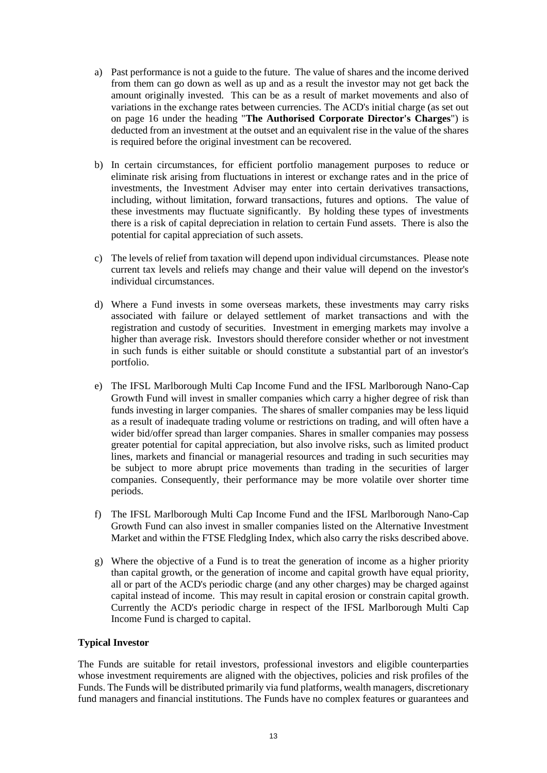- a) Past performance is not a guide to the future. The value of shares and the income derived from them can go down as well as up and as a result the investor may not get back the amount originally invested. This can be as a result of market movements and also of variations in the exchange rates between currencies. The ACD's initial charge (as set out on page 16 under the heading "**The Authorised Corporate Director's Charges**") is deducted from an investment at the outset and an equivalent rise in the value of the shares is required before the original investment can be recovered.
- b) In certain circumstances, for efficient portfolio management purposes to reduce or eliminate risk arising from fluctuations in interest or exchange rates and in the price of investments, the Investment Adviser may enter into certain derivatives transactions, including, without limitation, forward transactions, futures and options. The value of these investments may fluctuate significantly. By holding these types of investments there is a risk of capital depreciation in relation to certain Fund assets. There is also the potential for capital appreciation of such assets.
- c) The levels of relief from taxation will depend upon individual circumstances. Please note current tax levels and reliefs may change and their value will depend on the investor's individual circumstances.
- d) Where a Fund invests in some overseas markets, these investments may carry risks associated with failure or delayed settlement of market transactions and with the registration and custody of securities. Investment in emerging markets may involve a higher than average risk. Investors should therefore consider whether or not investment in such funds is either suitable or should constitute a substantial part of an investor's portfolio.
- e) The IFSL Marlborough Multi Cap Income Fund and the IFSL Marlborough Nano-Cap Growth Fund will invest in smaller companies which carry a higher degree of risk than funds investing in larger companies. The shares of smaller companies may be less liquid as a result of inadequate trading volume or restrictions on trading, and will often have a wider bid/offer spread than larger companies. Shares in smaller companies may possess greater potential for capital appreciation, but also involve risks, such as limited product lines, markets and financial or managerial resources and trading in such securities may be subject to more abrupt price movements than trading in the securities of larger companies. Consequently, their performance may be more volatile over shorter time periods.
- f) The IFSL Marlborough Multi Cap Income Fund and the IFSL Marlborough Nano-Cap Growth Fund can also invest in smaller companies listed on the Alternative Investment Market and within the FTSE Fledgling Index, which also carry the risks described above.
- g) Where the objective of a Fund is to treat the generation of income as a higher priority than capital growth, or the generation of income and capital growth have equal priority, all or part of the ACD's periodic charge (and any other charges) may be charged against capital instead of income. This may result in capital erosion or constrain capital growth. Currently the ACD's periodic charge in respect of the IFSL Marlborough Multi Cap Income Fund is charged to capital.

#### **Typical Investor**

The Funds are suitable for retail investors, professional investors and eligible counterparties whose investment requirements are aligned with the objectives, policies and risk profiles of the Funds. The Funds will be distributed primarily via fund platforms, wealth managers, discretionary fund managers and financial institutions. The Funds have no complex features or guarantees and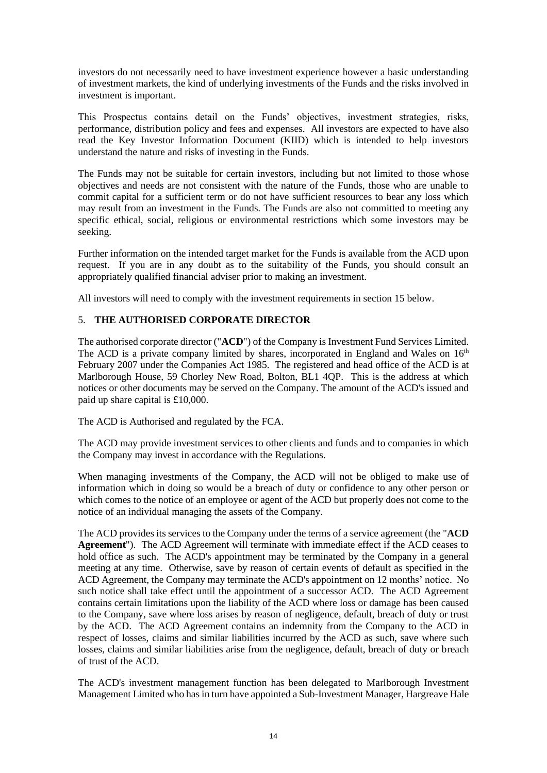investors do not necessarily need to have investment experience however a basic understanding of investment markets, the kind of underlying investments of the Funds and the risks involved in investment is important.

This Prospectus contains detail on the Funds' objectives, investment strategies, risks, performance, distribution policy and fees and expenses. All investors are expected to have also read the Key Investor Information Document (KIID) which is intended to help investors understand the nature and risks of investing in the Funds.

The Funds may not be suitable for certain investors, including but not limited to those whose objectives and needs are not consistent with the nature of the Funds, those who are unable to commit capital for a sufficient term or do not have sufficient resources to bear any loss which may result from an investment in the Funds. The Funds are also not committed to meeting any specific ethical, social, religious or environmental restrictions which some investors may be seeking.

Further information on the intended target market for the Funds is available from the ACD upon request. If you are in any doubt as to the suitability of the Funds, you should consult an appropriately qualified financial adviser prior to making an investment.

All investors will need to comply with the investment requirements in section 15 below.

# <span id="page-13-0"></span>5. **THE AUTHORISED CORPORATE DIRECTOR**

The authorised corporate director ("**ACD**") of the Company is Investment Fund Services Limited. The ACD is a private company limited by shares, incorporated in England and Wales on  $16<sup>th</sup>$ February 2007 under the Companies Act 1985. The registered and head office of the ACD is at Marlborough House, 59 Chorley New Road, Bolton, BL1 4QP. This is the address at which notices or other documents may be served on the Company. The amount of the ACD's issued and paid up share capital is £10,000.

The ACD is Authorised and regulated by the FCA.

The ACD may provide investment services to other clients and funds and to companies in which the Company may invest in accordance with the Regulations.

When managing investments of the Company, the ACD will not be obliged to make use of information which in doing so would be a breach of duty or confidence to any other person or which comes to the notice of an employee or agent of the ACD but properly does not come to the notice of an individual managing the assets of the Company.

The ACD provides its services to the Company under the terms of a service agreement (the "**ACD Agreement**"). The ACD Agreement will terminate with immediate effect if the ACD ceases to hold office as such. The ACD's appointment may be terminated by the Company in a general meeting at any time. Otherwise, save by reason of certain events of default as specified in the ACD Agreement, the Company may terminate the ACD's appointment on 12 months' notice. No such notice shall take effect until the appointment of a successor ACD. The ACD Agreement contains certain limitations upon the liability of the ACD where loss or damage has been caused to the Company, save where loss arises by reason of negligence, default, breach of duty or trust by the ACD. The ACD Agreement contains an indemnity from the Company to the ACD in respect of losses, claims and similar liabilities incurred by the ACD as such, save where such losses, claims and similar liabilities arise from the negligence, default, breach of duty or breach of trust of the ACD.

The ACD's investment management function has been delegated to Marlborough Investment Management Limited who has in turn have appointed a Sub-Investment Manager, Hargreave Hale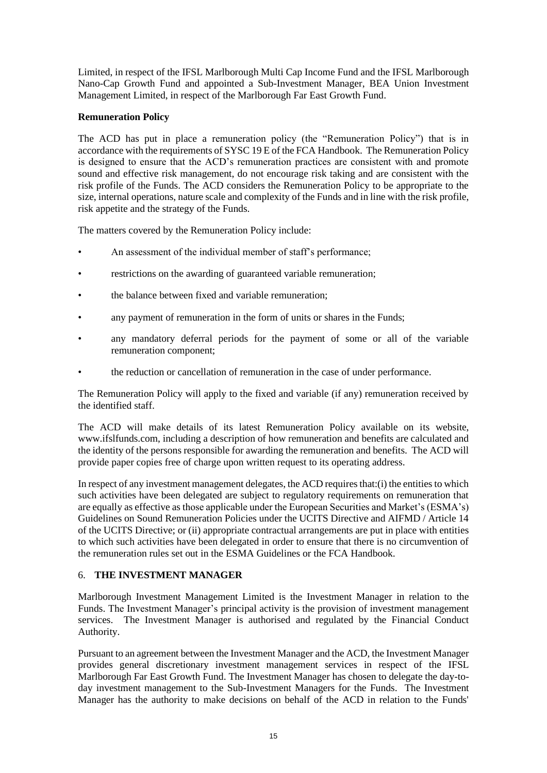Limited, in respect of the IFSL Marlborough Multi Cap Income Fund and the IFSL Marlborough Nano-Cap Growth Fund and appointed a Sub-Investment Manager, BEA Union Investment Management Limited, in respect of the Marlborough Far East Growth Fund.

# **Remuneration Policy**

The ACD has put in place a remuneration policy (the "Remuneration Policy") that is in accordance with the requirements of SYSC 19 E of the FCA Handbook. The Remuneration Policy is designed to ensure that the ACD's remuneration practices are consistent with and promote sound and effective risk management, do not encourage risk taking and are consistent with the risk profile of the Funds. The ACD considers the Remuneration Policy to be appropriate to the size, internal operations, nature scale and complexity of the Funds and in line with the risk profile, risk appetite and the strategy of the Funds.

The matters covered by the Remuneration Policy include:

- An assessment of the individual member of staff's performance;
- restrictions on the awarding of guaranteed variable remuneration;
- the balance between fixed and variable remuneration;
- any payment of remuneration in the form of units or shares in the Funds;
- any mandatory deferral periods for the payment of some or all of the variable remuneration component;
- the reduction or cancellation of remuneration in the case of under performance.

The Remuneration Policy will apply to the fixed and variable (if any) remuneration received by the identified staff.

The ACD will make details of its latest Remuneration Policy available on its website, www.ifslfunds.com, including a description of how remuneration and benefits are calculated and the identity of the persons responsible for awarding the remuneration and benefits. The ACD will provide paper copies free of charge upon written request to its operating address.

In respect of any investment management delegates, the ACD requires that:(i) the entities to which such activities have been delegated are subject to regulatory requirements on remuneration that are equally as effective as those applicable under the European Securities and Market's (ESMA's) Guidelines on Sound Remuneration Policies under the UCITS Directive and AIFMD / Article 14 of the UCITS Directive; or (ii) appropriate contractual arrangements are put in place with entities to which such activities have been delegated in order to ensure that there is no circumvention of the remuneration rules set out in the ESMA Guidelines or the FCA Handbook.

#### <span id="page-14-0"></span>6. **THE INVESTMENT MANAGER**

Marlborough Investment Management Limited is the Investment Manager in relation to the Funds. The Investment Manager's principal activity is the provision of investment management services. The Investment Manager is authorised and regulated by the Financial Conduct Authority.

Pursuant to an agreement between the Investment Manager and the ACD, the Investment Manager provides general discretionary investment management services in respect of the IFSL Marlborough Far East Growth Fund. The Investment Manager has chosen to delegate the day-today investment management to the Sub-Investment Managers for the Funds. The Investment Manager has the authority to make decisions on behalf of the ACD in relation to the Funds'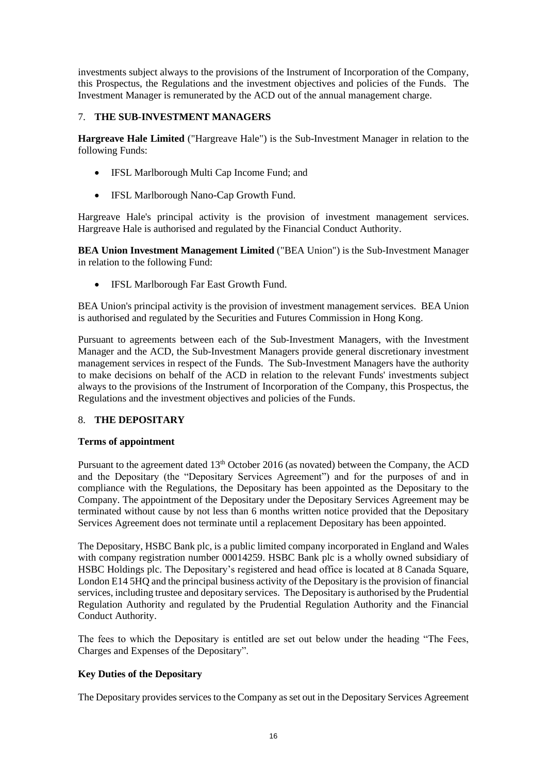investments subject always to the provisions of the Instrument of Incorporation of the Company, this Prospectus, the Regulations and the investment objectives and policies of the Funds. The Investment Manager is remunerated by the ACD out of the annual management charge.

# <span id="page-15-0"></span>7. **THE SUB-INVESTMENT MANAGERS**

**Hargreave Hale Limited** ("Hargreave Hale") is the Sub-Investment Manager in relation to the following Funds:

- IFSL Marlborough Multi Cap Income Fund; and
- IFSL Marlborough Nano-Cap Growth Fund.

Hargreave Hale's principal activity is the provision of investment management services. Hargreave Hale is authorised and regulated by the Financial Conduct Authority.

**BEA Union Investment Management Limited** ("BEA Union") is the Sub-Investment Manager in relation to the following Fund:

• IFSL Marlborough Far East Growth Fund.

BEA Union's principal activity is the provision of investment management services. BEA Union is authorised and regulated by the Securities and Futures Commission in Hong Kong.

Pursuant to agreements between each of the Sub-Investment Managers, with the Investment Manager and the ACD, the Sub-Investment Managers provide general discretionary investment management services in respect of the Funds. The Sub-Investment Managers have the authority to make decisions on behalf of the ACD in relation to the relevant Funds' investments subject always to the provisions of the Instrument of Incorporation of the Company, this Prospectus, the Regulations and the investment objectives and policies of the Funds.

#### <span id="page-15-1"></span>8. **THE DEPOSITARY**

#### **Terms of appointment**

Pursuant to the agreement dated 13<sup>th</sup> October 2016 (as novated) between the Company, the ACD and the Depositary (the "Depositary Services Agreement") and for the purposes of and in compliance with the Regulations, the Depositary has been appointed as the Depositary to the Company. The appointment of the Depositary under the Depositary Services Agreement may be terminated without cause by not less than 6 months written notice provided that the Depositary Services Agreement does not terminate until a replacement Depositary has been appointed.

The Depositary, HSBC Bank plc, is a public limited company incorporated in England and Wales with company registration number 00014259. HSBC Bank plc is a wholly owned subsidiary of HSBC Holdings plc. The Depositary's registered and head office is located at 8 Canada Square, London E14 5HQ and the principal business activity of the Depositary is the provision of financial services, including trustee and depositary services. The Depositary is authorised by the Prudential Regulation Authority and regulated by the Prudential Regulation Authority and the Financial Conduct Authority.

The fees to which the Depositary is entitled are set out below under the heading "The Fees, Charges and Expenses of the Depositary".

# **Key Duties of the Depositary**

The Depositary provides services to the Company as set out in the Depositary Services Agreement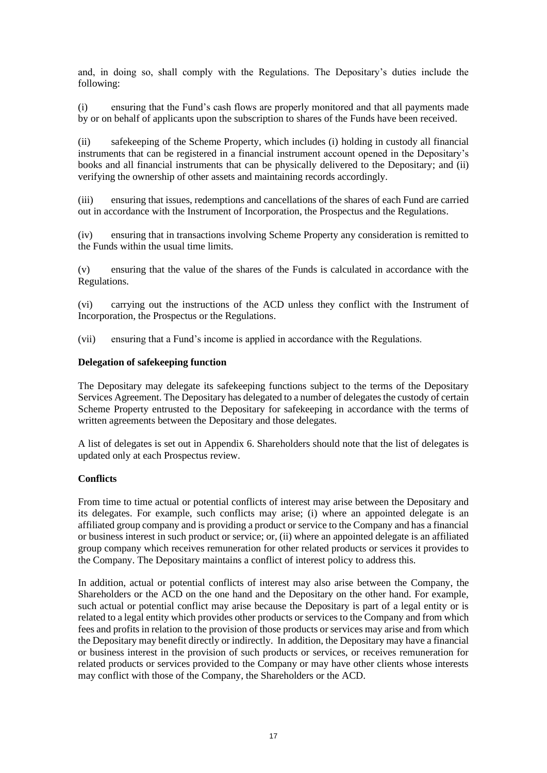and, in doing so, shall comply with the Regulations. The Depositary's duties include the following:

(i) ensuring that the Fund's cash flows are properly monitored and that all payments made by or on behalf of applicants upon the subscription to shares of the Funds have been received.

(ii) safekeeping of the Scheme Property, which includes (i) holding in custody all financial instruments that can be registered in a financial instrument account opened in the Depositary's books and all financial instruments that can be physically delivered to the Depositary; and (ii) verifying the ownership of other assets and maintaining records accordingly.

(iii) ensuring that issues, redemptions and cancellations of the shares of each Fund are carried out in accordance with the Instrument of Incorporation, the Prospectus and the Regulations.

(iv) ensuring that in transactions involving Scheme Property any consideration is remitted to the Funds within the usual time limits.

(v) ensuring that the value of the shares of the Funds is calculated in accordance with the Regulations.

(vi) carrying out the instructions of the ACD unless they conflict with the Instrument of Incorporation, the Prospectus or the Regulations.

(vii) ensuring that a Fund's income is applied in accordance with the Regulations.

#### **Delegation of safekeeping function**

The Depositary may delegate its safekeeping functions subject to the terms of the Depositary Services Agreement. The Depositary has delegated to a number of delegates the custody of certain Scheme Property entrusted to the Depositary for safekeeping in accordance with the terms of written agreements between the Depositary and those delegates.

A list of delegates is set out in Appendix 6. Shareholders should note that the list of delegates is updated only at each Prospectus review.

#### **Conflicts**

From time to time actual or potential conflicts of interest may arise between the Depositary and its delegates. For example, such conflicts may arise; (i) where an appointed delegate is an affiliated group company and is providing a product or service to the Company and has a financial or business interest in such product or service; or, (ii) where an appointed delegate is an affiliated group company which receives remuneration for other related products or services it provides to the Company. The Depositary maintains a conflict of interest policy to address this.

In addition, actual or potential conflicts of interest may also arise between the Company, the Shareholders or the ACD on the one hand and the Depositary on the other hand. For example, such actual or potential conflict may arise because the Depositary is part of a legal entity or is related to a legal entity which provides other products or services to the Company and from which fees and profits in relation to the provision of those products or services may arise and from which the Depositary may benefit directly or indirectly. In addition, the Depositary may have a financial or business interest in the provision of such products or services, or receives remuneration for related products or services provided to the Company or may have other clients whose interests may conflict with those of the Company, the Shareholders or the ACD.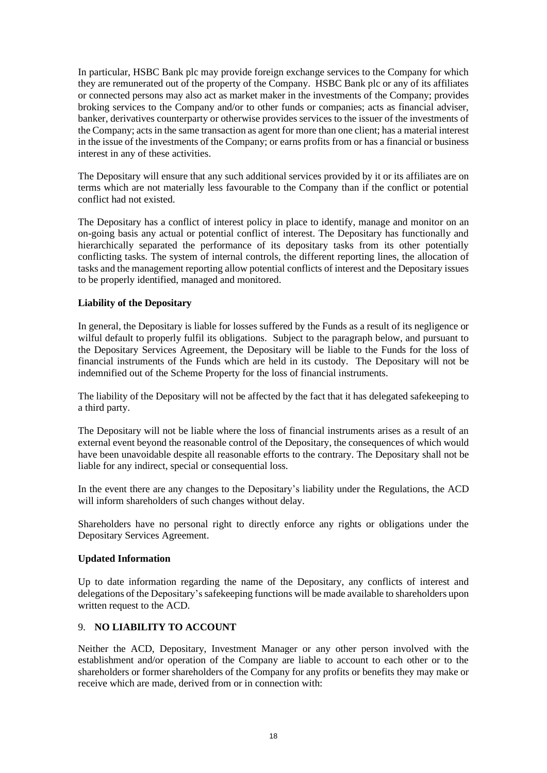In particular, HSBC Bank plc may provide foreign exchange services to the Company for which they are remunerated out of the property of the Company. HSBC Bank plc or any of its affiliates or connected persons may also act as market maker in the investments of the Company; provides broking services to the Company and/or to other funds or companies; acts as financial adviser, banker, derivatives counterparty or otherwise provides services to the issuer of the investments of the Company; acts in the same transaction as agent for more than one client; has a material interest in the issue of the investments of the Company; or earns profits from or has a financial or business interest in any of these activities.

The Depositary will ensure that any such additional services provided by it or its affiliates are on terms which are not materially less favourable to the Company than if the conflict or potential conflict had not existed.

The Depositary has a conflict of interest policy in place to identify, manage and monitor on an on-going basis any actual or potential conflict of interest. The Depositary has functionally and hierarchically separated the performance of its depositary tasks from its other potentially conflicting tasks. The system of internal controls, the different reporting lines, the allocation of tasks and the management reporting allow potential conflicts of interest and the Depositary issues to be properly identified, managed and monitored.

# **Liability of the Depositary**

In general, the Depositary is liable for losses suffered by the Funds as a result of its negligence or wilful default to properly fulfil its obligations. Subject to the paragraph below, and pursuant to the Depositary Services Agreement, the Depositary will be liable to the Funds for the loss of financial instruments of the Funds which are held in its custody. The Depositary will not be indemnified out of the Scheme Property for the loss of financial instruments.

The liability of the Depositary will not be affected by the fact that it has delegated safekeeping to a third party.

The Depositary will not be liable where the loss of financial instruments arises as a result of an external event beyond the reasonable control of the Depositary, the consequences of which would have been unavoidable despite all reasonable efforts to the contrary. The Depositary shall not be liable for any indirect, special or consequential loss.

In the event there are any changes to the Depositary's liability under the Regulations, the ACD will inform shareholders of such changes without delay.

Shareholders have no personal right to directly enforce any rights or obligations under the Depositary Services Agreement.

#### **Updated Information**

Up to date information regarding the name of the Depositary, any conflicts of interest and delegations of the Depositary's safekeeping functions will be made available to shareholders upon written request to the ACD.

# <span id="page-17-0"></span>9. **NO LIABILITY TO ACCOUNT**

Neither the ACD, Depositary, Investment Manager or any other person involved with the establishment and/or operation of the Company are liable to account to each other or to the shareholders or former shareholders of the Company for any profits or benefits they may make or receive which are made, derived from or in connection with: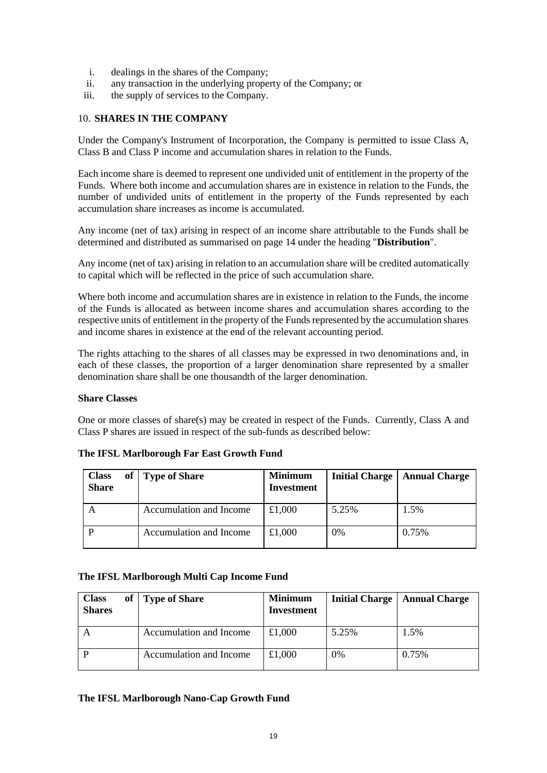- i. dealings in the shares of the Company;
- ii. any transaction in the underlying property of the Company; or
- iii. the supply of services to the Company.

#### <span id="page-18-0"></span>10. **SHARES IN THE COMPANY**

Under the Company's Instrument of Incorporation, the Company is permitted to issue Class A, Class B and Class P income and accumulation shares in relation to the Funds.

Each income share is deemed to represent one undivided unit of entitlement in the property of the Funds. Where both income and accumulation shares are in existence in relation to the Funds, the number of undivided units of entitlement in the property of the Funds represented by each accumulation share increases as income is accumulated.

Any income (net of tax) arising in respect of an income share attributable to the Funds shall be determined and distributed as summarised on page 14 under the heading "**Distribution**".

Any income (net of tax) arising in relation to an accumulation share will be credited automatically to capital which will be reflected in the price of such accumulation share.

Where both income and accumulation shares are in existence in relation to the Funds, the income of the Funds is allocated as between income shares and accumulation shares according to the respective units of entitlement in the property of the Funds represented by the accumulation shares and income shares in existence at the end of the relevant accounting period.

The rights attaching to the shares of all classes may be expressed in two denominations and, in each of these classes, the proportion of a larger denomination share represented by a smaller denomination share shall be one thousandth of the larger denomination.

#### **Share Classes**

One or more classes of share(s) may be created in respect of the Funds. Currently, Class A and Class P shares are issued in respect of the sub-funds as described below:

| <b>Class</b><br><b>Share</b> | of Type of Share        | <b>Minimum</b><br><b>Investment</b> | <b>Initial Charge</b> | <b>Annual Charge</b> |
|------------------------------|-------------------------|-------------------------------------|-----------------------|----------------------|
| A                            | Accumulation and Income | £1,000                              | 5.25%                 | 1.5%                 |
|                              | Accumulation and Income | £1,000                              | 0%                    | 0.75%                |

#### **The IFSL Marlborough Far East Growth Fund**

#### **The IFSL Marlborough Multi Cap Income Fund**

| <b>Class</b><br><b>Shares</b> | of Type of Share        | <b>Minimum</b><br>Investment | <b>Initial Charge</b> | <b>Annual Charge</b> |
|-------------------------------|-------------------------|------------------------------|-----------------------|----------------------|
|                               | Accumulation and Income | £1,000                       | 5.25%                 | 1.5%                 |
|                               | Accumulation and Income | £1,000                       | 0%                    | 0.75%                |

#### **The IFSL Marlborough Nano-Cap Growth Fund**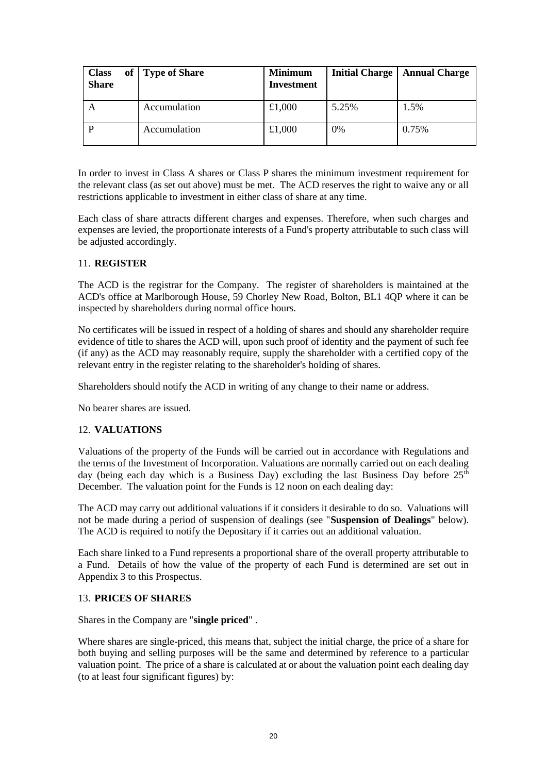| <b>Class</b><br>of<br><b>Share</b> | <b>Type of Share</b> | <b>Minimum</b><br>Investment | <b>Initial Charge</b> | <b>Annual Charge</b> |
|------------------------------------|----------------------|------------------------------|-----------------------|----------------------|
|                                    | Accumulation         | £1,000                       | 5.25%                 | 1.5%                 |
|                                    | Accumulation         | £1,000                       | 0%                    | 0.75%                |

In order to invest in Class A shares or Class P shares the minimum investment requirement for the relevant class (as set out above) must be met. The ACD reserves the right to waive any or all restrictions applicable to investment in either class of share at any time.

Each class of share attracts different charges and expenses. Therefore, when such charges and expenses are levied, the proportionate interests of a Fund's property attributable to such class will be adjusted accordingly.

# <span id="page-19-0"></span>11. **REGISTER**

The ACD is the registrar for the Company. The register of shareholders is maintained at the ACD's office at Marlborough House, 59 Chorley New Road, Bolton, BL1 4QP where it can be inspected by shareholders during normal office hours.

No certificates will be issued in respect of a holding of shares and should any shareholder require evidence of title to shares the ACD will, upon such proof of identity and the payment of such fee (if any) as the ACD may reasonably require, supply the shareholder with a certified copy of the relevant entry in the register relating to the shareholder's holding of shares.

Shareholders should notify the ACD in writing of any change to their name or address.

No bearer shares are issued.

#### <span id="page-19-1"></span>12. **VALUATIONS**

Valuations of the property of the Funds will be carried out in accordance with Regulations and the terms of the Investment of Incorporation. Valuations are normally carried out on each dealing day (being each day which is a Business Day) excluding the last Business Day before  $25<sup>th</sup>$ December. The valuation point for the Funds is 12 noon on each dealing day:

The ACD may carry out additional valuations if it considers it desirable to do so. Valuations will not be made during a period of suspension of dealings (see "**Suspension of Dealings**" below). The ACD is required to notify the Depositary if it carries out an additional valuation.

Each share linked to a Fund represents a proportional share of the overall property attributable to a Fund. Details of how the value of the property of each Fund is determined are set out in Appendix 3 to this Prospectus.

#### <span id="page-19-2"></span>13. **PRICES OF SHARES**

Shares in the Company are "**single priced**" .

Where shares are single-priced, this means that, subject the initial charge, the price of a share for both buying and selling purposes will be the same and determined by reference to a particular valuation point. The price of a share is calculated at or about the valuation point each dealing day (to at least four significant figures) by: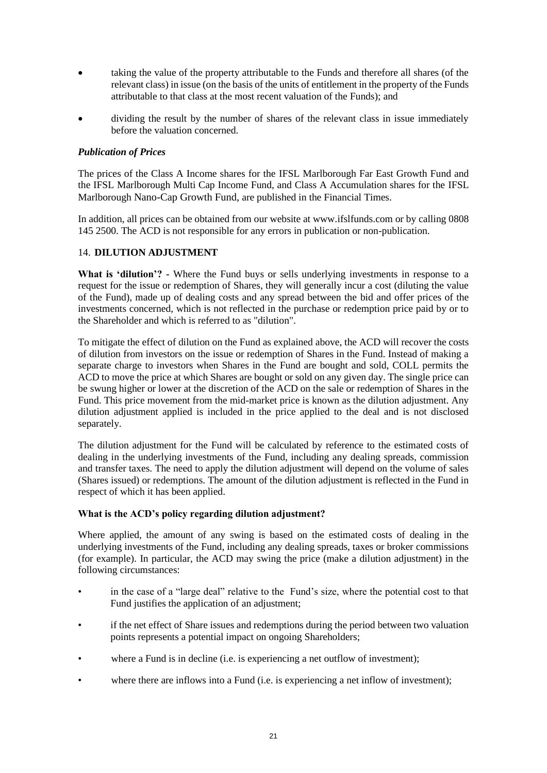- taking the value of the property attributable to the Funds and therefore all shares (of the relevant class) in issue (on the basis of the units of entitlement in the property of the Funds attributable to that class at the most recent valuation of the Funds); and
- dividing the result by the number of shares of the relevant class in issue immediately before the valuation concerned.

# *Publication of Prices*

The prices of the Class A Income shares for the IFSL Marlborough Far East Growth Fund and the IFSL Marlborough Multi Cap Income Fund, and Class A Accumulation shares for the IFSL Marlborough Nano-Cap Growth Fund, are published in the Financial Times.

In addition, all prices can be obtained from our website at www.ifslfunds.com or by calling 0808 145 2500. The ACD is not responsible for any errors in publication or non-publication.

# <span id="page-20-0"></span>14. **DILUTION ADJUSTMENT**

**What is 'dilution'? -** Where the Fund buys or sells underlying investments in response to a request for the issue or redemption of Shares, they will generally incur a cost (diluting the value of the Fund), made up of dealing costs and any spread between the bid and offer prices of the investments concerned, which is not reflected in the purchase or redemption price paid by or to the Shareholder and which is referred to as "dilution".

To mitigate the effect of dilution on the Fund as explained above, the ACD will recover the costs of dilution from investors on the issue or redemption of Shares in the Fund. Instead of making a separate charge to investors when Shares in the Fund are bought and sold, COLL permits the ACD to move the price at which Shares are bought or sold on any given day. The single price can be swung higher or lower at the discretion of the ACD on the sale or redemption of Shares in the Fund. This price movement from the mid-market price is known as the dilution adjustment. Any dilution adjustment applied is included in the price applied to the deal and is not disclosed separately.

The dilution adjustment for the Fund will be calculated by reference to the estimated costs of dealing in the underlying investments of the Fund, including any dealing spreads, commission and transfer taxes. The need to apply the dilution adjustment will depend on the volume of sales (Shares issued) or redemptions. The amount of the dilution adjustment is reflected in the Fund in respect of which it has been applied.

#### **What is the ACD's policy regarding dilution adjustment?**

Where applied, the amount of any swing is based on the estimated costs of dealing in the underlying investments of the Fund, including any dealing spreads, taxes or broker commissions (for example). In particular, the ACD may swing the price (make a dilution adjustment) in the following circumstances:

- in the case of a "large deal" relative to the Fund's size, where the potential cost to that Fund justifies the application of an adjustment;
- if the net effect of Share issues and redemptions during the period between two valuation points represents a potential impact on ongoing Shareholders;
- where a Fund is in decline (i.e. is experiencing a net outflow of investment);
- where there are inflows into a Fund (i.e. is experiencing a net inflow of investment);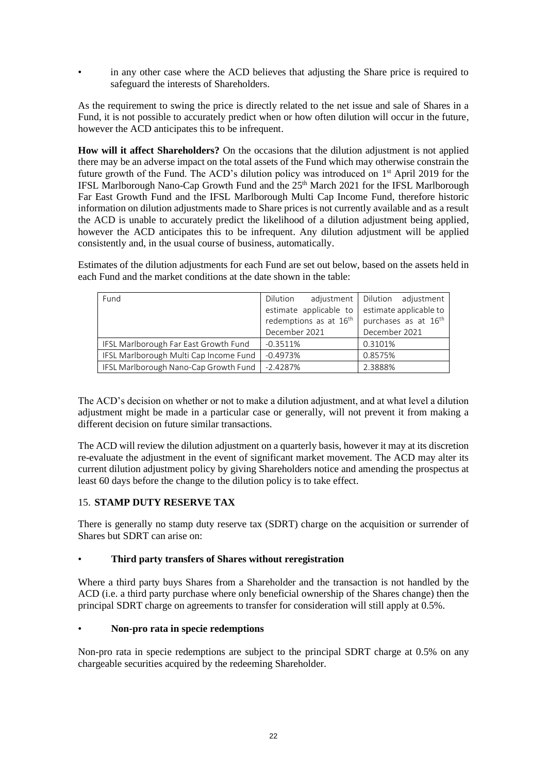in any other case where the ACD believes that adjusting the Share price is required to safeguard the interests of Shareholders.

As the requirement to swing the price is directly related to the net issue and sale of Shares in a Fund, it is not possible to accurately predict when or how often dilution will occur in the future, however the ACD anticipates this to be infrequent.

**How will it affect Shareholders?** On the occasions that the dilution adjustment is not applied there may be an adverse impact on the total assets of the Fund which may otherwise constrain the future growth of the Fund. The ACD's dilution policy was introduced on 1<sup>st</sup> April 2019 for the IFSL Marlborough Nano-Cap Growth Fund and the 25<sup>th</sup> March 2021 for the IFSL Marlborough Far East Growth Fund and the IFSL Marlborough Multi Cap Income Fund, therefore historic information on dilution adjustments made to Share prices is not currently available and as a result the ACD is unable to accurately predict the likelihood of a dilution adjustment being applied, however the ACD anticipates this to be infrequent. Any dilution adjustment will be applied consistently and, in the usual course of business, automatically.

Estimates of the dilution adjustments for each Fund are set out below, based on the assets held in each Fund and the market conditions at the date shown in the table:

| Fund                                   | Dilution                           | adjustment   Dilution adjustment |
|----------------------------------------|------------------------------------|----------------------------------|
|                                        | estimate applicable to             | estimate applicable to           |
|                                        | redemptions as at 16 <sup>th</sup> | purchases as at 16 <sup>th</sup> |
|                                        | December 2021                      | December 2021                    |
| IFSL Marlborough Far East Growth Fund  | $-0.3511%$                         | 0.3101%                          |
| IFSL Marlborough Multi Cap Income Fund | $-0.4973%$                         | 0.8575%                          |
| IFSL Marlborough Nano-Cap Growth Fund  | $-2.4287%$                         | 2.3888%                          |

The ACD's decision on whether or not to make a dilution adjustment, and at what level a dilution adjustment might be made in a particular case or generally, will not prevent it from making a different decision on future similar transactions.

The ACD will review the dilution adjustment on a quarterly basis, however it may at its discretion re-evaluate the adjustment in the event of significant market movement. The ACD may alter its current dilution adjustment policy by giving Shareholders notice and amending the prospectus at least 60 days before the change to the dilution policy is to take effect.

# <span id="page-21-0"></span>15. **STAMP DUTY RESERVE TAX**

There is generally no stamp duty reserve tax (SDRT) charge on the acquisition or surrender of Shares but SDRT can arise on:

#### • **Third party transfers of Shares without reregistration**

Where a third party buys Shares from a Shareholder and the transaction is not handled by the ACD (i.e. a third party purchase where only beneficial ownership of the Shares change) then the principal SDRT charge on agreements to transfer for consideration will still apply at 0.5%.

#### • **Non-pro rata in specie redemptions**

Non-pro rata in specie redemptions are subject to the principal SDRT charge at 0.5% on any chargeable securities acquired by the redeeming Shareholder.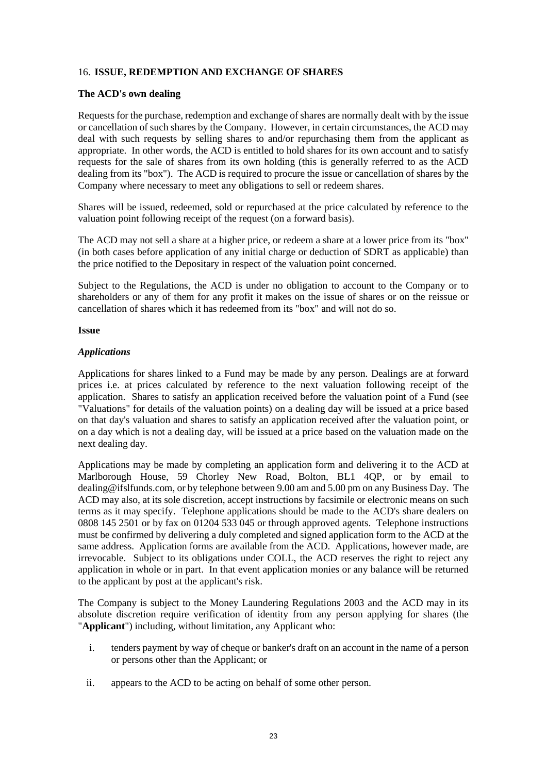# <span id="page-22-0"></span>16. **ISSUE, REDEMPTION AND EXCHANGE OF SHARES**

#### **The ACD's own dealing**

Requests for the purchase, redemption and exchange of shares are normally dealt with by the issue or cancellation of such shares by the Company. However, in certain circumstances, the ACD may deal with such requests by selling shares to and/or repurchasing them from the applicant as appropriate. In other words, the ACD is entitled to hold shares for its own account and to satisfy requests for the sale of shares from its own holding (this is generally referred to as the ACD dealing from its "box"). The ACD is required to procure the issue or cancellation of shares by the Company where necessary to meet any obligations to sell or redeem shares.

Shares will be issued, redeemed, sold or repurchased at the price calculated by reference to the valuation point following receipt of the request (on a forward basis).

The ACD may not sell a share at a higher price, or redeem a share at a lower price from its "box" (in both cases before application of any initial charge or deduction of SDRT as applicable) than the price notified to the Depositary in respect of the valuation point concerned.

Subject to the Regulations, the ACD is under no obligation to account to the Company or to shareholders or any of them for any profit it makes on the issue of shares or on the reissue or cancellation of shares which it has redeemed from its "box" and will not do so.

#### **Issue**

#### *Applications*

Applications for shares linked to a Fund may be made by any person. Dealings are at forward prices i.e. at prices calculated by reference to the next valuation following receipt of the application. Shares to satisfy an application received before the valuation point of a Fund (see "Valuations" for details of the valuation points) on a dealing day will be issued at a price based on that day's valuation and shares to satisfy an application received after the valuation point, or on a day which is not a dealing day, will be issued at a price based on the valuation made on the next dealing day.

Applications may be made by completing an application form and delivering it to the ACD at Marlborough House, 59 Chorley New Road, Bolton, BL1 4QP, or by email to dealing@ifslfunds.com, or by telephone between 9.00 am and 5.00 pm on any Business Day. The ACD may also, at its sole discretion, accept instructions by facsimile or electronic means on such terms as it may specify. Telephone applications should be made to the ACD's share dealers on 0808 145 2501 or by fax on 01204 533 045 or through approved agents. Telephone instructions must be confirmed by delivering a duly completed and signed application form to the ACD at the same address. Application forms are available from the ACD. Applications, however made, are irrevocable. Subject to its obligations under COLL, the ACD reserves the right to reject any application in whole or in part. In that event application monies or any balance will be returned to the applicant by post at the applicant's risk.

The Company is subject to the Money Laundering Regulations 2003 and the ACD may in its absolute discretion require verification of identity from any person applying for shares (the "**Applicant**") including, without limitation, any Applicant who:

- i. tenders payment by way of cheque or banker's draft on an account in the name of a person or persons other than the Applicant; or
- ii. appears to the ACD to be acting on behalf of some other person.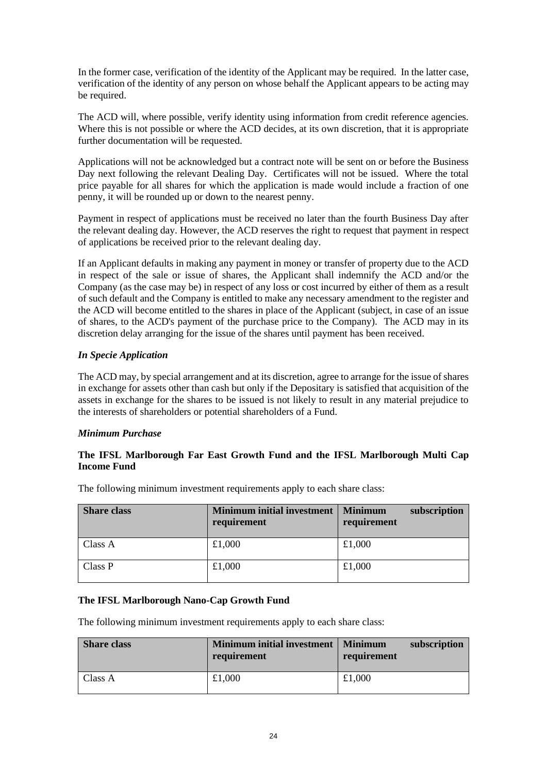In the former case, verification of the identity of the Applicant may be required. In the latter case, verification of the identity of any person on whose behalf the Applicant appears to be acting may be required.

The ACD will, where possible, verify identity using information from credit reference agencies. Where this is not possible or where the ACD decides, at its own discretion, that it is appropriate further documentation will be requested.

Applications will not be acknowledged but a contract note will be sent on or before the Business Day next following the relevant Dealing Day. Certificates will not be issued. Where the total price payable for all shares for which the application is made would include a fraction of one penny, it will be rounded up or down to the nearest penny.

Payment in respect of applications must be received no later than the fourth Business Day after the relevant dealing day. However, the ACD reserves the right to request that payment in respect of applications be received prior to the relevant dealing day.

If an Applicant defaults in making any payment in money or transfer of property due to the ACD in respect of the sale or issue of shares, the Applicant shall indemnify the ACD and/or the Company (as the case may be) in respect of any loss or cost incurred by either of them as a result of such default and the Company is entitled to make any necessary amendment to the register and the ACD will become entitled to the shares in place of the Applicant (subject, in case of an issue of shares, to the ACD's payment of the purchase price to the Company). The ACD may in its discretion delay arranging for the issue of the shares until payment has been received.

# *In Specie Application*

The ACD may, by special arrangement and at its discretion, agree to arrange for the issue of shares in exchange for assets other than cash but only if the Depositary is satisfied that acquisition of the assets in exchange for the shares to be issued is not likely to result in any material prejudice to the interests of shareholders or potential shareholders of a Fund.

# *Minimum Purchase*

# **The IFSL Marlborough Far East Growth Fund and the IFSL Marlborough Multi Cap Income Fund**

| <b>Share class</b> | <b>Minimum initial investment</b><br>requirement | subscription<br><b>Minimum</b><br>requirement |
|--------------------|--------------------------------------------------|-----------------------------------------------|
| Class A            | £1,000                                           | £1,000                                        |
| Class P            | £1,000                                           | £1,000                                        |

The following minimum investment requirements apply to each share class:

# **The IFSL Marlborough Nano-Cap Growth Fund**

The following minimum investment requirements apply to each share class:

| <b>Share class</b> | <b>Minimum initial investment</b><br>requirement | Minimum<br>subscription<br>requirement |
|--------------------|--------------------------------------------------|----------------------------------------|
| Class A            | £1,000                                           | £1,000                                 |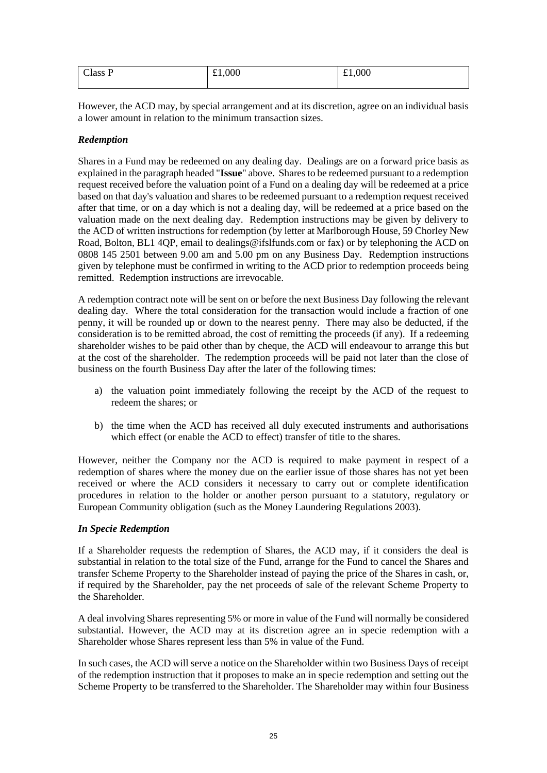| $\sim$<br>Class P | £1,000 | £1,000 |
|-------------------|--------|--------|
|                   |        |        |

However, the ACD may, by special arrangement and at its discretion, agree on an individual basis a lower amount in relation to the minimum transaction sizes.

# *Redemption*

Shares in a Fund may be redeemed on any dealing day. Dealings are on a forward price basis as explained in the paragraph headed "**Issue**" above. Shares to be redeemed pursuant to a redemption request received before the valuation point of a Fund on a dealing day will be redeemed at a price based on that day's valuation and shares to be redeemed pursuant to a redemption request received after that time, or on a day which is not a dealing day, will be redeemed at a price based on the valuation made on the next dealing day. Redemption instructions may be given by delivery to the ACD of written instructions for redemption (by letter at Marlborough House, 59 Chorley New Road, Bolton, BL1 4QP, email to dealings@ifslfunds.com or fax) or by telephoning the ACD on 0808 145 2501 between 9.00 am and 5.00 pm on any Business Day. Redemption instructions given by telephone must be confirmed in writing to the ACD prior to redemption proceeds being remitted. Redemption instructions are irrevocable.

A redemption contract note will be sent on or before the next Business Day following the relevant dealing day. Where the total consideration for the transaction would include a fraction of one penny, it will be rounded up or down to the nearest penny. There may also be deducted, if the consideration is to be remitted abroad, the cost of remitting the proceeds (if any). If a redeeming shareholder wishes to be paid other than by cheque, the ACD will endeavour to arrange this but at the cost of the shareholder. The redemption proceeds will be paid not later than the close of business on the fourth Business Day after the later of the following times:

- a) the valuation point immediately following the receipt by the ACD of the request to redeem the shares; or
- b) the time when the ACD has received all duly executed instruments and authorisations which effect (or enable the ACD to effect) transfer of title to the shares.

However, neither the Company nor the ACD is required to make payment in respect of a redemption of shares where the money due on the earlier issue of those shares has not yet been received or where the ACD considers it necessary to carry out or complete identification procedures in relation to the holder or another person pursuant to a statutory, regulatory or European Community obligation (such as the Money Laundering Regulations 2003).

#### *In Specie Redemption*

If a Shareholder requests the redemption of Shares, the ACD may, if it considers the deal is substantial in relation to the total size of the Fund, arrange for the Fund to cancel the Shares and transfer Scheme Property to the Shareholder instead of paying the price of the Shares in cash, or, if required by the Shareholder, pay the net proceeds of sale of the relevant Scheme Property to the Shareholder.

A deal involving Shares representing 5% or more in value of the Fund will normally be considered substantial. However, the ACD may at its discretion agree an in specie redemption with a Shareholder whose Shares represent less than 5% in value of the Fund.

In such cases, the ACD will serve a notice on the Shareholder within two Business Days of receipt of the redemption instruction that it proposes to make an in specie redemption and setting out the Scheme Property to be transferred to the Shareholder. The Shareholder may within four Business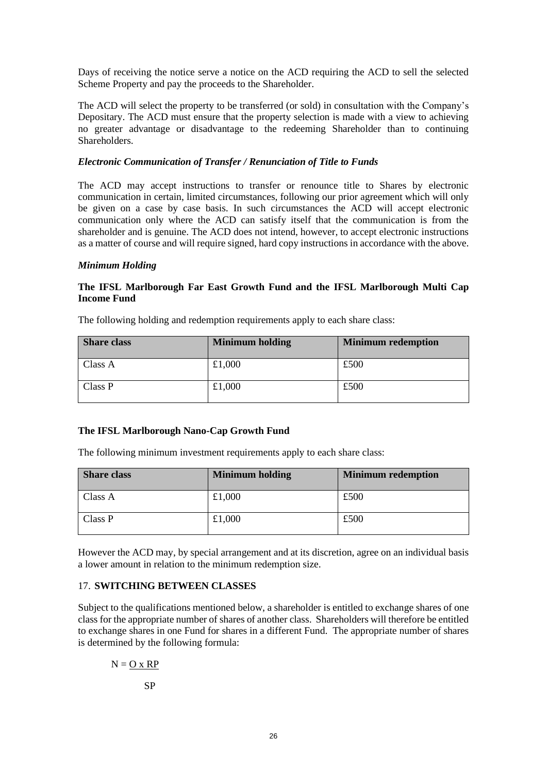Days of receiving the notice serve a notice on the ACD requiring the ACD to sell the selected Scheme Property and pay the proceeds to the Shareholder.

The ACD will select the property to be transferred (or sold) in consultation with the Company's Depositary. The ACD must ensure that the property selection is made with a view to achieving no greater advantage or disadvantage to the redeeming Shareholder than to continuing **Shareholders** 

# *Electronic Communication of Transfer / Renunciation of Title to Funds*

The ACD may accept instructions to transfer or renounce title to Shares by electronic communication in certain, limited circumstances, following our prior agreement which will only be given on a case by case basis. In such circumstances the ACD will accept electronic communication only where the ACD can satisfy itself that the communication is from the shareholder and is genuine. The ACD does not intend, however, to accept electronic instructions as a matter of course and will require signed, hard copy instructions in accordance with the above.

#### *Minimum Holding*

# **The IFSL Marlborough Far East Growth Fund and the IFSL Marlborough Multi Cap Income Fund**

| <b>Share class</b> | <b>Minimum holding</b> | <b>Minimum redemption</b> |
|--------------------|------------------------|---------------------------|
| Class A            | £1,000                 | £500                      |
| Class P            | £1,000                 | £500                      |

The following holding and redemption requirements apply to each share class:

#### **The IFSL Marlborough Nano-Cap Growth Fund**

The following minimum investment requirements apply to each share class:

| <b>Share class</b> | <b>Minimum holding</b> | <b>Minimum redemption</b> |  |
|--------------------|------------------------|---------------------------|--|
| Class A            | £1,000                 | £500                      |  |
| Class P            | £1,000                 | £500                      |  |

However the ACD may, by special arrangement and at its discretion, agree on an individual basis a lower amount in relation to the minimum redemption size.

#### <span id="page-25-0"></span>17. **SWITCHING BETWEEN CLASSES**

Subject to the qualifications mentioned below, a shareholder is entitled to exchange shares of one class for the appropriate number of shares of another class. Shareholders will therefore be entitled to exchange shares in one Fund for shares in a different Fund. The appropriate number of shares is determined by the following formula:

$$
N = \underline{O} \times \underline{RP}
$$

SP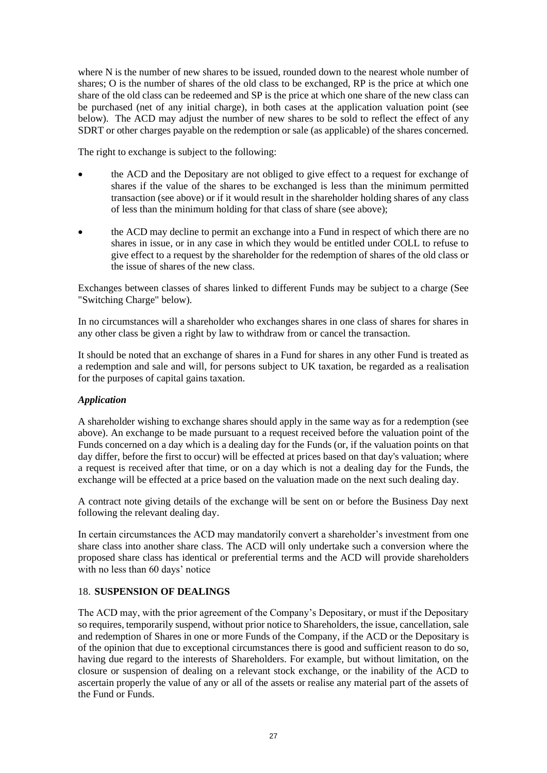where N is the number of new shares to be issued, rounded down to the nearest whole number of shares; O is the number of shares of the old class to be exchanged, RP is the price at which one share of the old class can be redeemed and SP is the price at which one share of the new class can be purchased (net of any initial charge), in both cases at the application valuation point (see below). The ACD may adjust the number of new shares to be sold to reflect the effect of any SDRT or other charges payable on the redemption or sale (as applicable) of the shares concerned.

The right to exchange is subject to the following:

- the ACD and the Depositary are not obliged to give effect to a request for exchange of shares if the value of the shares to be exchanged is less than the minimum permitted transaction (see above) or if it would result in the shareholder holding shares of any class of less than the minimum holding for that class of share (see above);
- the ACD may decline to permit an exchange into a Fund in respect of which there are no shares in issue, or in any case in which they would be entitled under COLL to refuse to give effect to a request by the shareholder for the redemption of shares of the old class or the issue of shares of the new class.

Exchanges between classes of shares linked to different Funds may be subject to a charge (See "Switching Charge" below).

In no circumstances will a shareholder who exchanges shares in one class of shares for shares in any other class be given a right by law to withdraw from or cancel the transaction.

It should be noted that an exchange of shares in a Fund for shares in any other Fund is treated as a redemption and sale and will, for persons subject to UK taxation, be regarded as a realisation for the purposes of capital gains taxation.

#### *Application*

A shareholder wishing to exchange shares should apply in the same way as for a redemption (see above). An exchange to be made pursuant to a request received before the valuation point of the Funds concerned on a day which is a dealing day for the Funds (or, if the valuation points on that day differ, before the first to occur) will be effected at prices based on that day's valuation; where a request is received after that time, or on a day which is not a dealing day for the Funds, the exchange will be effected at a price based on the valuation made on the next such dealing day.

A contract note giving details of the exchange will be sent on or before the Business Day next following the relevant dealing day.

In certain circumstances the ACD may mandatorily convert a shareholder's investment from one share class into another share class. The ACD will only undertake such a conversion where the proposed share class has identical or preferential terms and the ACD will provide shareholders with no less than 60 days' notice

#### <span id="page-26-0"></span>18. **SUSPENSION OF DEALINGS**

The ACD may, with the prior agreement of the Company's Depositary, or must if the Depositary so requires, temporarily suspend, without prior notice to Shareholders, the issue, cancellation, sale and redemption of Shares in one or more Funds of the Company, if the ACD or the Depositary is of the opinion that due to exceptional circumstances there is good and sufficient reason to do so, having due regard to the interests of Shareholders. For example, but without limitation, on the closure or suspension of dealing on a relevant stock exchange, or the inability of the ACD to ascertain properly the value of any or all of the assets or realise any material part of the assets of the Fund or Funds.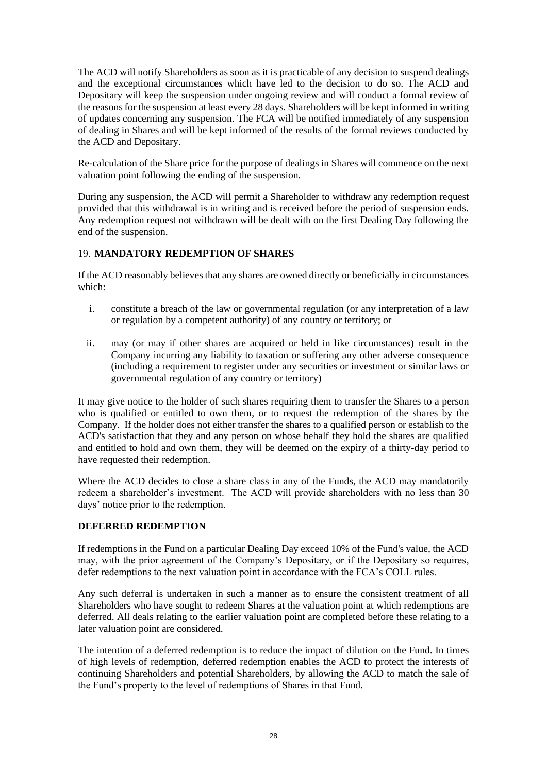The ACD will notify Shareholders as soon as it is practicable of any decision to suspend dealings and the exceptional circumstances which have led to the decision to do so. The ACD and Depositary will keep the suspension under ongoing review and will conduct a formal review of the reasons for the suspension at least every 28 days. Shareholders will be kept informed in writing of updates concerning any suspension. The FCA will be notified immediately of any suspension of dealing in Shares and will be kept informed of the results of the formal reviews conducted by the ACD and Depositary.

Re-calculation of the Share price for the purpose of dealings in Shares will commence on the next valuation point following the ending of the suspension.

During any suspension, the ACD will permit a Shareholder to withdraw any redemption request provided that this withdrawal is in writing and is received before the period of suspension ends. Any redemption request not withdrawn will be dealt with on the first Dealing Day following the end of the suspension.

# <span id="page-27-0"></span>19. **MANDATORY REDEMPTION OF SHARES**

If the ACD reasonably believes that any shares are owned directly or beneficially in circumstances which:

- i. constitute a breach of the law or governmental regulation (or any interpretation of a law or regulation by a competent authority) of any country or territory; or
- ii. may (or may if other shares are acquired or held in like circumstances) result in the Company incurring any liability to taxation or suffering any other adverse consequence (including a requirement to register under any securities or investment or similar laws or governmental regulation of any country or territory)

It may give notice to the holder of such shares requiring them to transfer the Shares to a person who is qualified or entitled to own them, or to request the redemption of the shares by the Company. If the holder does not either transfer the shares to a qualified person or establish to the ACD's satisfaction that they and any person on whose behalf they hold the shares are qualified and entitled to hold and own them, they will be deemed on the expiry of a thirty-day period to have requested their redemption.

Where the ACD decides to close a share class in any of the Funds, the ACD may mandatorily redeem a shareholder's investment. The ACD will provide shareholders with no less than 30 days' notice prior to the redemption.

# **DEFERRED REDEMPTION**

If redemptions in the Fund on a particular Dealing Day exceed 10% of the Fund's value, the ACD may, with the prior agreement of the Company's Depositary, or if the Depositary so requires, defer redemptions to the next valuation point in accordance with the FCA's COLL rules.

Any such deferral is undertaken in such a manner as to ensure the consistent treatment of all Shareholders who have sought to redeem Shares at the valuation point at which redemptions are deferred. All deals relating to the earlier valuation point are completed before these relating to a later valuation point are considered.

The intention of a deferred redemption is to reduce the impact of dilution on the Fund. In times of high levels of redemption, deferred redemption enables the ACD to protect the interests of continuing Shareholders and potential Shareholders, by allowing the ACD to match the sale of the Fund's property to the level of redemptions of Shares in that Fund.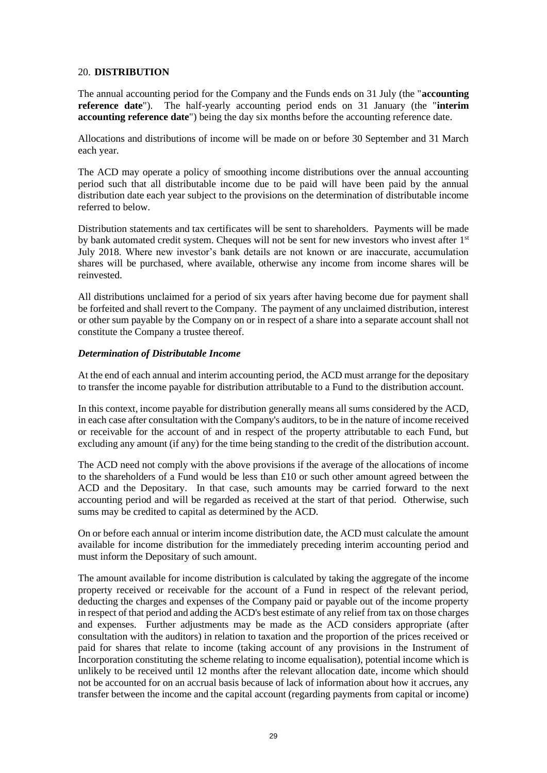#### <span id="page-28-0"></span>20. **DISTRIBUTION**

The annual accounting period for the Company and the Funds ends on 31 July (the "**accounting reference date**"). The half-yearly accounting period ends on 31 January (the "**interim accounting reference date**") being the day six months before the accounting reference date.

Allocations and distributions of income will be made on or before 30 September and 31 March each year.

The ACD may operate a policy of smoothing income distributions over the annual accounting period such that all distributable income due to be paid will have been paid by the annual distribution date each year subject to the provisions on the determination of distributable income referred to below.

Distribution statements and tax certificates will be sent to shareholders. Payments will be made by bank automated credit system. Cheques will not be sent for new investors who invest after 1st July 2018. Where new investor's bank details are not known or are inaccurate, accumulation shares will be purchased, where available, otherwise any income from income shares will be reinvested.

All distributions unclaimed for a period of six years after having become due for payment shall be forfeited and shall revert to the Company. The payment of any unclaimed distribution, interest or other sum payable by the Company on or in respect of a share into a separate account shall not constitute the Company a trustee thereof.

#### *Determination of Distributable Income*

At the end of each annual and interim accounting period, the ACD must arrange for the depositary to transfer the income payable for distribution attributable to a Fund to the distribution account.

In this context, income payable for distribution generally means all sums considered by the ACD, in each case after consultation with the Company's auditors, to be in the nature of income received or receivable for the account of and in respect of the property attributable to each Fund, but excluding any amount (if any) for the time being standing to the credit of the distribution account.

The ACD need not comply with the above provisions if the average of the allocations of income to the shareholders of a Fund would be less than £10 or such other amount agreed between the ACD and the Depositary. In that case, such amounts may be carried forward to the next accounting period and will be regarded as received at the start of that period. Otherwise, such sums may be credited to capital as determined by the ACD.

On or before each annual or interim income distribution date, the ACD must calculate the amount available for income distribution for the immediately preceding interim accounting period and must inform the Depositary of such amount.

The amount available for income distribution is calculated by taking the aggregate of the income property received or receivable for the account of a Fund in respect of the relevant period, deducting the charges and expenses of the Company paid or payable out of the income property in respect of that period and adding the ACD's best estimate of any relief from tax on those charges and expenses. Further adjustments may be made as the ACD considers appropriate (after consultation with the auditors) in relation to taxation and the proportion of the prices received or paid for shares that relate to income (taking account of any provisions in the Instrument of Incorporation constituting the scheme relating to income equalisation), potential income which is unlikely to be received until 12 months after the relevant allocation date, income which should not be accounted for on an accrual basis because of lack of information about how it accrues, any transfer between the income and the capital account (regarding payments from capital or income)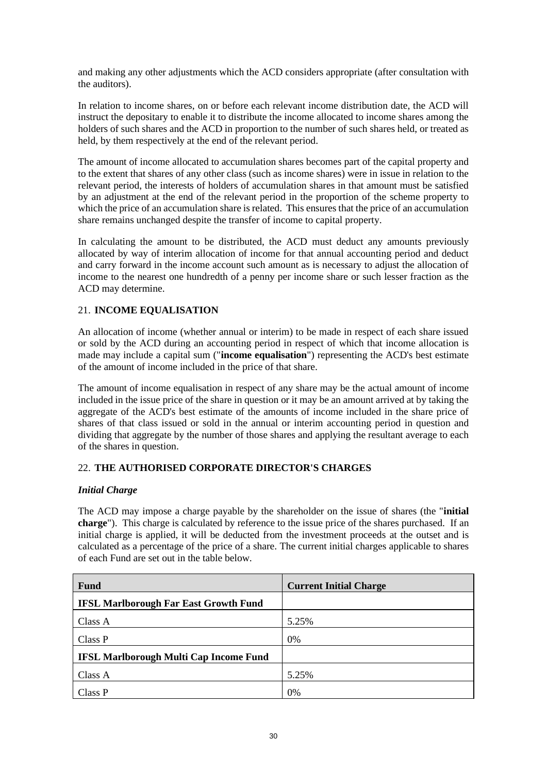and making any other adjustments which the ACD considers appropriate (after consultation with the auditors).

In relation to income shares, on or before each relevant income distribution date, the ACD will instruct the depositary to enable it to distribute the income allocated to income shares among the holders of such shares and the ACD in proportion to the number of such shares held, or treated as held, by them respectively at the end of the relevant period.

The amount of income allocated to accumulation shares becomes part of the capital property and to the extent that shares of any other class (such as income shares) were in issue in relation to the relevant period, the interests of holders of accumulation shares in that amount must be satisfied by an adjustment at the end of the relevant period in the proportion of the scheme property to which the price of an accumulation share is related. This ensures that the price of an accumulation share remains unchanged despite the transfer of income to capital property.

In calculating the amount to be distributed, the ACD must deduct any amounts previously allocated by way of interim allocation of income for that annual accounting period and deduct and carry forward in the income account such amount as is necessary to adjust the allocation of income to the nearest one hundredth of a penny per income share or such lesser fraction as the ACD may determine.

# <span id="page-29-0"></span>21. **INCOME EQUALISATION**

An allocation of income (whether annual or interim) to be made in respect of each share issued or sold by the ACD during an accounting period in respect of which that income allocation is made may include a capital sum ("**income equalisation**") representing the ACD's best estimate of the amount of income included in the price of that share.

The amount of income equalisation in respect of any share may be the actual amount of income included in the issue price of the share in question or it may be an amount arrived at by taking the aggregate of the ACD's best estimate of the amounts of income included in the share price of shares of that class issued or sold in the annual or interim accounting period in question and dividing that aggregate by the number of those shares and applying the resultant average to each of the shares in question.

# <span id="page-29-1"></span>22. **THE AUTHORISED CORPORATE DIRECTOR'S CHARGES**

# *Initial Charge*

The ACD may impose a charge payable by the shareholder on the issue of shares (the "**initial charge**"). This charge is calculated by reference to the issue price of the shares purchased. If an initial charge is applied, it will be deducted from the investment proceeds at the outset and is calculated as a percentage of the price of a share. The current initial charges applicable to shares of each Fund are set out in the table below.

| <b>Fund</b>                                   | <b>Current Initial Charge</b> |
|-----------------------------------------------|-------------------------------|
| <b>IFSL Marlborough Far East Growth Fund</b>  |                               |
| Class A                                       | 5.25%                         |
| Class P                                       | $0\%$                         |
| <b>IFSL Marlborough Multi Cap Income Fund</b> |                               |
| Class A                                       | 5.25%                         |
| Class P                                       | 0%                            |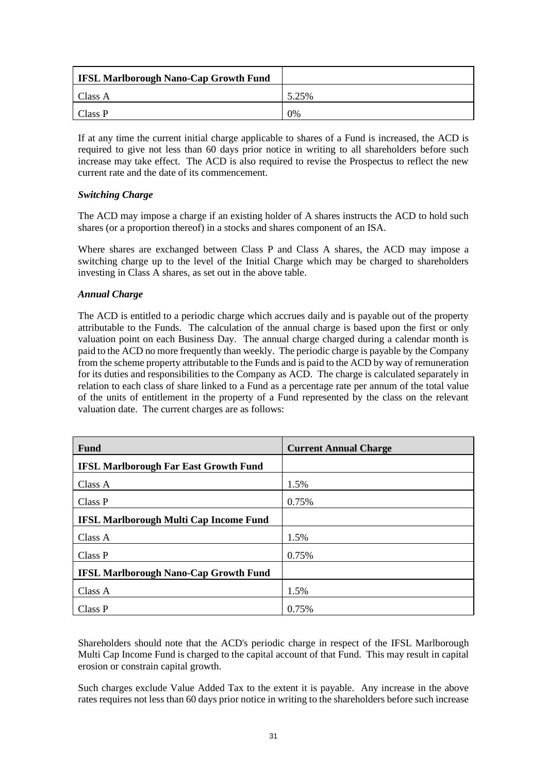| <b>IFSL Marlborough Nano-Cap Growth Fund</b> |       |
|----------------------------------------------|-------|
| Class A                                      | 5.25% |
| Class P                                      | 0%    |

If at any time the current initial charge applicable to shares of a Fund is increased, the ACD is required to give not less than 60 days prior notice in writing to all shareholders before such increase may take effect. The ACD is also required to revise the Prospectus to reflect the new current rate and the date of its commencement.

# *Switching Charge*

The ACD may impose a charge if an existing holder of A shares instructs the ACD to hold such shares (or a proportion thereof) in a stocks and shares component of an ISA.

Where shares are exchanged between Class P and Class A shares, the ACD may impose a switching charge up to the level of the Initial Charge which may be charged to shareholders investing in Class A shares, as set out in the above table.

# *Annual Charge*

The ACD is entitled to a periodic charge which accrues daily and is payable out of the property attributable to the Funds. The calculation of the annual charge is based upon the first or only valuation point on each Business Day. The annual charge charged during a calendar month is paid to the ACD no more frequently than weekly. The periodic charge is payable by the Company from the scheme property attributable to the Funds and is paid to the ACD by way of remuneration for its duties and responsibilities to the Company as ACD. The charge is calculated separately in relation to each class of share linked to a Fund as a percentage rate per annum of the total value of the units of entitlement in the property of a Fund represented by the class on the relevant valuation date. The current charges are as follows:

| <b>Fund</b>                                   | <b>Current Annual Charge</b> |
|-----------------------------------------------|------------------------------|
| <b>IFSL Marlborough Far East Growth Fund</b>  |                              |
| Class A                                       | 1.5%                         |
| Class P                                       | 0.75%                        |
| <b>IFSL Marlborough Multi Cap Income Fund</b> |                              |
| Class A                                       | 1.5%                         |
| Class P                                       | 0.75%                        |
| <b>IFSL Marlborough Nano-Cap Growth Fund</b>  |                              |
| Class A                                       | 1.5%                         |
| Class P                                       | 0.75%                        |

Shareholders should note that the ACD's periodic charge in respect of the IFSL Marlborough Multi Cap Income Fund is charged to the capital account of that Fund. This may result in capital erosion or constrain capital growth.

Such charges exclude Value Added Tax to the extent it is payable. Any increase in the above rates requires not less than 60 days prior notice in writing to the shareholders before such increase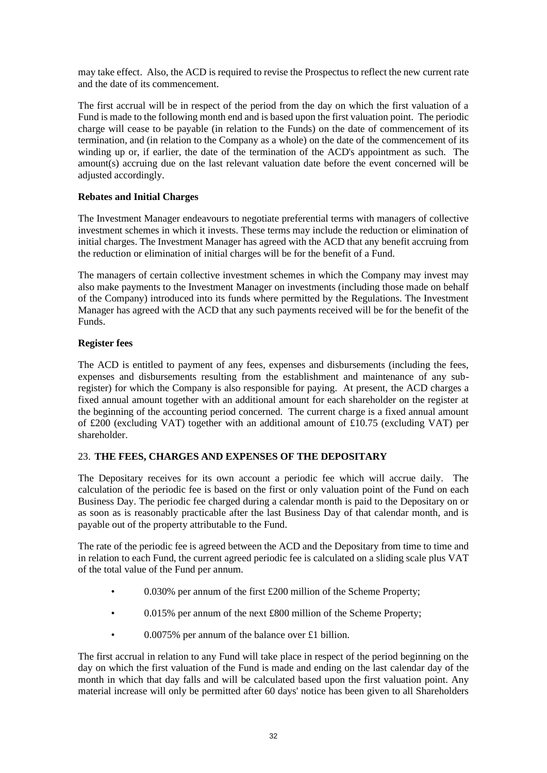may take effect. Also, the ACD is required to revise the Prospectus to reflect the new current rate and the date of its commencement.

The first accrual will be in respect of the period from the day on which the first valuation of a Fund is made to the following month end and is based upon the first valuation point. The periodic charge will cease to be payable (in relation to the Funds) on the date of commencement of its termination, and (in relation to the Company as a whole) on the date of the commencement of its winding up or, if earlier, the date of the termination of the ACD's appointment as such. The amount(s) accruing due on the last relevant valuation date before the event concerned will be adjusted accordingly.

# **Rebates and Initial Charges**

The Investment Manager endeavours to negotiate preferential terms with managers of collective investment schemes in which it invests. These terms may include the reduction or elimination of initial charges. The Investment Manager has agreed with the ACD that any benefit accruing from the reduction or elimination of initial charges will be for the benefit of a Fund.

The managers of certain collective investment schemes in which the Company may invest may also make payments to the Investment Manager on investments (including those made on behalf of the Company) introduced into its funds where permitted by the Regulations. The Investment Manager has agreed with the ACD that any such payments received will be for the benefit of the Funds.

# **Register fees**

The ACD is entitled to payment of any fees, expenses and disbursements (including the fees, expenses and disbursements resulting from the establishment and maintenance of any subregister) for which the Company is also responsible for paying. At present, the ACD charges a fixed annual amount together with an additional amount for each shareholder on the register at the beginning of the accounting period concerned. The current charge is a fixed annual amount of £200 (excluding VAT) together with an additional amount of £10.75 (excluding VAT) per shareholder.

# <span id="page-31-0"></span>23. **THE FEES, CHARGES AND EXPENSES OF THE DEPOSITARY**

The Depositary receives for its own account a periodic fee which will accrue daily. The calculation of the periodic fee is based on the first or only valuation point of the Fund on each Business Day. The periodic fee charged during a calendar month is paid to the Depositary on or as soon as is reasonably practicable after the last Business Day of that calendar month, and is payable out of the property attributable to the Fund.

The rate of the periodic fee is agreed between the ACD and the Depositary from time to time and in relation to each Fund, the current agreed periodic fee is calculated on a sliding scale plus VAT of the total value of the Fund per annum.

- 0.030% per annum of the first £200 million of the Scheme Property;
- 0.015% per annum of the next £800 million of the Scheme Property;
- 0.0075% per annum of the balance over £1 billion.

The first accrual in relation to any Fund will take place in respect of the period beginning on the day on which the first valuation of the Fund is made and ending on the last calendar day of the month in which that day falls and will be calculated based upon the first valuation point. Any material increase will only be permitted after 60 days' notice has been given to all Shareholders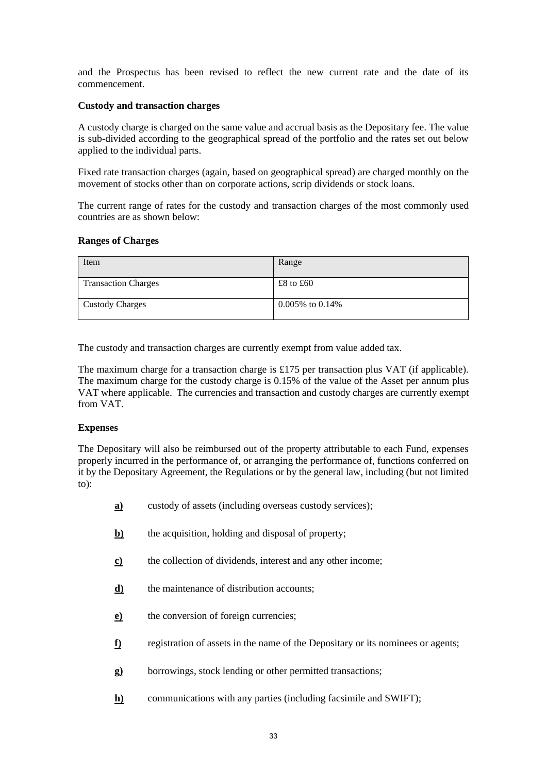and the Prospectus has been revised to reflect the new current rate and the date of its commencement.

#### **Custody and transaction charges**

A custody charge is charged on the same value and accrual basis as the Depositary fee. The value is sub-divided according to the geographical spread of the portfolio and the rates set out below applied to the individual parts.

Fixed rate transaction charges (again, based on geographical spread) are charged monthly on the movement of stocks other than on corporate actions, scrip dividends or stock loans.

The current range of rates for the custody and transaction charges of the most commonly used countries are as shown below:

#### **Ranges of Charges**

| Item                       | Range                 |
|----------------------------|-----------------------|
| <b>Transaction Charges</b> | £8 to £60             |
| <b>Custody Charges</b>     | $0.005\%$ to $0.14\%$ |

The custody and transaction charges are currently exempt from value added tax.

The maximum charge for a transaction charge is £175 per transaction plus VAT (if applicable). The maximum charge for the custody charge is 0.15% of the value of the Asset per annum plus VAT where applicable. The currencies and transaction and custody charges are currently exempt from VAT.

#### **Expenses**

The Depositary will also be reimbursed out of the property attributable to each Fund, expenses properly incurred in the performance of, or arranging the performance of, functions conferred on it by the Depositary Agreement, the Regulations or by the general law, including (but not limited to):

**a)** custody of assets (including overseas custody services); **b**) the acquisition, holding and disposal of property; **c)** the collection of dividends, interest and any other income; **d)** the maintenance of distribution accounts; **e**) the conversion of foreign currencies; **f)** registration of assets in the name of the Depositary or its nominees or agents; **g)** borrowings, stock lending or other permitted transactions; **h)** communications with any parties (including facsimile and SWIFT);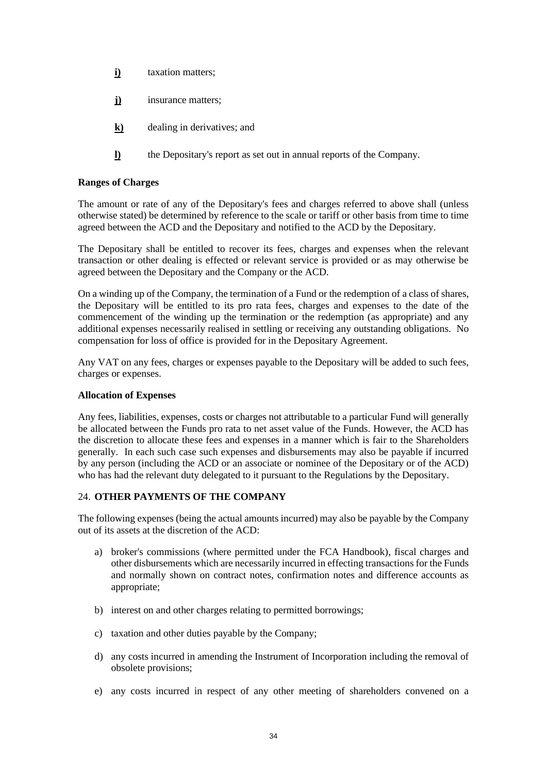- **i)** taxation matters;
- **j)** insurance matters;
- **k)** dealing in derivatives; and
- **l)** the Depositary's report as set out in annual reports of the Company.

# **Ranges of Charges**

The amount or rate of any of the Depositary's fees and charges referred to above shall (unless otherwise stated) be determined by reference to the scale or tariff or other basis from time to time agreed between the ACD and the Depositary and notified to the ACD by the Depositary.

The Depositary shall be entitled to recover its fees, charges and expenses when the relevant transaction or other dealing is effected or relevant service is provided or as may otherwise be agreed between the Depositary and the Company or the ACD.

On a winding up of the Company, the termination of a Fund or the redemption of a class of shares, the Depositary will be entitled to its pro rata fees, charges and expenses to the date of the commencement of the winding up the termination or the redemption (as appropriate) and any additional expenses necessarily realised in settling or receiving any outstanding obligations. No compensation for loss of office is provided for in the Depositary Agreement.

Any VAT on any fees, charges or expenses payable to the Depositary will be added to such fees, charges or expenses.

# **Allocation of Expenses**

Any fees, liabilities, expenses, costs or charges not attributable to a particular Fund will generally be allocated between the Funds pro rata to net asset value of the Funds. However, the ACD has the discretion to allocate these fees and expenses in a manner which is fair to the Shareholders generally. In each such case such expenses and disbursements may also be payable if incurred by any person (including the ACD or an associate or nominee of the Depositary or of the ACD) who has had the relevant duty delegated to it pursuant to the Regulations by the Depositary.

# <span id="page-33-0"></span>24. **OTHER PAYMENTS OF THE COMPANY**

The following expenses (being the actual amounts incurred) may also be payable by the Company out of its assets at the discretion of the ACD:

- a) broker's commissions (where permitted under the FCA Handbook), fiscal charges and other disbursements which are necessarily incurred in effecting transactions for the Funds and normally shown on contract notes, confirmation notes and difference accounts as appropriate;
- b) interest on and other charges relating to permitted borrowings;
- c) taxation and other duties payable by the Company;
- d) any costs incurred in amending the Instrument of Incorporation including the removal of obsolete provisions;
- e) any costs incurred in respect of any other meeting of shareholders convened on a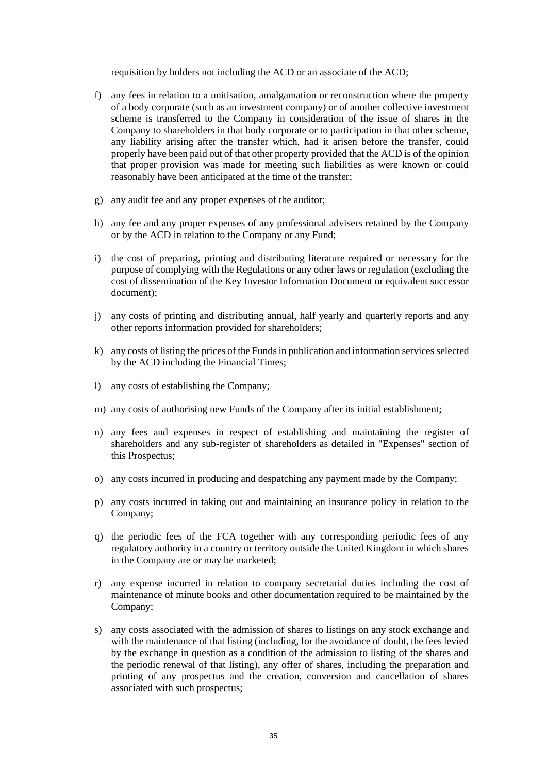requisition by holders not including the ACD or an associate of the ACD;

- f) any fees in relation to a unitisation, amalgamation or reconstruction where the property of a body corporate (such as an investment company) or of another collective investment scheme is transferred to the Company in consideration of the issue of shares in the Company to shareholders in that body corporate or to participation in that other scheme, any liability arising after the transfer which, had it arisen before the transfer, could properly have been paid out of that other property provided that the ACD is of the opinion that proper provision was made for meeting such liabilities as were known or could reasonably have been anticipated at the time of the transfer;
- g) any audit fee and any proper expenses of the auditor;
- h) any fee and any proper expenses of any professional advisers retained by the Company or by the ACD in relation to the Company or any Fund;
- i) the cost of preparing, printing and distributing literature required or necessary for the purpose of complying with the Regulations or any other laws or regulation (excluding the cost of dissemination of the Key Investor Information Document or equivalent successor document);
- j) any costs of printing and distributing annual, half yearly and quarterly reports and any other reports information provided for shareholders;
- k) any costs of listing the prices of the Funds in publication and information services selected by the ACD including the Financial Times;
- l) any costs of establishing the Company;
- m) any costs of authorising new Funds of the Company after its initial establishment;
- n) any fees and expenses in respect of establishing and maintaining the register of shareholders and any sub-register of shareholders as detailed in "Expenses" section of this Prospectus;
- o) any costs incurred in producing and despatching any payment made by the Company;
- p) any costs incurred in taking out and maintaining an insurance policy in relation to the Company;
- q) the periodic fees of the FCA together with any corresponding periodic fees of any regulatory authority in a country or territory outside the United Kingdom in which shares in the Company are or may be marketed;
- r) any expense incurred in relation to company secretarial duties including the cost of maintenance of minute books and other documentation required to be maintained by the Company;
- s) any costs associated with the admission of shares to listings on any stock exchange and with the maintenance of that listing (including, for the avoidance of doubt, the fees levied by the exchange in question as a condition of the admission to listing of the shares and the periodic renewal of that listing), any offer of shares, including the preparation and printing of any prospectus and the creation, conversion and cancellation of shares associated with such prospectus;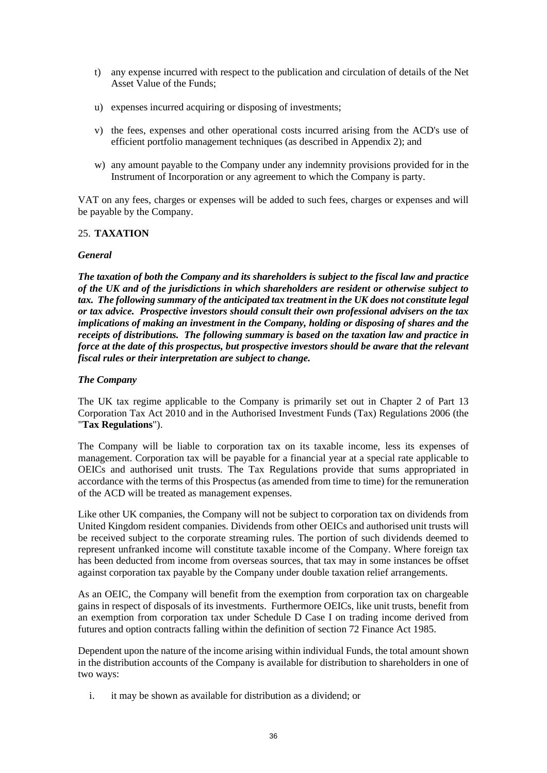- t) any expense incurred with respect to the publication and circulation of details of the Net Asset Value of the Funds;
- u) expenses incurred acquiring or disposing of investments;
- v) the fees, expenses and other operational costs incurred arising from the ACD's use of efficient portfolio management techniques (as described in Appendix 2); and
- w) any amount payable to the Company under any indemnity provisions provided for in the Instrument of Incorporation or any agreement to which the Company is party.

VAT on any fees, charges or expenses will be added to such fees, charges or expenses and will be payable by the Company.

# <span id="page-35-0"></span>25. **TAXATION**

#### *General*

*The taxation of both the Company and its shareholders is subject to the fiscal law and practice of the UK and of the jurisdictions in which shareholders are resident or otherwise subject to tax. The following summary of the anticipated tax treatment in the UK does not constitute legal or tax advice. Prospective investors should consult their own professional advisers on the tax implications of making an investment in the Company, holding or disposing of shares and the receipts of distributions. The following summary is based on the taxation law and practice in force at the date of this prospectus, but prospective investors should be aware that the relevant fiscal rules or their interpretation are subject to change.*

# *The Company*

The UK tax regime applicable to the Company is primarily set out in Chapter 2 of Part 13 Corporation Tax Act 2010 and in the Authorised Investment Funds (Tax) Regulations 2006 (the "**Tax Regulations**").

The Company will be liable to corporation tax on its taxable income, less its expenses of management. Corporation tax will be payable for a financial year at a special rate applicable to OEICs and authorised unit trusts. The Tax Regulations provide that sums appropriated in accordance with the terms of this Prospectus (as amended from time to time) for the remuneration of the ACD will be treated as management expenses.

Like other UK companies, the Company will not be subject to corporation tax on dividends from United Kingdom resident companies. Dividends from other OEICs and authorised unit trusts will be received subject to the corporate streaming rules. The portion of such dividends deemed to represent unfranked income will constitute taxable income of the Company. Where foreign tax has been deducted from income from overseas sources, that tax may in some instances be offset against corporation tax payable by the Company under double taxation relief arrangements.

As an OEIC, the Company will benefit from the exemption from corporation tax on chargeable gains in respect of disposals of its investments. Furthermore OEICs, like unit trusts, benefit from an exemption from corporation tax under Schedule D Case I on trading income derived from futures and option contracts falling within the definition of section 72 Finance Act 1985.

Dependent upon the nature of the income arising within individual Funds, the total amount shown in the distribution accounts of the Company is available for distribution to shareholders in one of two ways:

i. it may be shown as available for distribution as a dividend; or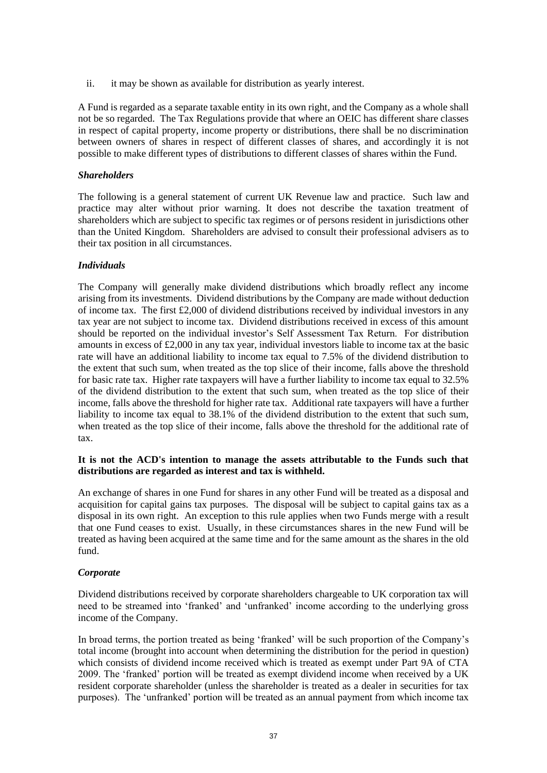ii. it may be shown as available for distribution as yearly interest.

A Fund is regarded as a separate taxable entity in its own right, and the Company as a whole shall not be so regarded. The Tax Regulations provide that where an OEIC has different share classes in respect of capital property, income property or distributions, there shall be no discrimination between owners of shares in respect of different classes of shares, and accordingly it is not possible to make different types of distributions to different classes of shares within the Fund.

# *Shareholders*

The following is a general statement of current UK Revenue law and practice. Such law and practice may alter without prior warning. It does not describe the taxation treatment of shareholders which are subject to specific tax regimes or of persons resident in jurisdictions other than the United Kingdom. Shareholders are advised to consult their professional advisers as to their tax position in all circumstances.

# *Individuals*

The Company will generally make dividend distributions which broadly reflect any income arising from its investments. Dividend distributions by the Company are made without deduction of income tax. The first £2,000 of dividend distributions received by individual investors in any tax year are not subject to income tax. Dividend distributions received in excess of this amount should be reported on the individual investor's Self Assessment Tax Return. For distribution amounts in excess of £2,000 in any tax year, individual investors liable to income tax at the basic rate will have an additional liability to income tax equal to 7.5% of the dividend distribution to the extent that such sum, when treated as the top slice of their income, falls above the threshold for basic rate tax. Higher rate taxpayers will have a further liability to income tax equal to 32.5% of the dividend distribution to the extent that such sum, when treated as the top slice of their income, falls above the threshold for higher rate tax. Additional rate taxpayers will have a further liability to income tax equal to 38.1% of the dividend distribution to the extent that such sum, when treated as the top slice of their income, falls above the threshold for the additional rate of tax.

#### **It is not the ACD's intention to manage the assets attributable to the Funds such that distributions are regarded as interest and tax is withheld.**

An exchange of shares in one Fund for shares in any other Fund will be treated as a disposal and acquisition for capital gains tax purposes. The disposal will be subject to capital gains tax as a disposal in its own right. An exception to this rule applies when two Funds merge with a result that one Fund ceases to exist. Usually, in these circumstances shares in the new Fund will be treated as having been acquired at the same time and for the same amount as the shares in the old fund.

# *Corporate*

Dividend distributions received by corporate shareholders chargeable to UK corporation tax will need to be streamed into 'franked' and 'unfranked' income according to the underlying gross income of the Company.

In broad terms, the portion treated as being 'franked' will be such proportion of the Company's total income (brought into account when determining the distribution for the period in question) which consists of dividend income received which is treated as exempt under Part 9A of CTA 2009. The 'franked' portion will be treated as exempt dividend income when received by a UK resident corporate shareholder (unless the shareholder is treated as a dealer in securities for tax purposes). The 'unfranked' portion will be treated as an annual payment from which income tax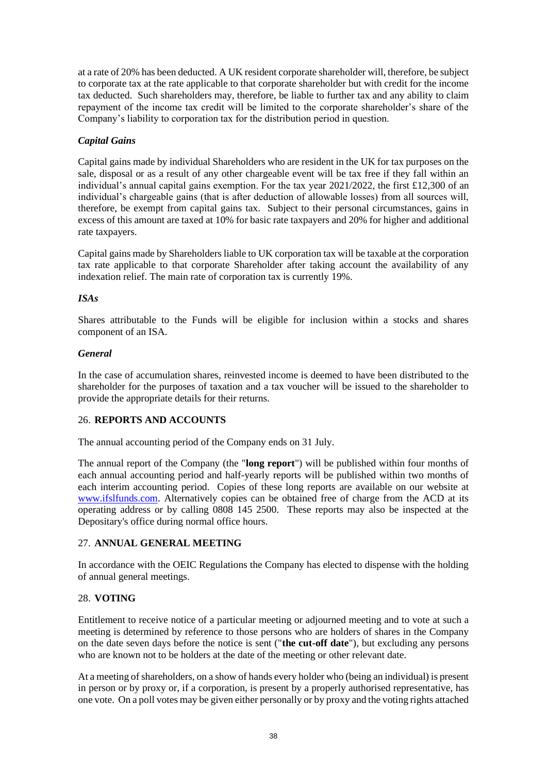at a rate of 20% has been deducted. A UK resident corporate shareholder will, therefore, be subject to corporate tax at the rate applicable to that corporate shareholder but with credit for the income tax deducted. Such shareholders may, therefore, be liable to further tax and any ability to claim repayment of the income tax credit will be limited to the corporate shareholder's share of the Company's liability to corporation tax for the distribution period in question.

# *Capital Gains*

Capital gains made by individual Shareholders who are resident in the UK for tax purposes on the sale, disposal or as a result of any other chargeable event will be tax free if they fall within an individual's annual capital gains exemption. For the tax year 2021/2022, the first £12,300 of an individual's chargeable gains (that is after deduction of allowable losses) from all sources will, therefore, be exempt from capital gains tax. Subject to their personal circumstances, gains in excess of this amount are taxed at 10% for basic rate taxpayers and 20% for higher and additional rate taxpayers.

Capital gains made by Shareholders liable to UK corporation tax will be taxable at the corporation tax rate applicable to that corporate Shareholder after taking account the availability of any indexation relief. The main rate of corporation tax is currently 19%.

# *ISAs*

Shares attributable to the Funds will be eligible for inclusion within a stocks and shares component of an ISA.

#### *General*

In the case of accumulation shares, reinvested income is deemed to have been distributed to the shareholder for the purposes of taxation and a tax voucher will be issued to the shareholder to provide the appropriate details for their returns.

#### <span id="page-37-0"></span>26. **REPORTS AND ACCOUNTS**

The annual accounting period of the Company ends on 31 July.

The annual report of the Company (the "**long report**") will be published within four months of each annual accounting period and half-yearly reports will be published within two months of each interim accounting period. Copies of these long reports are available on our website at [www.ifslfunds.com.](http://www.ifslfunds.com/) Alternatively copies can be obtained free of charge from the ACD at its operating address or by calling 0808 145 2500. These reports may also be inspected at the Depositary's office during normal office hours.

# <span id="page-37-1"></span>27. **ANNUAL GENERAL MEETING**

In accordance with the OEIC Regulations the Company has elected to dispense with the holding of annual general meetings.

#### <span id="page-37-2"></span>28. **VOTING**

Entitlement to receive notice of a particular meeting or adjourned meeting and to vote at such a meeting is determined by reference to those persons who are holders of shares in the Company on the date seven days before the notice is sent ("**the cut-off date**"), but excluding any persons who are known not to be holders at the date of the meeting or other relevant date.

At a meeting of shareholders, on a show of hands every holder who (being an individual) is present in person or by proxy or, if a corporation, is present by a properly authorised representative, has one vote. On a poll votes may be given either personally or by proxy and the voting rights attached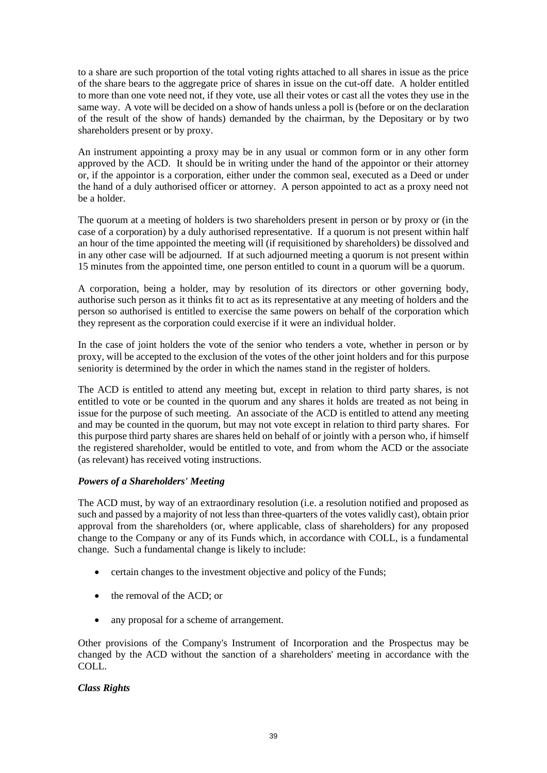to a share are such proportion of the total voting rights attached to all shares in issue as the price of the share bears to the aggregate price of shares in issue on the cut-off date. A holder entitled to more than one vote need not, if they vote, use all their votes or cast all the votes they use in the same way. A vote will be decided on a show of hands unless a poll is (before or on the declaration of the result of the show of hands) demanded by the chairman, by the Depositary or by two shareholders present or by proxy.

An instrument appointing a proxy may be in any usual or common form or in any other form approved by the ACD. It should be in writing under the hand of the appointor or their attorney or, if the appointor is a corporation, either under the common seal, executed as a Deed or under the hand of a duly authorised officer or attorney. A person appointed to act as a proxy need not be a holder.

The quorum at a meeting of holders is two shareholders present in person or by proxy or (in the case of a corporation) by a duly authorised representative. If a quorum is not present within half an hour of the time appointed the meeting will (if requisitioned by shareholders) be dissolved and in any other case will be adjourned. If at such adjourned meeting a quorum is not present within 15 minutes from the appointed time, one person entitled to count in a quorum will be a quorum.

A corporation, being a holder, may by resolution of its directors or other governing body, authorise such person as it thinks fit to act as its representative at any meeting of holders and the person so authorised is entitled to exercise the same powers on behalf of the corporation which they represent as the corporation could exercise if it were an individual holder.

In the case of joint holders the vote of the senior who tenders a vote, whether in person or by proxy, will be accepted to the exclusion of the votes of the other joint holders and for this purpose seniority is determined by the order in which the names stand in the register of holders.

The ACD is entitled to attend any meeting but, except in relation to third party shares, is not entitled to vote or be counted in the quorum and any shares it holds are treated as not being in issue for the purpose of such meeting. An associate of the ACD is entitled to attend any meeting and may be counted in the quorum, but may not vote except in relation to third party shares. For this purpose third party shares are shares held on behalf of or jointly with a person who, if himself the registered shareholder, would be entitled to vote, and from whom the ACD or the associate (as relevant) has received voting instructions.

# *Powers of a Shareholders' Meeting*

The ACD must, by way of an extraordinary resolution (i.e. a resolution notified and proposed as such and passed by a majority of not less than three-quarters of the votes validly cast), obtain prior approval from the shareholders (or, where applicable, class of shareholders) for any proposed change to the Company or any of its Funds which, in accordance with COLL, is a fundamental change. Such a fundamental change is likely to include:

- certain changes to the investment objective and policy of the Funds;
- the removal of the ACD; or
- any proposal for a scheme of arrangement.

Other provisions of the Company's Instrument of Incorporation and the Prospectus may be changed by the ACD without the sanction of a shareholders' meeting in accordance with the COLL.

# *Class Rights*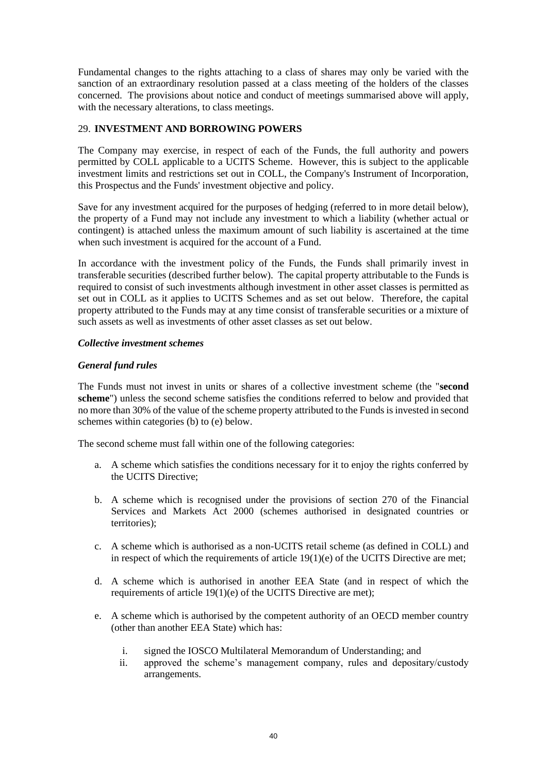Fundamental changes to the rights attaching to a class of shares may only be varied with the sanction of an extraordinary resolution passed at a class meeting of the holders of the classes concerned. The provisions about notice and conduct of meetings summarised above will apply, with the necessary alterations, to class meetings.

# <span id="page-39-0"></span>29. **INVESTMENT AND BORROWING POWERS**

The Company may exercise, in respect of each of the Funds, the full authority and powers permitted by COLL applicable to a UCITS Scheme. However, this is subject to the applicable investment limits and restrictions set out in COLL, the Company's Instrument of Incorporation, this Prospectus and the Funds' investment objective and policy.

Save for any investment acquired for the purposes of hedging (referred to in more detail below), the property of a Fund may not include any investment to which a liability (whether actual or contingent) is attached unless the maximum amount of such liability is ascertained at the time when such investment is acquired for the account of a Fund.

In accordance with the investment policy of the Funds, the Funds shall primarily invest in transferable securities (described further below). The capital property attributable to the Funds is required to consist of such investments although investment in other asset classes is permitted as set out in COLL as it applies to UCITS Schemes and as set out below. Therefore, the capital property attributed to the Funds may at any time consist of transferable securities or a mixture of such assets as well as investments of other asset classes as set out below.

# *Collective investment schemes*

# *General fund rules*

The Funds must not invest in units or shares of a collective investment scheme (the "**second scheme**") unless the second scheme satisfies the conditions referred to below and provided that no more than 30% of the value of the scheme property attributed to the Funds is invested in second schemes within categories (b) to (e) below.

The second scheme must fall within one of the following categories:

- a. A scheme which satisfies the conditions necessary for it to enjoy the rights conferred by the UCITS Directive;
- b. A scheme which is recognised under the provisions of section 270 of the Financial Services and Markets Act 2000 (schemes authorised in designated countries or territories);
- c. A scheme which is authorised as a non-UCITS retail scheme (as defined in COLL) and in respect of which the requirements of article 19(1)(e) of the UCITS Directive are met;
- d. A scheme which is authorised in another EEA State (and in respect of which the requirements of article 19(1)(e) of the UCITS Directive are met);
- e. A scheme which is authorised by the competent authority of an OECD member country (other than another EEA State) which has:
	- i. signed the IOSCO Multilateral Memorandum of Understanding; and
	- ii. approved the scheme's management company, rules and depositary/custody arrangements.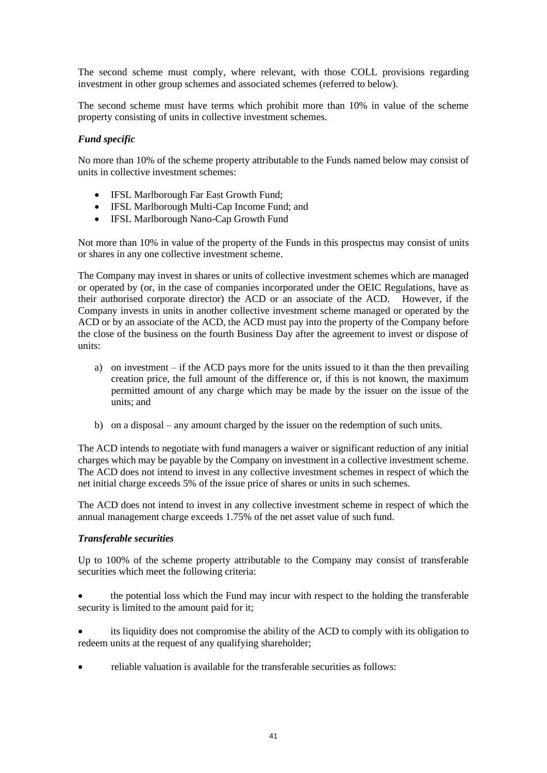The second scheme must comply, where relevant, with those COLL provisions regarding investment in other group schemes and associated schemes (referred to below).

The second scheme must have terms which prohibit more than 10% in value of the scheme property consisting of units in collective investment schemes.

# *Fund specific*

No more than 10% of the scheme property attributable to the Funds named below may consist of units in collective investment schemes:

- IFSL Marlborough Far East Growth Fund;
- IFSL Marlborough Multi-Cap Income Fund: and
- IFSL Marlborough Nano-Cap Growth Fund

Not more than 10% in value of the property of the Funds in this prospectus may consist of units or shares in any one collective investment scheme.

The Company may invest in shares or units of collective investment schemes which are managed or operated by (or, in the case of companies incorporated under the OEIC Regulations, have as their authorised corporate director) the ACD or an associate of the ACD. However, if the Company invests in units in another collective investment scheme managed or operated by the ACD or by an associate of the ACD, the ACD must pay into the property of the Company before the close of the business on the fourth Business Day after the agreement to invest or dispose of units:

- a) on investment if the ACD pays more for the units issued to it than the then prevailing creation price, the full amount of the difference or, if this is not known, the maximum permitted amount of any charge which may be made by the issuer on the issue of the units; and
- b) on a disposal any amount charged by the issuer on the redemption of such units.

The ACD intends to negotiate with fund managers a waiver or significant reduction of any initial charges which may be payable by the Company on investment in a collective investment scheme. The ACD does not intend to invest in any collective investment schemes in respect of which the net initial charge exceeds 5% of the issue price of shares or units in such schemes.

The ACD does not intend to invest in any collective investment scheme in respect of which the annual management charge exceeds 1.75% of the net asset value of such fund.

#### *Transferable securities*

Up to 100% of the scheme property attributable to the Company may consist of transferable securities which meet the following criteria:

• the potential loss which the Fund may incur with respect to the holding the transferable security is limited to the amount paid for it;

its liquidity does not compromise the ability of the ACD to comply with its obligation to redeem units at the request of any qualifying shareholder;

• reliable valuation is available for the transferable securities as follows: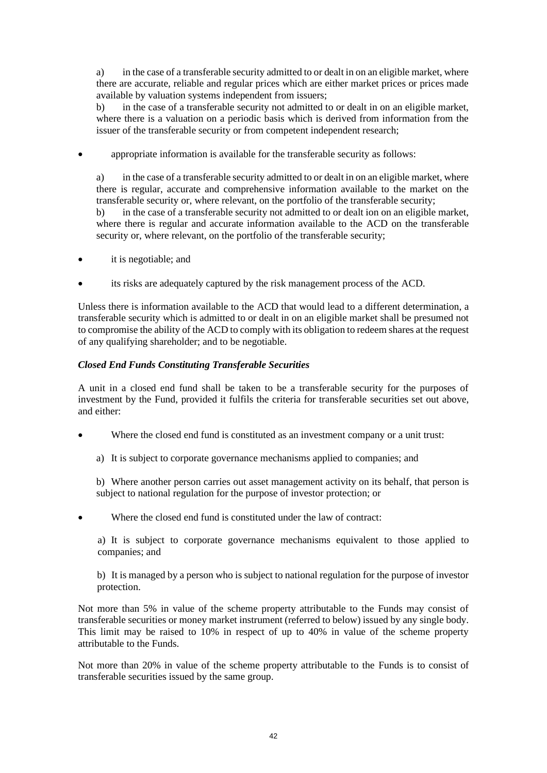a) in the case of a transferable security admitted to or dealt in on an eligible market, where there are accurate, reliable and regular prices which are either market prices or prices made available by valuation systems independent from issuers;

b) in the case of a transferable security not admitted to or dealt in on an eligible market, where there is a valuation on a periodic basis which is derived from information from the issuer of the transferable security or from competent independent research;

appropriate information is available for the transferable security as follows:

a) in the case of a transferable security admitted to or dealt in on an eligible market, where there is regular, accurate and comprehensive information available to the market on the transferable security or, where relevant, on the portfolio of the transferable security;

b) in the case of a transferable security not admitted to or dealt ion on an eligible market, where there is regular and accurate information available to the ACD on the transferable security or, where relevant, on the portfolio of the transferable security;

- it is negotiable; and
- its risks are adequately captured by the risk management process of the ACD.

Unless there is information available to the ACD that would lead to a different determination, a transferable security which is admitted to or dealt in on an eligible market shall be presumed not to compromise the ability of the ACD to comply with its obligation to redeem shares at the request of any qualifying shareholder; and to be negotiable.

# *Closed End Funds Constituting Transferable Securities*

A unit in a closed end fund shall be taken to be a transferable security for the purposes of investment by the Fund, provided it fulfils the criteria for transferable securities set out above, and either:

- Where the closed end fund is constituted as an investment company or a unit trust:
	- a) It is subject to corporate governance mechanisms applied to companies; and

b) Where another person carries out asset management activity on its behalf, that person is subject to national regulation for the purpose of investor protection; or

Where the closed end fund is constituted under the law of contract:

a) It is subject to corporate governance mechanisms equivalent to those applied to companies; and

b) It is managed by a person who is subject to national regulation for the purpose of investor protection.

Not more than 5% in value of the scheme property attributable to the Funds may consist of transferable securities or money market instrument (referred to below) issued by any single body. This limit may be raised to 10% in respect of up to 40% in value of the scheme property attributable to the Funds.

Not more than 20% in value of the scheme property attributable to the Funds is to consist of transferable securities issued by the same group.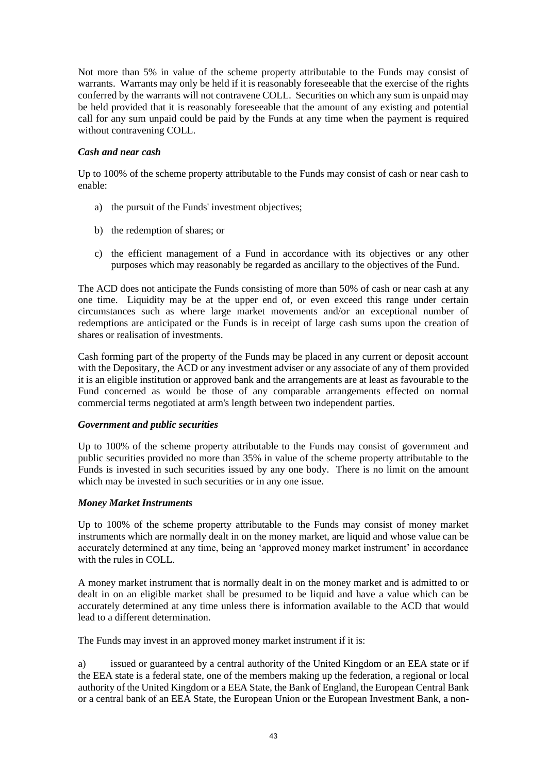Not more than 5% in value of the scheme property attributable to the Funds may consist of warrants. Warrants may only be held if it is reasonably foreseeable that the exercise of the rights conferred by the warrants will not contravene COLL. Securities on which any sum is unpaid may be held provided that it is reasonably foreseeable that the amount of any existing and potential call for any sum unpaid could be paid by the Funds at any time when the payment is required without contravening COLL.

# *Cash and near cash*

Up to 100% of the scheme property attributable to the Funds may consist of cash or near cash to enable:

- a) the pursuit of the Funds' investment objectives;
- b) the redemption of shares; or
- c) the efficient management of a Fund in accordance with its objectives or any other purposes which may reasonably be regarded as ancillary to the objectives of the Fund.

The ACD does not anticipate the Funds consisting of more than 50% of cash or near cash at any one time. Liquidity may be at the upper end of, or even exceed this range under certain circumstances such as where large market movements and/or an exceptional number of redemptions are anticipated or the Funds is in receipt of large cash sums upon the creation of shares or realisation of investments.

Cash forming part of the property of the Funds may be placed in any current or deposit account with the Depositary, the ACD or any investment adviser or any associate of any of them provided it is an eligible institution or approved bank and the arrangements are at least as favourable to the Fund concerned as would be those of any comparable arrangements effected on normal commercial terms negotiated at arm's length between two independent parties.

#### *Government and public securities*

Up to 100% of the scheme property attributable to the Funds may consist of government and public securities provided no more than 35% in value of the scheme property attributable to the Funds is invested in such securities issued by any one body. There is no limit on the amount which may be invested in such securities or in any one issue.

#### *Money Market Instruments*

Up to 100% of the scheme property attributable to the Funds may consist of money market instruments which are normally dealt in on the money market, are liquid and whose value can be accurately determined at any time, being an 'approved money market instrument' in accordance with the rules in COLL.

A money market instrument that is normally dealt in on the money market and is admitted to or dealt in on an eligible market shall be presumed to be liquid and have a value which can be accurately determined at any time unless there is information available to the ACD that would lead to a different determination.

The Funds may invest in an approved money market instrument if it is:

a) issued or guaranteed by a central authority of the United Kingdom or an EEA state or if the EEA state is a federal state, one of the members making up the federation, a regional or local authority of the United Kingdom or a EEA State, the Bank of England, the European Central Bank or a central bank of an EEA State, the European Union or the European Investment Bank, a non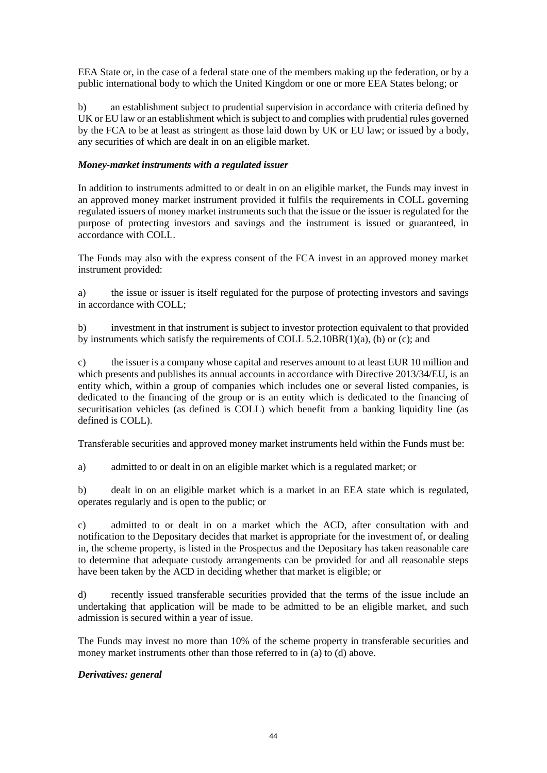EEA State or, in the case of a federal state one of the members making up the federation, or by a public international body to which the United Kingdom or one or more EEA States belong; or

b) an establishment subject to prudential supervision in accordance with criteria defined by UK or EU law or an establishment which is subject to and complies with prudential rules governed by the FCA to be at least as stringent as those laid down by  $\hat{UK}$  or EU law; or issued by a body, any securities of which are dealt in on an eligible market.

#### *Money-market instruments with a regulated issuer*

In addition to instruments admitted to or dealt in on an eligible market, the Funds may invest in an approved money market instrument provided it fulfils the requirements in COLL governing regulated issuers of money market instruments such that the issue or the issuer is regulated for the purpose of protecting investors and savings and the instrument is issued or guaranteed, in accordance with COLL.

The Funds may also with the express consent of the FCA invest in an approved money market instrument provided:

a) the issue or issuer is itself regulated for the purpose of protecting investors and savings in accordance with COLL;

b) investment in that instrument is subject to investor protection equivalent to that provided by instruments which satisfy the requirements of COLL  $5.2.10BR(1)(a)$ , (b) or (c); and

c) the issuer is a company whose capital and reserves amount to at least EUR 10 million and which presents and publishes its annual accounts in accordance with Directive 2013/34/EU, is an entity which, within a group of companies which includes one or several listed companies, is dedicated to the financing of the group or is an entity which is dedicated to the financing of securitisation vehicles (as defined is COLL) which benefit from a banking liquidity line (as defined is COLL).

Transferable securities and approved money market instruments held within the Funds must be:

a) admitted to or dealt in on an eligible market which is a regulated market; or

b) dealt in on an eligible market which is a market in an EEA state which is regulated, operates regularly and is open to the public; or

c) admitted to or dealt in on a market which the ACD, after consultation with and notification to the Depositary decides that market is appropriate for the investment of, or dealing in, the scheme property, is listed in the Prospectus and the Depositary has taken reasonable care to determine that adequate custody arrangements can be provided for and all reasonable steps have been taken by the ACD in deciding whether that market is eligible; or

d) recently issued transferable securities provided that the terms of the issue include an undertaking that application will be made to be admitted to be an eligible market, and such admission is secured within a year of issue.

The Funds may invest no more than 10% of the scheme property in transferable securities and money market instruments other than those referred to in (a) to (d) above.

#### *Derivatives: general*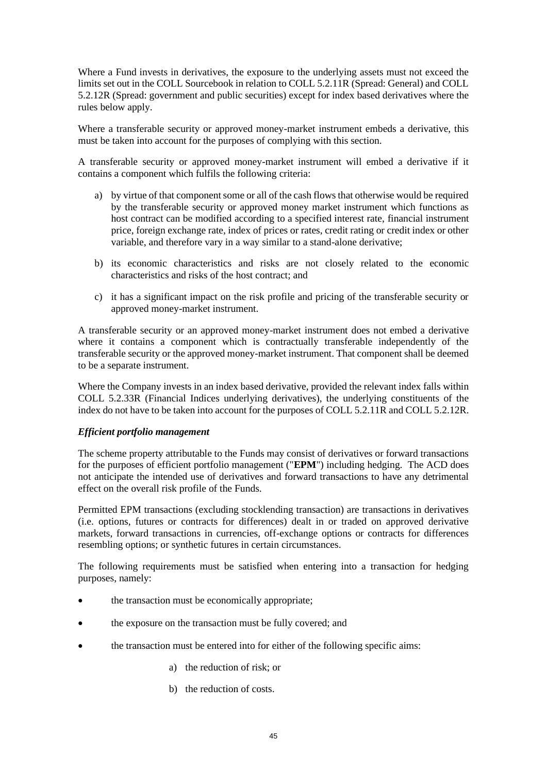Where a Fund invests in derivatives, the exposure to the underlying assets must not exceed the limits set out in the COLL Sourcebook in relation to COLL 5.2.11R (Spread: General) and COLL 5.2.12R (Spread: government and public securities) except for index based derivatives where the rules below apply.

Where a transferable security or approved money-market instrument embeds a derivative, this must be taken into account for the purposes of complying with this section.

A transferable security or approved money-market instrument will embed a derivative if it contains a component which fulfils the following criteria:

- a) by virtue of that component some or all of the cash flows that otherwise would be required by the transferable security or approved money market instrument which functions as host contract can be modified according to a specified interest rate, financial instrument price, foreign exchange rate, index of prices or rates, credit rating or credit index or other variable, and therefore vary in a way similar to a stand-alone derivative;
- b) its economic characteristics and risks are not closely related to the economic characteristics and risks of the host contract; and
- c) it has a significant impact on the risk profile and pricing of the transferable security or approved money-market instrument.

A transferable security or an approved money-market instrument does not embed a derivative where it contains a component which is contractually transferable independently of the transferable security or the approved money-market instrument. That component shall be deemed to be a separate instrument.

Where the Company invests in an index based derivative, provided the relevant index falls within COLL 5.2.33R (Financial Indices underlying derivatives), the underlying constituents of the index do not have to be taken into account for the purposes of COLL 5.2.11R and COLL 5.2.12R.

#### *Efficient portfolio management*

The scheme property attributable to the Funds may consist of derivatives or forward transactions for the purposes of efficient portfolio management ("**EPM**") including hedging. The ACD does not anticipate the intended use of derivatives and forward transactions to have any detrimental effect on the overall risk profile of the Funds.

Permitted EPM transactions (excluding stocklending transaction) are transactions in derivatives (i.e. options, futures or contracts for differences) dealt in or traded on approved derivative markets, forward transactions in currencies, off-exchange options or contracts for differences resembling options; or synthetic futures in certain circumstances.

The following requirements must be satisfied when entering into a transaction for hedging purposes, namely:

- the transaction must be economically appropriate:
- the exposure on the transaction must be fully covered; and
- the transaction must be entered into for either of the following specific aims:
	- a) the reduction of risk; or
	- b) the reduction of costs.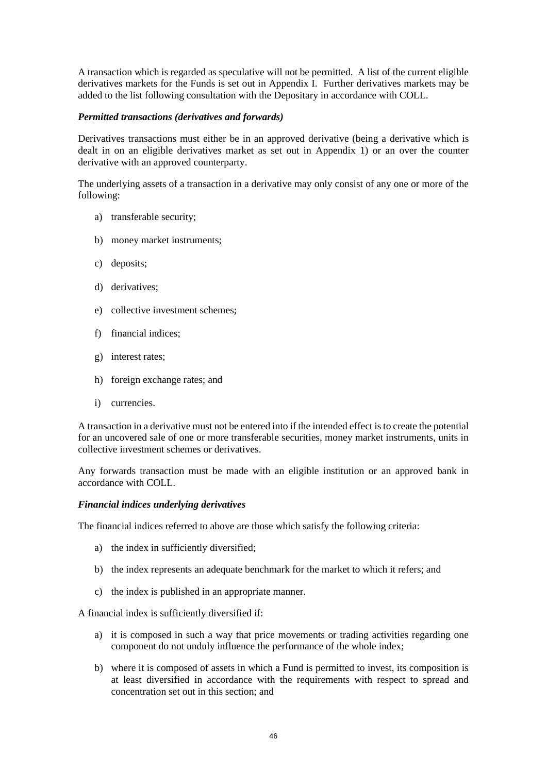A transaction which is regarded as speculative will not be permitted. A list of the current eligible derivatives markets for the Funds is set out in Appendix I. Further derivatives markets may be added to the list following consultation with the Depositary in accordance with COLL.

#### *Permitted transactions (derivatives and forwards)*

Derivatives transactions must either be in an approved derivative (being a derivative which is dealt in on an eligible derivatives market as set out in Appendix 1) or an over the counter derivative with an approved counterparty.

The underlying assets of a transaction in a derivative may only consist of any one or more of the following:

- a) transferable security;
- b) money market instruments;
- c) deposits;
- d) derivatives;
- e) collective investment schemes;
- f) financial indices;
- g) interest rates;
- h) foreign exchange rates; and
- i) currencies.

A transaction in a derivative must not be entered into if the intended effect is to create the potential for an uncovered sale of one or more transferable securities, money market instruments, units in collective investment schemes or derivatives.

Any forwards transaction must be made with an eligible institution or an approved bank in accordance with COLL.

#### *Financial indices underlying derivatives*

The financial indices referred to above are those which satisfy the following criteria:

- a) the index in sufficiently diversified;
- b) the index represents an adequate benchmark for the market to which it refers; and
- c) the index is published in an appropriate manner.

A financial index is sufficiently diversified if:

- a) it is composed in such a way that price movements or trading activities regarding one component do not unduly influence the performance of the whole index;
- b) where it is composed of assets in which a Fund is permitted to invest, its composition is at least diversified in accordance with the requirements with respect to spread and concentration set out in this section; and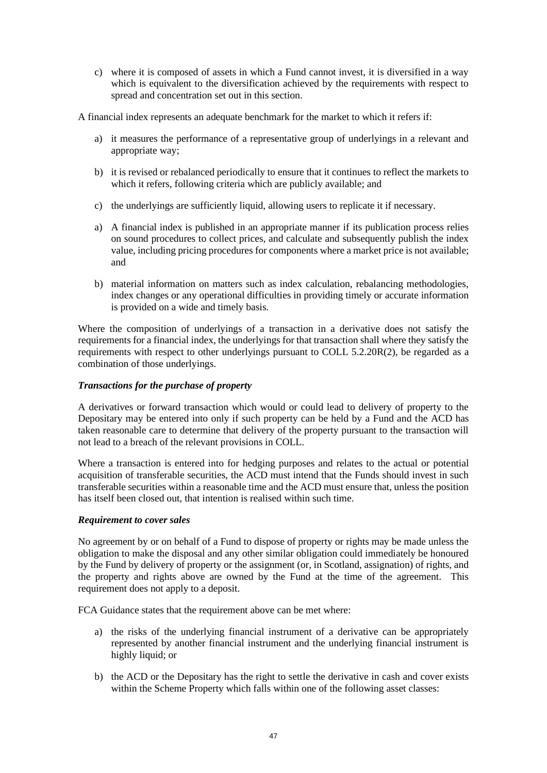c) where it is composed of assets in which a Fund cannot invest, it is diversified in a way which is equivalent to the diversification achieved by the requirements with respect to spread and concentration set out in this section.

A financial index represents an adequate benchmark for the market to which it refers if:

- a) it measures the performance of a representative group of underlyings in a relevant and appropriate way;
- b) it is revised or rebalanced periodically to ensure that it continues to reflect the markets to which it refers, following criteria which are publicly available; and
- c) the underlyings are sufficiently liquid, allowing users to replicate it if necessary.
- a) A financial index is published in an appropriate manner if its publication process relies on sound procedures to collect prices, and calculate and subsequently publish the index value, including pricing procedures for components where a market price is not available; and
- b) material information on matters such as index calculation, rebalancing methodologies, index changes or any operational difficulties in providing timely or accurate information is provided on a wide and timely basis.

Where the composition of underlyings of a transaction in a derivative does not satisfy the requirements for a financial index, the underlyings for that transaction shall where they satisfy the requirements with respect to other underlyings pursuant to COLL 5.2.20R(2), be regarded as a combination of those underlyings.

# *Transactions for the purchase of property*

A derivatives or forward transaction which would or could lead to delivery of property to the Depositary may be entered into only if such property can be held by a Fund and the ACD has taken reasonable care to determine that delivery of the property pursuant to the transaction will not lead to a breach of the relevant provisions in COLL.

Where a transaction is entered into for hedging purposes and relates to the actual or potential acquisition of transferable securities, the ACD must intend that the Funds should invest in such transferable securities within a reasonable time and the ACD must ensure that, unless the position has itself been closed out, that intention is realised within such time.

#### *Requirement to cover sales*

No agreement by or on behalf of a Fund to dispose of property or rights may be made unless the obligation to make the disposal and any other similar obligation could immediately be honoured by the Fund by delivery of property or the assignment (or, in Scotland, assignation) of rights, and the property and rights above are owned by the Fund at the time of the agreement. This requirement does not apply to a deposit.

FCA Guidance states that the requirement above can be met where:

- a) the risks of the underlying financial instrument of a derivative can be appropriately represented by another financial instrument and the underlying financial instrument is highly liquid; or
- b) the ACD or the Depositary has the right to settle the derivative in cash and cover exists within the Scheme Property which falls within one of the following asset classes: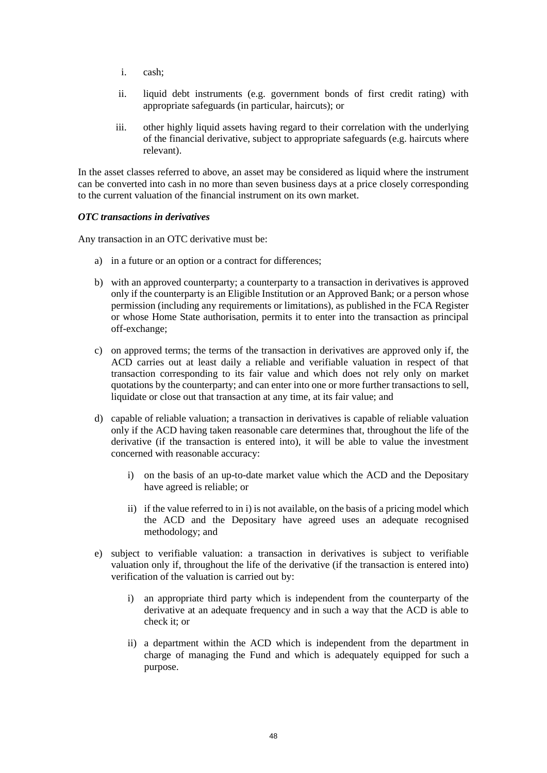- i. cash;
- ii. liquid debt instruments (e.g. government bonds of first credit rating) with appropriate safeguards (in particular, haircuts); or
- iii. other highly liquid assets having regard to their correlation with the underlying of the financial derivative, subject to appropriate safeguards (e.g. haircuts where relevant).

In the asset classes referred to above, an asset may be considered as liquid where the instrument can be converted into cash in no more than seven business days at a price closely corresponding to the current valuation of the financial instrument on its own market.

#### *OTC transactions in derivatives*

Any transaction in an OTC derivative must be:

- a) in a future or an option or a contract for differences;
- b) with an approved counterparty; a counterparty to a transaction in derivatives is approved only if the counterparty is an Eligible Institution or an Approved Bank; or a person whose permission (including any requirements or limitations), as published in the FCA Register or whose Home State authorisation, permits it to enter into the transaction as principal off-exchange;
- c) on approved terms; the terms of the transaction in derivatives are approved only if, the ACD carries out at least daily a reliable and verifiable valuation in respect of that transaction corresponding to its fair value and which does not rely only on market quotations by the counterparty; and can enter into one or more further transactions to sell, liquidate or close out that transaction at any time, at its fair value; and
- d) capable of reliable valuation; a transaction in derivatives is capable of reliable valuation only if the ACD having taken reasonable care determines that, throughout the life of the derivative (if the transaction is entered into), it will be able to value the investment concerned with reasonable accuracy:
	- i) on the basis of an up-to-date market value which the ACD and the Depositary have agreed is reliable; or
	- ii) if the value referred to in i) is not available, on the basis of a pricing model which the ACD and the Depositary have agreed uses an adequate recognised methodology; and
- e) subject to verifiable valuation: a transaction in derivatives is subject to verifiable valuation only if, throughout the life of the derivative (if the transaction is entered into) verification of the valuation is carried out by:
	- i) an appropriate third party which is independent from the counterparty of the derivative at an adequate frequency and in such a way that the ACD is able to check it; or
	- ii) a department within the ACD which is independent from the department in charge of managing the Fund and which is adequately equipped for such a purpose.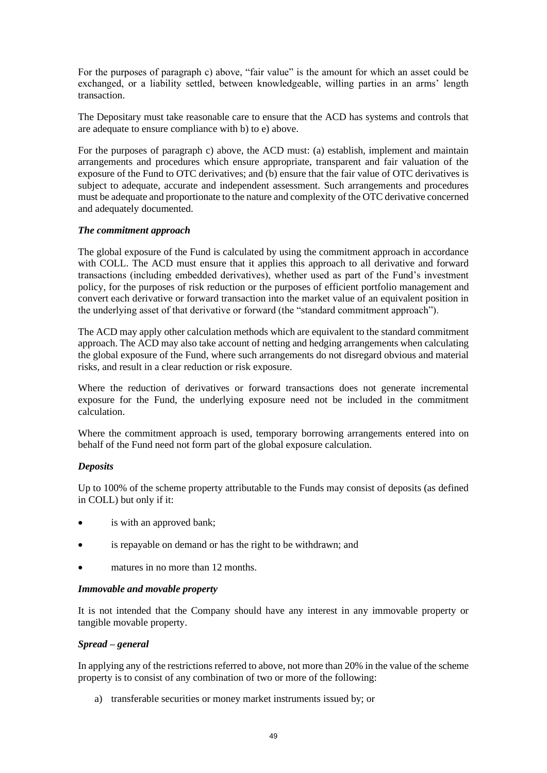For the purposes of paragraph c) above, "fair value" is the amount for which an asset could be exchanged, or a liability settled, between knowledgeable, willing parties in an arms' length transaction.

The Depositary must take reasonable care to ensure that the ACD has systems and controls that are adequate to ensure compliance with b) to e) above.

For the purposes of paragraph c) above, the ACD must: (a) establish, implement and maintain arrangements and procedures which ensure appropriate, transparent and fair valuation of the exposure of the Fund to OTC derivatives; and (b) ensure that the fair value of OTC derivatives is subject to adequate, accurate and independent assessment. Such arrangements and procedures must be adequate and proportionate to the nature and complexity of the OTC derivative concerned and adequately documented.

#### *The commitment approach*

The global exposure of the Fund is calculated by using the commitment approach in accordance with COLL. The ACD must ensure that it applies this approach to all derivative and forward transactions (including embedded derivatives), whether used as part of the Fund's investment policy, for the purposes of risk reduction or the purposes of efficient portfolio management and convert each derivative or forward transaction into the market value of an equivalent position in the underlying asset of that derivative or forward (the "standard commitment approach").

The ACD may apply other calculation methods which are equivalent to the standard commitment approach. The ACD may also take account of netting and hedging arrangements when calculating the global exposure of the Fund, where such arrangements do not disregard obvious and material risks, and result in a clear reduction or risk exposure.

Where the reduction of derivatives or forward transactions does not generate incremental exposure for the Fund, the underlying exposure need not be included in the commitment calculation.

Where the commitment approach is used, temporary borrowing arrangements entered into on behalf of the Fund need not form part of the global exposure calculation.

#### *Deposits*

Up to 100% of the scheme property attributable to the Funds may consist of deposits (as defined in COLL) but only if it:

- is with an approved bank;
- is repayable on demand or has the right to be withdrawn; and
- matures in no more than 12 months.

#### *Immovable and movable property*

It is not intended that the Company should have any interest in any immovable property or tangible movable property.

#### *Spread – general*

In applying any of the restrictions referred to above, not more than 20% in the value of the scheme property is to consist of any combination of two or more of the following:

a) transferable securities or money market instruments issued by; or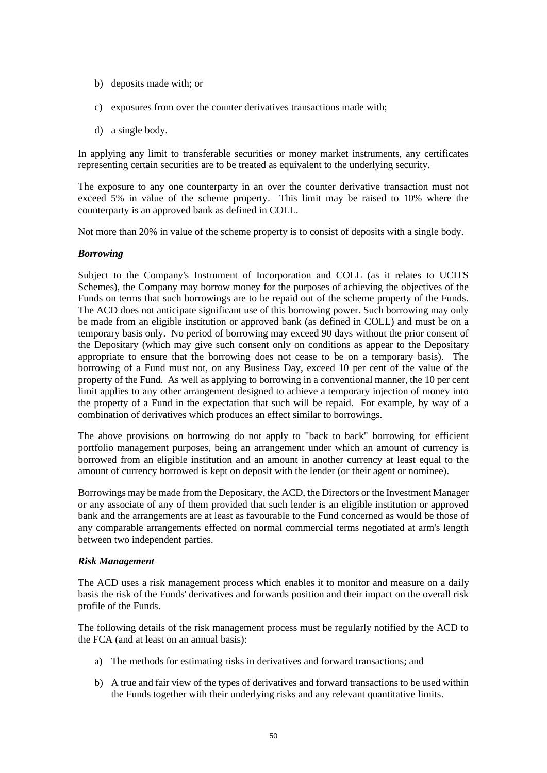- b) deposits made with; or
- c) exposures from over the counter derivatives transactions made with;
- d) a single body.

In applying any limit to transferable securities or money market instruments, any certificates representing certain securities are to be treated as equivalent to the underlying security.

The exposure to any one counterparty in an over the counter derivative transaction must not exceed 5% in value of the scheme property. This limit may be raised to 10% where the counterparty is an approved bank as defined in COLL.

Not more than 20% in value of the scheme property is to consist of deposits with a single body.

#### *Borrowing*

Subject to the Company's Instrument of Incorporation and COLL (as it relates to UCITS Schemes), the Company may borrow money for the purposes of achieving the objectives of the Funds on terms that such borrowings are to be repaid out of the scheme property of the Funds. The ACD does not anticipate significant use of this borrowing power. Such borrowing may only be made from an eligible institution or approved bank (as defined in COLL) and must be on a temporary basis only. No period of borrowing may exceed 90 days without the prior consent of the Depositary (which may give such consent only on conditions as appear to the Depositary appropriate to ensure that the borrowing does not cease to be on a temporary basis). The borrowing of a Fund must not, on any Business Day, exceed 10 per cent of the value of the property of the Fund. As well as applying to borrowing in a conventional manner, the 10 per cent limit applies to any other arrangement designed to achieve a temporary injection of money into the property of a Fund in the expectation that such will be repaid. For example, by way of a combination of derivatives which produces an effect similar to borrowings.

The above provisions on borrowing do not apply to "back to back" borrowing for efficient portfolio management purposes, being an arrangement under which an amount of currency is borrowed from an eligible institution and an amount in another currency at least equal to the amount of currency borrowed is kept on deposit with the lender (or their agent or nominee).

Borrowings may be made from the Depositary, the ACD, the Directors or the Investment Manager or any associate of any of them provided that such lender is an eligible institution or approved bank and the arrangements are at least as favourable to the Fund concerned as would be those of any comparable arrangements effected on normal commercial terms negotiated at arm's length between two independent parties.

#### *Risk Management*

The ACD uses a risk management process which enables it to monitor and measure on a daily basis the risk of the Funds' derivatives and forwards position and their impact on the overall risk profile of the Funds.

The following details of the risk management process must be regularly notified by the ACD to the FCA (and at least on an annual basis):

- a) The methods for estimating risks in derivatives and forward transactions; and
- b) A true and fair view of the types of derivatives and forward transactions to be used within the Funds together with their underlying risks and any relevant quantitative limits.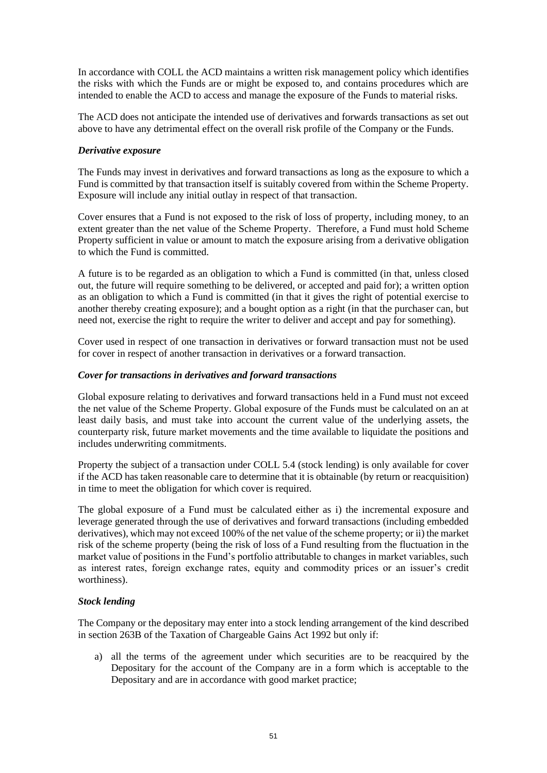In accordance with COLL the ACD maintains a written risk management policy which identifies the risks with which the Funds are or might be exposed to, and contains procedures which are intended to enable the ACD to access and manage the exposure of the Funds to material risks.

The ACD does not anticipate the intended use of derivatives and forwards transactions as set out above to have any detrimental effect on the overall risk profile of the Company or the Funds.

#### *Derivative exposure*

The Funds may invest in derivatives and forward transactions as long as the exposure to which a Fund is committed by that transaction itself is suitably covered from within the Scheme Property. Exposure will include any initial outlay in respect of that transaction.

Cover ensures that a Fund is not exposed to the risk of loss of property, including money, to an extent greater than the net value of the Scheme Property. Therefore, a Fund must hold Scheme Property sufficient in value or amount to match the exposure arising from a derivative obligation to which the Fund is committed.

A future is to be regarded as an obligation to which a Fund is committed (in that, unless closed out, the future will require something to be delivered, or accepted and paid for); a written option as an obligation to which a Fund is committed (in that it gives the right of potential exercise to another thereby creating exposure); and a bought option as a right (in that the purchaser can, but need not, exercise the right to require the writer to deliver and accept and pay for something).

Cover used in respect of one transaction in derivatives or forward transaction must not be used for cover in respect of another transaction in derivatives or a forward transaction.

# *Cover for transactions in derivatives and forward transactions*

Global exposure relating to derivatives and forward transactions held in a Fund must not exceed the net value of the Scheme Property. Global exposure of the Funds must be calculated on an at least daily basis, and must take into account the current value of the underlying assets, the counterparty risk, future market movements and the time available to liquidate the positions and includes underwriting commitments.

Property the subject of a transaction under COLL 5.4 (stock lending) is only available for cover if the ACD has taken reasonable care to determine that it is obtainable (by return or reacquisition) in time to meet the obligation for which cover is required.

The global exposure of a Fund must be calculated either as i) the incremental exposure and leverage generated through the use of derivatives and forward transactions (including embedded derivatives), which may not exceed 100% of the net value of the scheme property; or ii) the market risk of the scheme property (being the risk of loss of a Fund resulting from the fluctuation in the market value of positions in the Fund's portfolio attributable to changes in market variables, such as interest rates, foreign exchange rates, equity and commodity prices or an issuer's credit worthiness).

# *Stock lending*

The Company or the depositary may enter into a stock lending arrangement of the kind described in section 263B of the Taxation of Chargeable Gains Act 1992 but only if:

a) all the terms of the agreement under which securities are to be reacquired by the Depositary for the account of the Company are in a form which is acceptable to the Depositary and are in accordance with good market practice;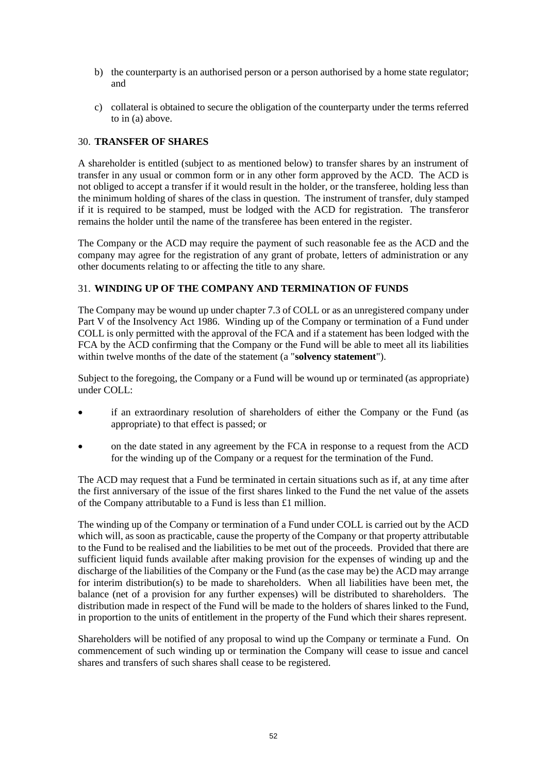- b) the counterparty is an authorised person or a person authorised by a home state regulator; and
- c) collateral is obtained to secure the obligation of the counterparty under the terms referred to in (a) above.

# <span id="page-51-0"></span>30. **TRANSFER OF SHARES**

A shareholder is entitled (subject to as mentioned below) to transfer shares by an instrument of transfer in any usual or common form or in any other form approved by the ACD. The ACD is not obliged to accept a transfer if it would result in the holder, or the transferee, holding less than the minimum holding of shares of the class in question. The instrument of transfer, duly stamped if it is required to be stamped, must be lodged with the ACD for registration. The transferor remains the holder until the name of the transferee has been entered in the register.

The Company or the ACD may require the payment of such reasonable fee as the ACD and the company may agree for the registration of any grant of probate, letters of administration or any other documents relating to or affecting the title to any share.

# <span id="page-51-1"></span>31. **WINDING UP OF THE COMPANY AND TERMINATION OF FUNDS**

The Company may be wound up under chapter 7.3 of COLL or as an unregistered company under Part V of the Insolvency Act 1986. Winding up of the Company or termination of a Fund under COLL is only permitted with the approval of the FCA and if a statement has been lodged with the FCA by the ACD confirming that the Company or the Fund will be able to meet all its liabilities within twelve months of the date of the statement (a "**solvency statement**").

Subject to the foregoing, the Company or a Fund will be wound up or terminated (as appropriate) under COLL:

- if an extraordinary resolution of shareholders of either the Company or the Fund (as appropriate) to that effect is passed; or
- on the date stated in any agreement by the FCA in response to a request from the ACD for the winding up of the Company or a request for the termination of the Fund.

The ACD may request that a Fund be terminated in certain situations such as if, at any time after the first anniversary of the issue of the first shares linked to the Fund the net value of the assets of the Company attributable to a Fund is less than £1 million.

The winding up of the Company or termination of a Fund under COLL is carried out by the ACD which will, as soon as practicable, cause the property of the Company or that property attributable to the Fund to be realised and the liabilities to be met out of the proceeds. Provided that there are sufficient liquid funds available after making provision for the expenses of winding up and the discharge of the liabilities of the Company or the Fund (as the case may be) the ACD may arrange for interim distribution(s) to be made to shareholders. When all liabilities have been met, the balance (net of a provision for any further expenses) will be distributed to shareholders. The distribution made in respect of the Fund will be made to the holders of shares linked to the Fund, in proportion to the units of entitlement in the property of the Fund which their shares represent.

Shareholders will be notified of any proposal to wind up the Company or terminate a Fund. On commencement of such winding up or termination the Company will cease to issue and cancel shares and transfers of such shares shall cease to be registered.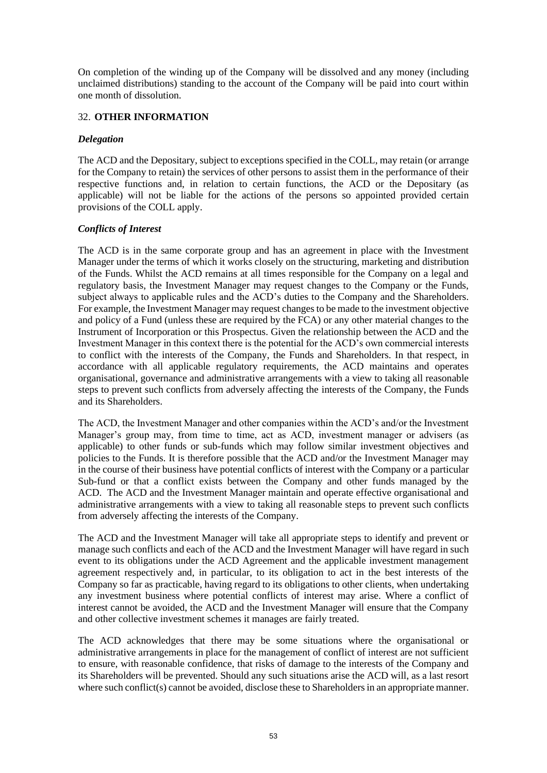On completion of the winding up of the Company will be dissolved and any money (including unclaimed distributions) standing to the account of the Company will be paid into court within one month of dissolution.

#### <span id="page-52-0"></span>32. **OTHER INFORMATION**

#### *Delegation*

The ACD and the Depositary, subject to exceptions specified in the COLL, may retain (or arrange for the Company to retain) the services of other persons to assist them in the performance of their respective functions and, in relation to certain functions, the ACD or the Depositary (as applicable) will not be liable for the actions of the persons so appointed provided certain provisions of the COLL apply.

# *Conflicts of Interest*

The ACD is in the same corporate group and has an agreement in place with the Investment Manager under the terms of which it works closely on the structuring, marketing and distribution of the Funds. Whilst the ACD remains at all times responsible for the Company on a legal and regulatory basis, the Investment Manager may request changes to the Company or the Funds, subject always to applicable rules and the ACD's duties to the Company and the Shareholders. For example, the Investment Manager may request changes to be made to the investment objective and policy of a Fund (unless these are required by the FCA) or any other material changes to the Instrument of Incorporation or this Prospectus. Given the relationship between the ACD and the Investment Manager in this context there is the potential for the ACD's own commercial interests to conflict with the interests of the Company, the Funds and Shareholders. In that respect, in accordance with all applicable regulatory requirements, the ACD maintains and operates organisational, governance and administrative arrangements with a view to taking all reasonable steps to prevent such conflicts from adversely affecting the interests of the Company, the Funds and its Shareholders.

The ACD, the Investment Manager and other companies within the ACD's and/or the Investment Manager's group may, from time to time, act as ACD, investment manager or advisers (as applicable) to other funds or sub-funds which may follow similar investment objectives and policies to the Funds. It is therefore possible that the ACD and/or the Investment Manager may in the course of their business have potential conflicts of interest with the Company or a particular Sub-fund or that a conflict exists between the Company and other funds managed by the ACD. The ACD and the Investment Manager maintain and operate effective organisational and administrative arrangements with a view to taking all reasonable steps to prevent such conflicts from adversely affecting the interests of the Company.

The ACD and the Investment Manager will take all appropriate steps to identify and prevent or manage such conflicts and each of the ACD and the Investment Manager will have regard in such event to its obligations under the ACD Agreement and the applicable investment management agreement respectively and, in particular, to its obligation to act in the best interests of the Company so far as practicable, having regard to its obligations to other clients, when undertaking any investment business where potential conflicts of interest may arise. Where a conflict of interest cannot be avoided, the ACD and the Investment Manager will ensure that the Company and other collective investment schemes it manages are fairly treated.

The ACD acknowledges that there may be some situations where the organisational or administrative arrangements in place for the management of conflict of interest are not sufficient to ensure, with reasonable confidence, that risks of damage to the interests of the Company and its Shareholders will be prevented. Should any such situations arise the ACD will, as a last resort where such conflict(s) cannot be avoided, disclose these to Shareholders in an appropriate manner.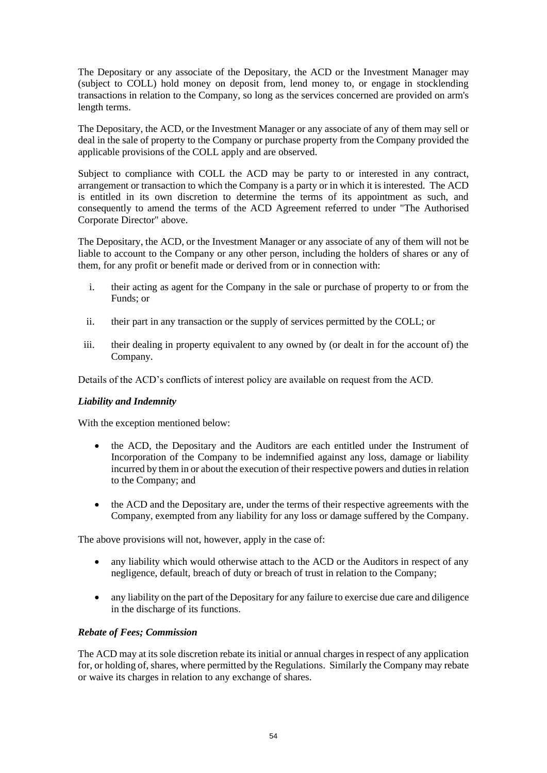The Depositary or any associate of the Depositary, the ACD or the Investment Manager may (subject to COLL) hold money on deposit from, lend money to, or engage in stocklending transactions in relation to the Company, so long as the services concerned are provided on arm's length terms.

The Depositary, the ACD, or the Investment Manager or any associate of any of them may sell or deal in the sale of property to the Company or purchase property from the Company provided the applicable provisions of the COLL apply and are observed.

Subject to compliance with COLL the ACD may be party to or interested in any contract, arrangement or transaction to which the Company is a party or in which it is interested. The ACD is entitled in its own discretion to determine the terms of its appointment as such, and consequently to amend the terms of the ACD Agreement referred to under "The Authorised Corporate Director" above.

The Depositary, the ACD, or the Investment Manager or any associate of any of them will not be liable to account to the Company or any other person, including the holders of shares or any of them, for any profit or benefit made or derived from or in connection with:

- i. their acting as agent for the Company in the sale or purchase of property to or from the Funds; or
- ii. their part in any transaction or the supply of services permitted by the COLL; or
- iii. their dealing in property equivalent to any owned by (or dealt in for the account of) the Company.

Details of the ACD's conflicts of interest policy are available on request from the ACD.

#### *Liability and Indemnity*

With the exception mentioned below:

- the ACD, the Depositary and the Auditors are each entitled under the Instrument of Incorporation of the Company to be indemnified against any loss, damage or liability incurred by them in or about the execution of their respective powers and duties in relation to the Company; and
- the ACD and the Depositary are, under the terms of their respective agreements with the Company, exempted from any liability for any loss or damage suffered by the Company.

The above provisions will not, however, apply in the case of:

- any liability which would otherwise attach to the ACD or the Auditors in respect of any negligence, default, breach of duty or breach of trust in relation to the Company;
- any liability on the part of the Depositary for any failure to exercise due care and diligence in the discharge of its functions.

# *Rebate of Fees; Commission*

The ACD may at its sole discretion rebate its initial or annual charges in respect of any application for, or holding of, shares, where permitted by the Regulations. Similarly the Company may rebate or waive its charges in relation to any exchange of shares.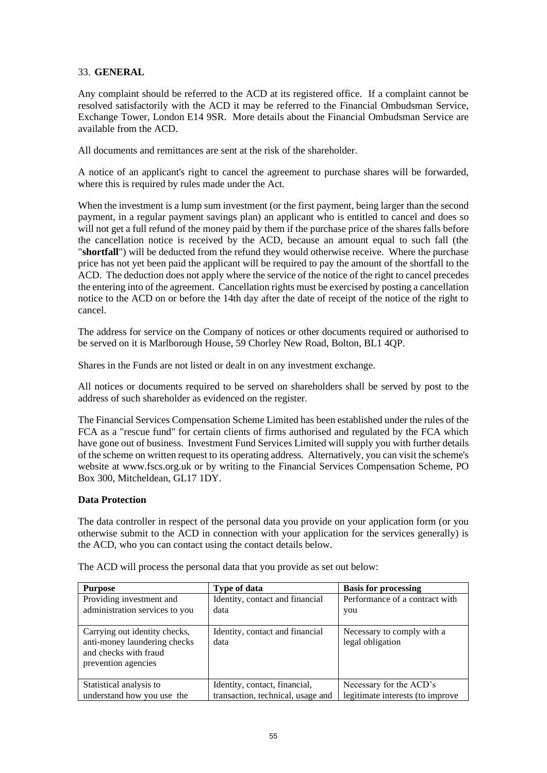#### <span id="page-54-0"></span>33. **GENERAL**

Any complaint should be referred to the ACD at its registered office. If a complaint cannot be resolved satisfactorily with the ACD it may be referred to the Financial Ombudsman Service, Exchange Tower, London E14 9SR. More details about the Financial Ombudsman Service are available from the ACD.

All documents and remittances are sent at the risk of the shareholder.

A notice of an applicant's right to cancel the agreement to purchase shares will be forwarded, where this is required by rules made under the Act.

When the investment is a lump sum investment (or the first payment, being larger than the second payment, in a regular payment savings plan) an applicant who is entitled to cancel and does so will not get a full refund of the money paid by them if the purchase price of the shares falls before the cancellation notice is received by the ACD, because an amount equal to such fall (the "**shortfall**") will be deducted from the refund they would otherwise receive. Where the purchase price has not yet been paid the applicant will be required to pay the amount of the shortfall to the ACD. The deduction does not apply where the service of the notice of the right to cancel precedes the entering into of the agreement. Cancellation rights must be exercised by posting a cancellation notice to the ACD on or before the 14th day after the date of receipt of the notice of the right to cancel.

The address for service on the Company of notices or other documents required or authorised to be served on it is Marlborough House, 59 Chorley New Road, Bolton, BL1 4QP.

Shares in the Funds are not listed or dealt in on any investment exchange.

All notices or documents required to be served on shareholders shall be served by post to the address of such shareholder as evidenced on the register.

The Financial Services Compensation Scheme Limited has been established under the rules of the FCA as a "rescue fund" for certain clients of firms authorised and regulated by the FCA which have gone out of business. Investment Fund Services Limited will supply you with further details of the scheme on written request to its operating address. Alternatively, you can visit the scheme's website at www.fscs.org.uk or by writing to the Financial Services Compensation Scheme, PO Box 300, Mitcheldean, GL17 1DY.

#### **Data Protection**

The data controller in respect of the personal data you provide on your application form (or you otherwise submit to the ACD in connection with your application for the services generally) is the ACD, who you can contact using the contact details below.

| <b>Purpose</b>                                                                                                | <b>Type of data</b>                     | <b>Basis for processing</b>                    |
|---------------------------------------------------------------------------------------------------------------|-----------------------------------------|------------------------------------------------|
| Providing investment and                                                                                      | Identity, contact and financial         | Performance of a contract with                 |
| administration services to you                                                                                | data                                    | you                                            |
|                                                                                                               |                                         |                                                |
| Carrying out identity checks,<br>anti-money laundering checks<br>and checks with fraud<br>prevention agencies | Identity, contact and financial<br>data | Necessary to comply with a<br>legal obligation |
| Statistical analysis to                                                                                       | Identity, contact, financial,           | Necessary for the ACD's                        |
| understand how you use the                                                                                    | transaction, technical, usage and       | legitimate interests (to improve               |

The ACD will process the personal data that you provide as set out below: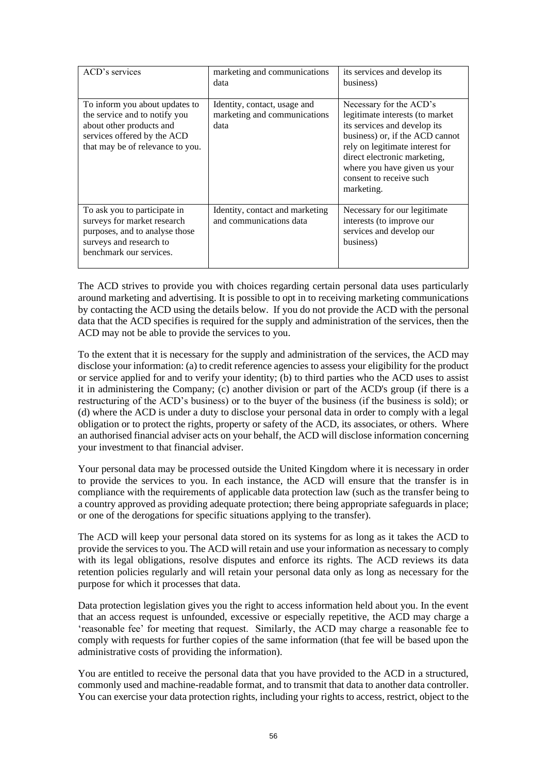| ACD's services                                                                                                                                                 | marketing and communications<br>data                                 | its services and develop its<br>business)                                                                                                                                                                                                                                 |
|----------------------------------------------------------------------------------------------------------------------------------------------------------------|----------------------------------------------------------------------|---------------------------------------------------------------------------------------------------------------------------------------------------------------------------------------------------------------------------------------------------------------------------|
| To inform you about updates to<br>the service and to notify you<br>about other products and<br>services offered by the ACD<br>that may be of relevance to you. | Identity, contact, usage and<br>marketing and communications<br>data | Necessary for the ACD's<br>legitimate interests (to market<br>its services and develop its<br>business) or, if the ACD cannot<br>rely on legitimate interest for<br>direct electronic marketing,<br>where you have given us your<br>consent to receive such<br>marketing. |
| To ask you to participate in<br>surveys for market research<br>purposes, and to analyse those<br>surveys and research to<br>benchmark our services.            | Identity, contact and marketing<br>and communications data           | Necessary for our legitimate<br>interests (to improve our<br>services and develop our<br>business)                                                                                                                                                                        |

The ACD strives to provide you with choices regarding certain personal data uses particularly around marketing and advertising. It is possible to opt in to receiving marketing communications by contacting the ACD using the details below. If you do not provide the ACD with the personal data that the ACD specifies is required for the supply and administration of the services, then the ACD may not be able to provide the services to you.

To the extent that it is necessary for the supply and administration of the services, the ACD may disclose your information: (a) to credit reference agencies to assess your eligibility for the product or service applied for and to verify your identity; (b) to third parties who the ACD uses to assist it in administering the Company; (c) another division or part of the ACD's group (if there is a restructuring of the ACD's business) or to the buyer of the business (if the business is sold); or (d) where the ACD is under a duty to disclose your personal data in order to comply with a legal obligation or to protect the rights, property or safety of the ACD, its associates, or others. Where an authorised financial adviser acts on your behalf, the ACD will disclose information concerning your investment to that financial adviser.

Your personal data may be processed outside the United Kingdom where it is necessary in order to provide the services to you. In each instance, the ACD will ensure that the transfer is in compliance with the requirements of applicable data protection law (such as the transfer being to a country approved as providing adequate protection; there being appropriate safeguards in place; or one of the derogations for specific situations applying to the transfer).

The ACD will keep your personal data stored on its systems for as long as it takes the ACD to provide the services to you. The ACD will retain and use your information as necessary to comply with its legal obligations, resolve disputes and enforce its rights. The ACD reviews its data retention policies regularly and will retain your personal data only as long as necessary for the purpose for which it processes that data.

Data protection legislation gives you the right to access information held about you. In the event that an access request is unfounded, excessive or especially repetitive, the ACD may charge a 'reasonable fee' for meeting that request. Similarly, the ACD may charge a reasonable fee to comply with requests for further copies of the same information (that fee will be based upon the administrative costs of providing the information).

You are entitled to receive the personal data that you have provided to the ACD in a structured, commonly used and machine-readable format, and to transmit that data to another data controller. You can exercise your data protection rights, including your rights to access, restrict, object to the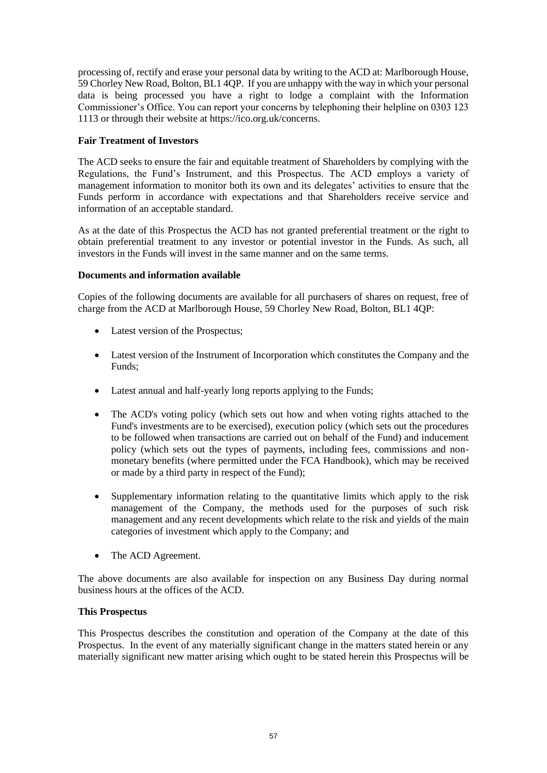processing of, rectify and erase your personal data by writing to the ACD at: Marlborough House, 59 Chorley New Road, Bolton, BL1 4QP. If you are unhappy with the way in which your personal data is being processed you have a right to lodge a complaint with the Information Commissioner's Office. You can report your concerns by telephoning their helpline on 0303 123 1113 or through their website at https://ico.org.uk/concerns.

# **Fair Treatment of Investors**

The ACD seeks to ensure the fair and equitable treatment of Shareholders by complying with the Regulations, the Fund's Instrument, and this Prospectus. The ACD employs a variety of management information to monitor both its own and its delegates' activities to ensure that the Funds perform in accordance with expectations and that Shareholders receive service and information of an acceptable standard.

As at the date of this Prospectus the ACD has not granted preferential treatment or the right to obtain preferential treatment to any investor or potential investor in the Funds. As such, all investors in the Funds will invest in the same manner and on the same terms.

# **Documents and information available**

Copies of the following documents are available for all purchasers of shares on request, free of charge from the ACD at Marlborough House, 59 Chorley New Road, Bolton, BL1 4QP:

- Latest version of the Prospectus;
- Latest version of the Instrument of Incorporation which constitutes the Company and the Funds;
- Latest annual and half-yearly long reports applying to the Funds;
- The ACD's voting policy (which sets out how and when voting rights attached to the Fund's investments are to be exercised), execution policy (which sets out the procedures to be followed when transactions are carried out on behalf of the Fund) and inducement policy (which sets out the types of payments, including fees, commissions and nonmonetary benefits (where permitted under the FCA Handbook), which may be received or made by a third party in respect of the Fund);
- Supplementary information relating to the quantitative limits which apply to the risk management of the Company, the methods used for the purposes of such risk management and any recent developments which relate to the risk and yields of the main categories of investment which apply to the Company; and
- The ACD Agreement.

The above documents are also available for inspection on any Business Day during normal business hours at the offices of the ACD.

#### **This Prospectus**

This Prospectus describes the constitution and operation of the Company at the date of this Prospectus. In the event of any materially significant change in the matters stated herein or any materially significant new matter arising which ought to be stated herein this Prospectus will be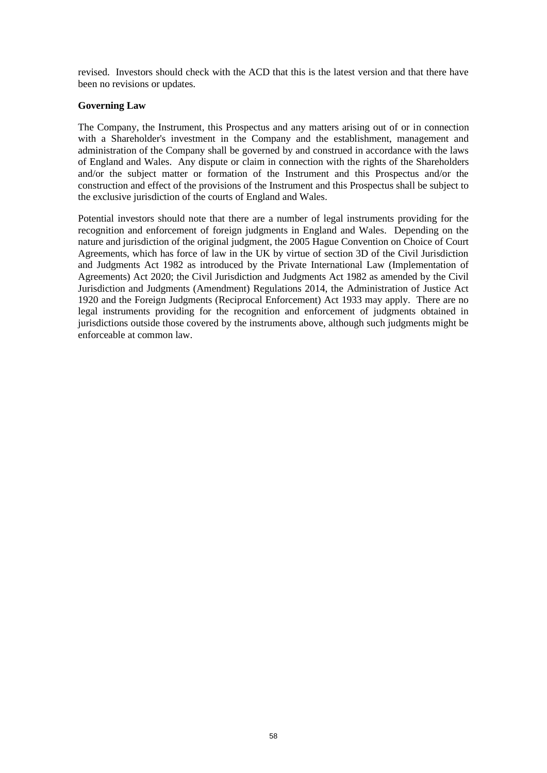revised. Investors should check with the ACD that this is the latest version and that there have been no revisions or updates.

#### **Governing Law**

The Company, the Instrument, this Prospectus and any matters arising out of or in connection with a Shareholder's investment in the Company and the establishment, management and administration of the Company shall be governed by and construed in accordance with the laws of England and Wales. Any dispute or claim in connection with the rights of the Shareholders and/or the subject matter or formation of the Instrument and this Prospectus and/or the construction and effect of the provisions of the Instrument and this Prospectus shall be subject to the exclusive jurisdiction of the courts of England and Wales.

<span id="page-57-0"></span>Potential investors should note that there are a number of legal instruments providing for the recognition and enforcement of foreign judgments in England and Wales. Depending on the nature and jurisdiction of the original judgment, the 2005 Hague Convention on Choice of Court Agreements, which has force of law in the UK by virtue of section 3D of the Civil Jurisdiction and Judgments Act 1982 as introduced by the Private International Law (Implementation of Agreements) Act 2020; the Civil Jurisdiction and Judgments Act 1982 as amended by the Civil Jurisdiction and Judgments (Amendment) Regulations 2014, the Administration of Justice Act 1920 and the Foreign Judgments (Reciprocal Enforcement) Act 1933 may apply. There are no legal instruments providing for the recognition and enforcement of judgments obtained in jurisdictions outside those covered by the instruments above, although such judgments might be enforceable at common law.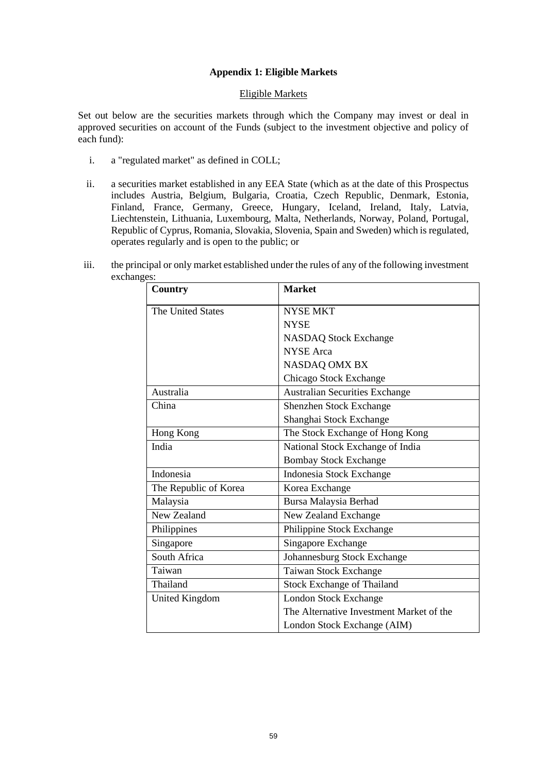#### **Appendix 1: Eligible Markets**

#### Eligible Markets

Set out below are the securities markets through which the Company may invest or deal in approved securities on account of the Funds (subject to the investment objective and policy of each fund):

- i. a "regulated market" as defined in COLL;
- ii. a securities market established in any EEA State (which as at the date of this Prospectus includes Austria, Belgium, Bulgaria, Croatia, Czech Republic, Denmark, Estonia, Finland, France, Germany, Greece, Hungary, Iceland, Ireland, Italy, Latvia, Liechtenstein, Lithuania, Luxembourg, Malta, Netherlands, Norway, Poland, Portugal, Republic of Cyprus, Romania, Slovakia, Slovenia, Spain and Sweden) which is regulated, operates regularly and is open to the public; or

| iii. | the principal or only market established under the rules of any of the following investment |
|------|---------------------------------------------------------------------------------------------|
|      | exchanges:                                                                                  |

| Country               | <b>Market</b>                            |  |
|-----------------------|------------------------------------------|--|
| The United States     | <b>NYSE MKT</b>                          |  |
|                       | <b>NYSE</b>                              |  |
|                       | <b>NASDAQ Stock Exchange</b>             |  |
|                       | <b>NYSE</b> Arca                         |  |
|                       | <b>NASDAQ OMX BX</b>                     |  |
|                       | Chicago Stock Exchange                   |  |
| Australia             | <b>Australian Securities Exchange</b>    |  |
| China                 | Shenzhen Stock Exchange                  |  |
|                       | Shanghai Stock Exchange                  |  |
| Hong Kong             | The Stock Exchange of Hong Kong          |  |
| India                 | National Stock Exchange of India         |  |
|                       | <b>Bombay Stock Exchange</b>             |  |
| Indonesia             | Indonesia Stock Exchange                 |  |
| The Republic of Korea | Korea Exchange                           |  |
| Malaysia              | Bursa Malaysia Berhad                    |  |
| New Zealand           | New Zealand Exchange                     |  |
| Philippines           | Philippine Stock Exchange                |  |
| Singapore             | Singapore Exchange                       |  |
| South Africa          | Johannesburg Stock Exchange              |  |
| Taiwan                | Taiwan Stock Exchange                    |  |
| Thailand              | <b>Stock Exchange of Thailand</b>        |  |
| <b>United Kingdom</b> | <b>London Stock Exchange</b>             |  |
|                       | The Alternative Investment Market of the |  |
|                       | London Stock Exchange (AIM)              |  |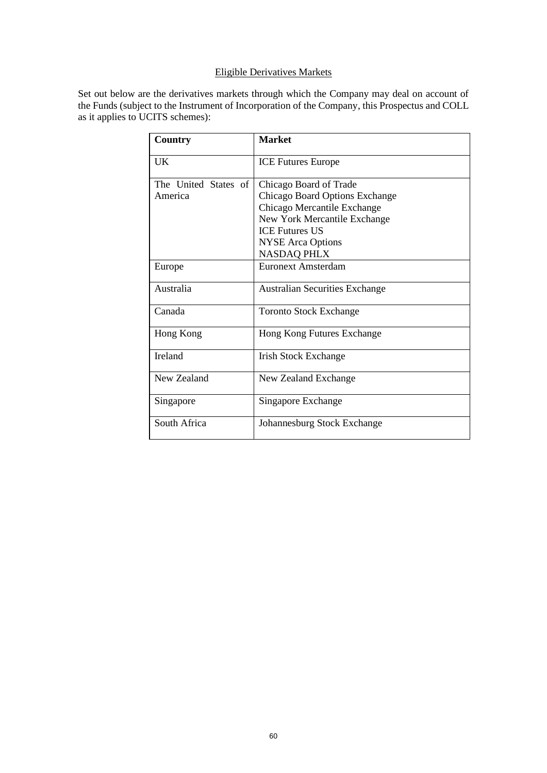# Eligible Derivatives Markets

Set out below are the derivatives markets through which the Company may deal on account of the Funds (subject to the Instrument of Incorporation of the Company, this Prospectus and COLL as it applies to UCITS schemes):

| Country              | <b>Market</b>                         |
|----------------------|---------------------------------------|
| <b>UK</b>            | <b>ICE Futures Europe</b>             |
| The United States of | Chicago Board of Trade                |
| America              | Chicago Board Options Exchange        |
|                      | Chicago Mercantile Exchange           |
|                      | New York Mercantile Exchange          |
|                      | <b>ICE Futures US</b>                 |
|                      | <b>NYSE</b> Arca Options              |
|                      | <b>NASDAQ PHLX</b>                    |
| Europe               | Euronext Amsterdam                    |
| Australia            | <b>Australian Securities Exchange</b> |
| Canada               | <b>Toronto Stock Exchange</b>         |
| Hong Kong            | Hong Kong Futures Exchange            |
| <b>Ireland</b>       | <b>Irish Stock Exchange</b>           |
| New Zealand          | New Zealand Exchange                  |
| Singapore            | Singapore Exchange                    |
| South Africa         | Johannesburg Stock Exchange           |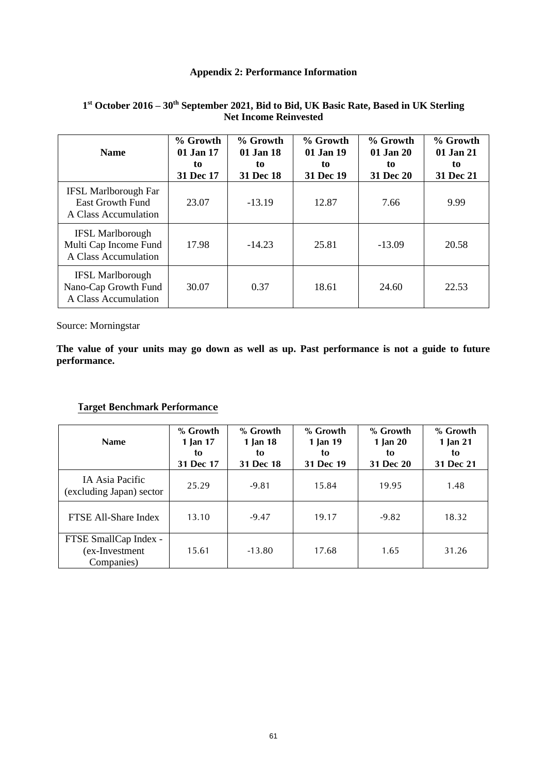# **Appendix 2: Performance Information**

| <b>Name</b>                                                                    | % Growth<br>01 Jan 17<br>to<br>31 Dec 17 | % Growth<br>01 Jan 18<br>to<br>31 Dec 18 | % Growth<br>01 Jan 19<br>to<br>31 Dec 19 | % Growth<br>01 Jan 20<br>to<br>31 Dec 20 | % Growth<br>01 Jan 21<br>to<br>31 Dec 21 |
|--------------------------------------------------------------------------------|------------------------------------------|------------------------------------------|------------------------------------------|------------------------------------------|------------------------------------------|
| <b>IFSL Marlborough Far</b><br><b>East Growth Fund</b><br>A Class Accumulation | 23.07                                    | $-13.19$                                 | 12.87                                    | 7.66                                     | 9.99                                     |
| <b>IFSL Marlborough</b><br>Multi Cap Income Fund<br>A Class Accumulation       | 17.98                                    | $-14.23$                                 | 25.81                                    | $-13.09$                                 | 20.58                                    |
| <b>IFSL Marlborough</b><br>Nano-Cap Growth Fund<br>A Class Accumulation        | 30.07                                    | 0.37                                     | 18.61                                    | 24.60                                    | 22.53                                    |

#### <span id="page-60-0"></span>**1 st October 2016 – 30 th September 2021, Bid to Bid, UK Basic Rate, Based in UK Sterling Net Income Reinvested**

Source: Morningstar

**The value of your units may go down as well as up. Past performance is not a guide to future performance.**

# **Target Benchmark Performance**

| <b>Name</b>                                           | % Growth<br>1 Jan 17<br>to<br>31 Dec 17 | % Growth<br>1 Jan 18<br>to<br>31 Dec 18 | % Growth<br>1 Jan 19<br>to<br>31 Dec 19 | % Growth<br>1 Jan $20$<br>to<br>31 Dec 20 | % Growth<br>1 Jan 21<br>to<br>31 Dec 21 |
|-------------------------------------------------------|-----------------------------------------|-----------------------------------------|-----------------------------------------|-------------------------------------------|-----------------------------------------|
| IA Asia Pacific<br>(excluding Japan) sector           | 25.29                                   | $-9.81$                                 | 15.84                                   | 19.95                                     | 1.48                                    |
| FTSE All-Share Index                                  | 13.10                                   | $-9.47$                                 | 19.17                                   | $-9.82$                                   | 18.32                                   |
| FTSE SmallCap Index -<br>(ex-Investment<br>Companies) | 15.61                                   | $-13.80$                                | 17.68                                   | 1.65                                      | 31.26                                   |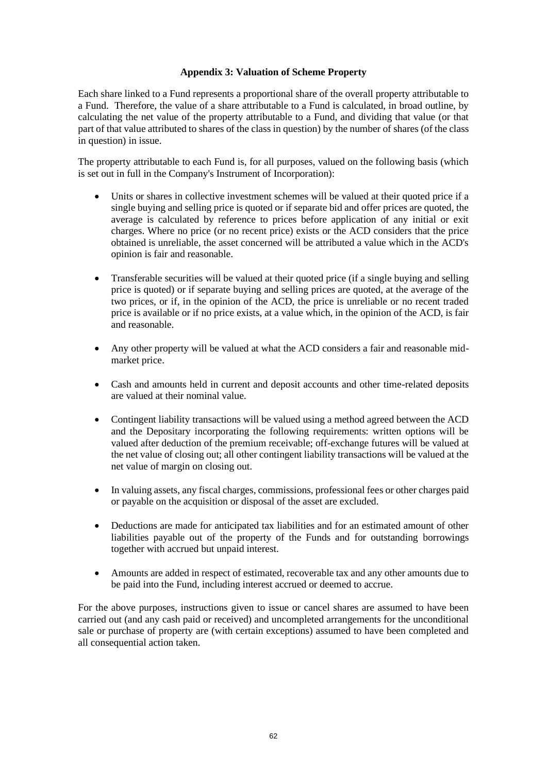#### **Appendix 3: Valuation of Scheme Property**

<span id="page-61-0"></span>Each share linked to a Fund represents a proportional share of the overall property attributable to a Fund. Therefore, the value of a share attributable to a Fund is calculated, in broad outline, by calculating the net value of the property attributable to a Fund, and dividing that value (or that part of that value attributed to shares of the class in question) by the number of shares (of the class in question) in issue.

The property attributable to each Fund is, for all purposes, valued on the following basis (which is set out in full in the Company's Instrument of Incorporation):

- Units or shares in collective investment schemes will be valued at their quoted price if a single buying and selling price is quoted or if separate bid and offer prices are quoted, the average is calculated by reference to prices before application of any initial or exit charges. Where no price (or no recent price) exists or the ACD considers that the price obtained is unreliable, the asset concerned will be attributed a value which in the ACD's opinion is fair and reasonable.
- Transferable securities will be valued at their quoted price (if a single buying and selling price is quoted) or if separate buying and selling prices are quoted, at the average of the two prices, or if, in the opinion of the ACD, the price is unreliable or no recent traded price is available or if no price exists, at a value which, in the opinion of the ACD, is fair and reasonable.
- Any other property will be valued at what the ACD considers a fair and reasonable midmarket price.
- Cash and amounts held in current and deposit accounts and other time-related deposits are valued at their nominal value.
- Contingent liability transactions will be valued using a method agreed between the ACD and the Depositary incorporating the following requirements: written options will be valued after deduction of the premium receivable; off-exchange futures will be valued at the net value of closing out; all other contingent liability transactions will be valued at the net value of margin on closing out.
- In valuing assets, any fiscal charges, commissions, professional fees or other charges paid or payable on the acquisition or disposal of the asset are excluded.
- Deductions are made for anticipated tax liabilities and for an estimated amount of other liabilities payable out of the property of the Funds and for outstanding borrowings together with accrued but unpaid interest.
- Amounts are added in respect of estimated, recoverable tax and any other amounts due to be paid into the Fund, including interest accrued or deemed to accrue.

For the above purposes, instructions given to issue or cancel shares are assumed to have been carried out (and any cash paid or received) and uncompleted arrangements for the unconditional sale or purchase of property are (with certain exceptions) assumed to have been completed and all consequential action taken.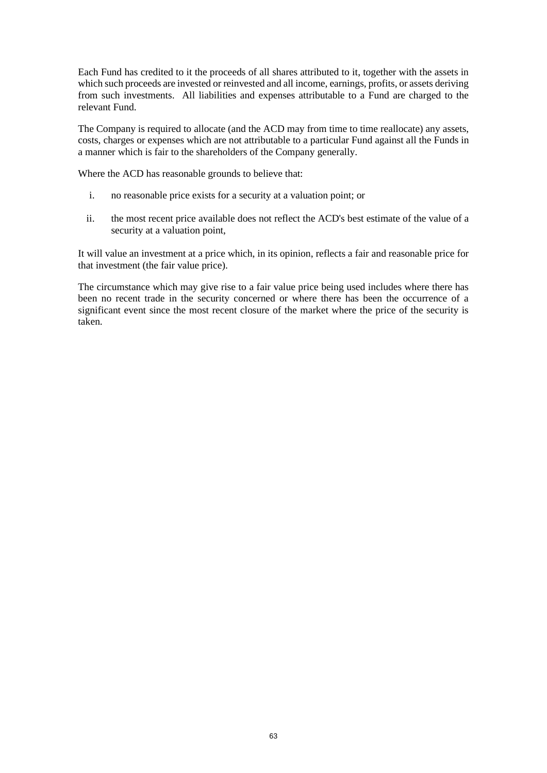Each Fund has credited to it the proceeds of all shares attributed to it, together with the assets in which such proceeds are invested or reinvested and all income, earnings, profits, or assets deriving from such investments. All liabilities and expenses attributable to a Fund are charged to the relevant Fund.

The Company is required to allocate (and the ACD may from time to time reallocate) any assets, costs, charges or expenses which are not attributable to a particular Fund against all the Funds in a manner which is fair to the shareholders of the Company generally.

Where the ACD has reasonable grounds to believe that:

- i. no reasonable price exists for a security at a valuation point; or
- ii. the most recent price available does not reflect the ACD's best estimate of the value of a security at a valuation point,

It will value an investment at a price which, in its opinion, reflects a fair and reasonable price for that investment (the fair value price).

The circumstance which may give rise to a fair value price being used includes where there has been no recent trade in the security concerned or where there has been the occurrence of a significant event since the most recent closure of the market where the price of the security is taken.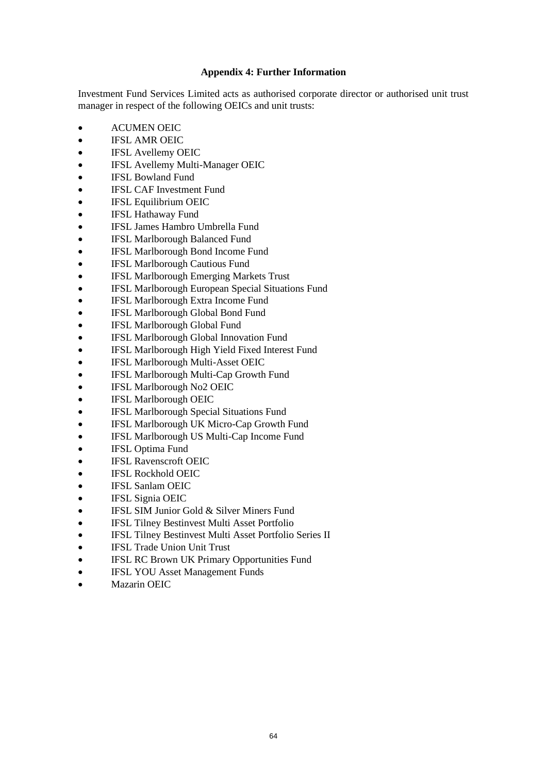#### **Appendix 4: Further Information**

<span id="page-63-0"></span>Investment Fund Services Limited acts as authorised corporate director or authorised unit trust manager in respect of the following OEICs and unit trusts:

- ACUMEN OEIC
- IFSL AMR OEIC
- IFSL Avellemy OEIC
- IFSL Avellemy Multi-Manager OEIC
- IFSL Bowland Fund
- **IFSL CAF Investment Fund**
- IFSL Equilibrium OEIC
- IFSL Hathaway Fund
- IFSL James Hambro Umbrella Fund
- IFSL Marlborough Balanced Fund
- IFSL Marlborough Bond Income Fund
- IFSL Marlborough Cautious Fund
- IFSL Marlborough Emerging Markets Trust
- IFSL Marlborough European Special Situations Fund
- IFSL Marlborough Extra Income Fund
- IFSL Marlborough Global Bond Fund
- IFSL Marlborough Global Fund
- IFSL Marlborough Global Innovation Fund
- IFSL Marlborough High Yield Fixed Interest Fund
- IFSL Marlborough Multi-Asset OEIC
- IFSL Marlborough Multi-Cap Growth Fund
- IFSL Marlborough No2 OEIC
- IFSL Marlborough OEIC
- IFSL Marlborough Special Situations Fund
- IFSL Marlborough UK Micro-Cap Growth Fund
- IFSL Marlborough US Multi-Cap Income Fund
- IFSL Optima Fund
- IFSL Ravenscroft OEIC
- IFSL Rockhold OEIC
- IFSL Sanlam OEIC
- IFSL Signia OEIC
- IFSL SIM Junior Gold & Silver Miners Fund
- **IFSL Tilney Bestinvest Multi Asset Portfolio**
- IFSL Tilney Bestinvest Multi Asset Portfolio Series II
- IFSL Trade Union Unit Trust
- IFSL RC Brown UK Primary Opportunities Fund
- IFSL YOU Asset Management Funds
- Mazarin OEIC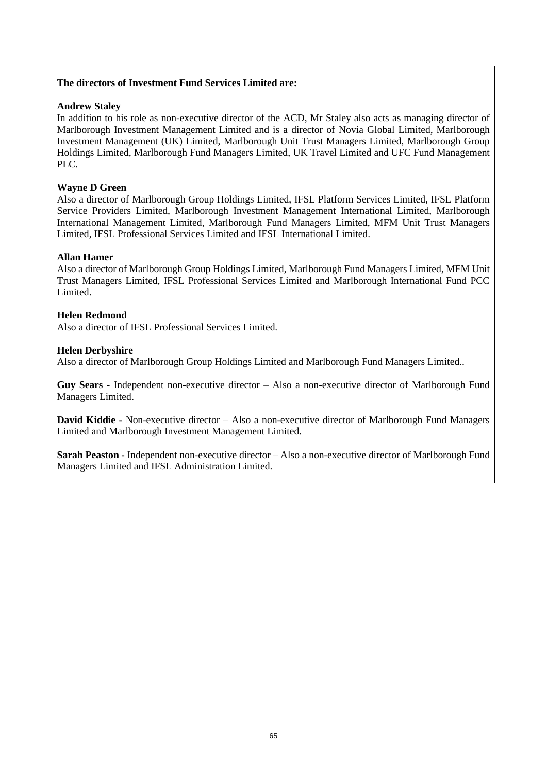# **The directors of Investment Fund Services Limited are:**

# **Andrew Staley**

In addition to his role as non-executive director of the ACD, Mr Staley also acts as managing director of Marlborough Investment Management Limited and is a director of Novia Global Limited, Marlborough Investment Management (UK) Limited, Marlborough Unit Trust Managers Limited, Marlborough Group Holdings Limited, Marlborough Fund Managers Limited, UK Travel Limited and UFC Fund Management PLC.

# **Wayne D Green**

Also a director of Marlborough Group Holdings Limited, IFSL Platform Services Limited, IFSL Platform Service Providers Limited, Marlborough Investment Management International Limited, Marlborough International Management Limited, Marlborough Fund Managers Limited, MFM Unit Trust Managers Limited, IFSL Professional Services Limited and IFSL International Limited.

# **Allan Hamer**

Also a director of Marlborough Group Holdings Limited, Marlborough Fund Managers Limited, MFM Unit Trust Managers Limited, IFSL Professional Services Limited and Marlborough International Fund PCC Limited.

#### **Helen Redmond**

Also a director of IFSL Professional Services Limited.

# **Helen Derbyshire**

Also a director of Marlborough Group Holdings Limited and Marlborough Fund Managers Limited..

**Guy Sears -** Independent non-executive director – Also a non-executive director of Marlborough Fund Managers Limited.

**David Kiddie -** Non-executive director – Also a non-executive director of Marlborough Fund Managers Limited and Marlborough Investment Management Limited.

**Sarah Peaston -** Independent non-executive director – Also a non-executive director of Marlborough Fund Managers Limited and IFSL Administration Limited.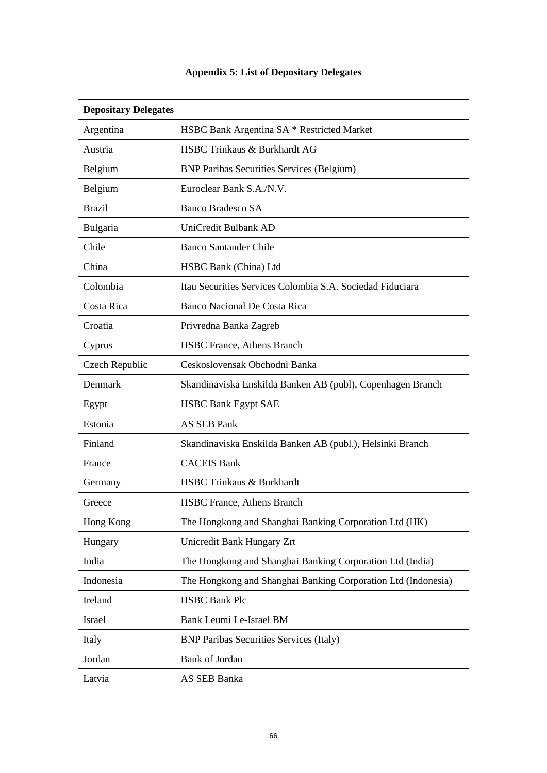# <span id="page-65-0"></span>**Depositary Delegates**  Argentina HSBC Bank Argentina SA \* Restricted Market Austria HSBC Trinkaus & Burkhardt AG Belgium BNP Paribas Securities Services (Belgium) Belgium Euroclear Bank S.A./N.V. Brazil Banco Bradesco SA Bulgaria UniCredit Bulbank AD Chile Banco Santander Chile China | HSBC Bank (China) Ltd Colombia Itau Securities Services Colombia S.A. Sociedad Fiduciara Costa Rica Banco Nacional De Costa Rica Croatia Privredna Banka Zagreb Cyprus HSBC France, Athens Branch Czech Republic Ceskoslovensak Obchodni Banka Denmark Skandinaviska Enskilda Banken AB (publ), Copenhagen Branch Egypt HSBC Bank Egypt SAE Estonia | AS SEB Pank Finland Skandinaviska Enskilda Banken AB (publ.), Helsinki Branch France | CACEIS Bank Germany HSBC Trinkaus & Burkhardt Greece **HSBC** France, Athens Branch Hong Kong The Hongkong and Shanghai Banking Corporation Ltd (HK) Hungary Unicredit Bank Hungary Zrt India The Hongkong and Shanghai Banking Corporation Ltd (India) Indonesia The Hongkong and Shanghai Banking Corporation Ltd (Indonesia) Ireland HSBC Bank Plc Israel Bank Leumi Le-Israel BM Italy BNP Paribas Securities Services (Italy) Jordan Bank of Jordan Latvia AS SEB Banka

#### **Appendix 5: List of Depositary Delegates**